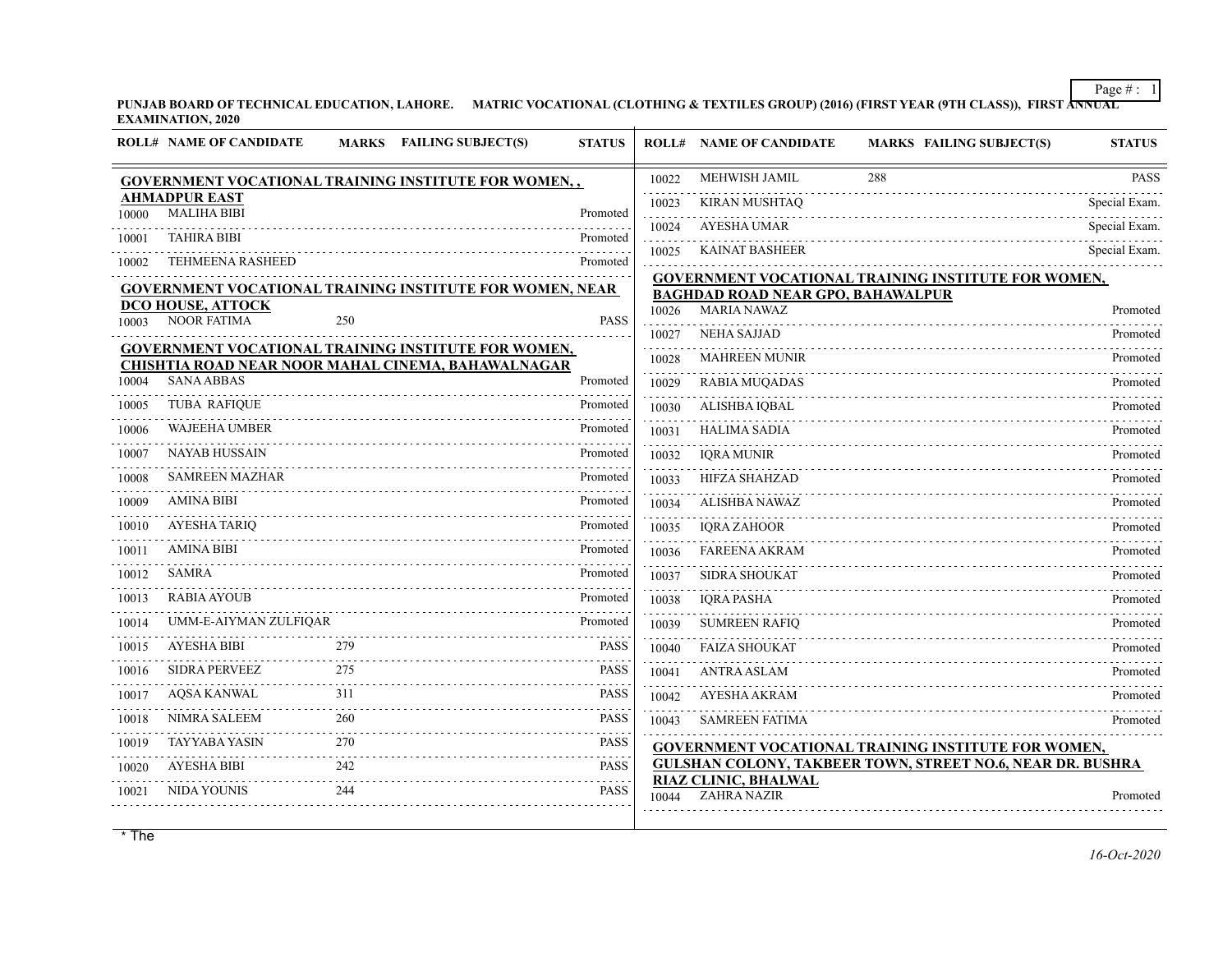**PUNJAB BOARD OF TECHNICAL EDUCATION, LAHORE. MATRIC VOCATIONAL (CLOTHING & TEXTILES GROUP) (2016) (FIRST YEAR (9TH CLASS)), FIRST ANNUAL EXAMINATION, 2020**

|       | <b>ROLL# NAME OF CANDIDATE</b>             |     | MARKS FAILING SUBJECT(S)                                        | <b>STATUS</b> |       | <b>ROLL# NAME OF CANDIDATE</b>             | <b>MARKS FAILING SUBJECT(S)</b>                                   | <b>STATUS</b> |
|-------|--------------------------------------------|-----|-----------------------------------------------------------------|---------------|-------|--------------------------------------------|-------------------------------------------------------------------|---------------|
|       |                                            |     | <b>GOVERNMENT VOCATIONAL TRAINING INSTITUTE FOR WOMEN,,</b>     |               | 10022 | MEHWISH JAMIL                              | 288                                                               | <b>PASS</b>   |
| 10000 | <b>AHMADPUR EAST</b><br><b>MALIHA BIBI</b> |     |                                                                 | Promoted      | 10023 | <b>KIRAN MUSHTAQ</b>                       |                                                                   | Special Exam. |
|       | <b>TAHIRA BIBI</b>                         |     |                                                                 |               | 10024 | <b>AYESHA UMAR</b>                         |                                                                   | Special Exam. |
| 10001 |                                            |     |                                                                 | Promoted      | 10025 | <b>KAINAT BASHEER</b>                      |                                                                   | Special Exam. |
| 10002 | <b>TEHMEENA RASHEED</b>                    |     |                                                                 | Promoted      |       |                                            | GOVERNMENT VOCATIONAL TRAINING INSTITUTE FOR WOMEN,               |               |
|       | DCO HOUSE, ATTOCK                          |     | <b>GOVERNMENT VOCATIONAL TRAINING INSTITUTE FOR WOMEN, NEAR</b> |               |       | <b>BAGHDAD ROAD NEAR GPO, BAHAWALPUR</b>   |                                                                   |               |
| 10003 | <b>NOOR FATIMA</b>                         | 250 |                                                                 | <b>PASS</b>   | 10026 | <b>MARIA NAWAZ</b>                         |                                                                   | Promoted      |
|       |                                            |     | <b>GOVERNMENT VOCATIONAL TRAINING INSTITUTE FOR WOMEN,</b>      |               | 10027 | <b>NEHA SAJJAD</b>                         |                                                                   | Promoted      |
|       |                                            |     | CHISHTIA ROAD NEAR NOOR MAHAL CINEMA, BAHAWALNAGAR              |               | 10028 | <b>MAHREEN MUNIR</b>                       |                                                                   | Promoted      |
| 10004 | <b>SANA ABBAS</b>                          |     |                                                                 | Promoted      | 10029 | <b>RABIA MUQADAS</b>                       |                                                                   | Promoted      |
| 10005 | <b>TUBA RAFIQUE</b>                        |     |                                                                 | Promoted      | 10030 | ALISHBA IQBAL                              |                                                                   | Promoted      |
| 10006 | <b>WAJEEHA UMBER</b>                       |     |                                                                 | Promoted      | 10031 | <b>HALIMA SADIA</b>                        |                                                                   | Promoted      |
| 10007 | <b>NAYAB HUSSAIN</b>                       |     |                                                                 | Promoted      | 10032 | <b>IQRA MUNIR</b>                          |                                                                   | Promoted      |
| 10008 | <b>SAMREEN MAZHAR</b>                      |     |                                                                 | Promoted      | 10033 | <b>HIFZA SHAHZAD</b>                       |                                                                   | Promoted      |
| 10009 | <b>AMINA BIBI</b>                          |     |                                                                 | Promoted      | 10034 | <b>ALISHBA NAWAZ</b>                       |                                                                   | Promoted      |
| 10010 | <b>AYESHA TARIQ</b>                        |     |                                                                 | Promoted      | 10035 | <b>IQRA ZAHOOR</b>                         |                                                                   | Promoted      |
| 10011 | <b>AMINA BIBI</b>                          |     |                                                                 | Promoted      | 10036 | <b>FAREENA AKRAM</b>                       |                                                                   | Promoted      |
| 10012 | <b>SAMRA</b>                               |     |                                                                 | Promoted      | 10037 | <b>SIDRA SHOUKAT</b>                       |                                                                   | Promoted      |
| 10013 | <b>RABIA AYOUB</b>                         |     |                                                                 | Promoted      | 10038 | <b>IORA PASHA</b>                          |                                                                   | Promoted      |
| 10014 | UMM-E-AIYMAN ZULFIQAR                      |     |                                                                 | Promoted      | 10039 | <b>SUMREEN RAFIQ</b>                       |                                                                   | Promoted      |
| 10015 | <b>AYESHA BIBI</b>                         | 279 |                                                                 | <b>PASS</b>   | 10040 | <b>FAIZA SHOUKAT</b>                       |                                                                   | Promoted      |
| 10016 | <b>SIDRA PERVEEZ</b>                       | 275 |                                                                 | <b>PASS</b>   | 10041 | <b>ANTRA ASLAM</b>                         |                                                                   | Promoted      |
| 10017 | <b>AQSA KANWAL</b>                         | 311 |                                                                 | <b>PASS</b>   | 10042 | AYESHA AKRAM                               |                                                                   | Promoted      |
| 10018 | NIMRA SALEEM                               | 260 |                                                                 | <b>PASS</b>   | 10043 | <b>SAMREEN FATIMA</b>                      |                                                                   | Promoted      |
| 10019 | <b>TAYYABA YASIN</b>                       | 270 |                                                                 | <b>PASS</b>   |       |                                            | GOVERNMENT VOCATIONAL TRAINING INSTITUTE FOR WOMEN,               |               |
| 10020 | <b>AYESHA BIBI</b>                         | 242 |                                                                 | <b>PASS</b>   |       |                                            | <b>GULSHAN COLONY, TAKBEER TOWN, STREET NO.6, NEAR DR. BUSHRA</b> |               |
| 10021 | NIDA YOUNIS                                | 244 |                                                                 | <b>PASS</b>   | 10044 | RIAZ CLINIC, BHALWAL<br><b>ZAHRA NAZIR</b> |                                                                   | Promoted      |
|       |                                            |     |                                                                 |               |       |                                            |                                                                   |               |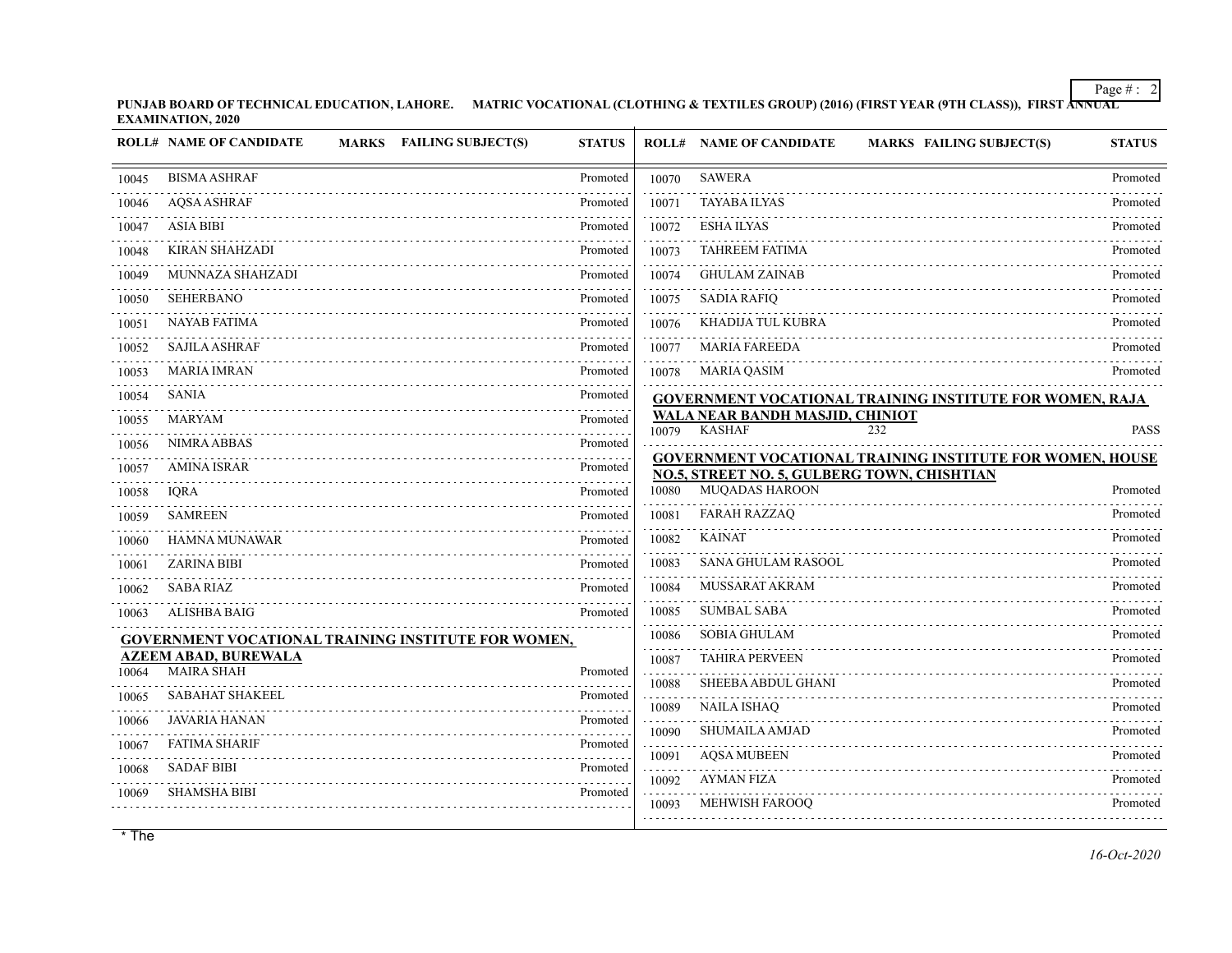**PUNJAB BOARD OF TECHNICAL EDUCATION, LAHORE. MATRIC VOCATIONAL (CLOTHING & TEXTILES GROUP) (2016) (FIRST YEAR (9TH CLASS)), FIRST ANNUAL EXAMINATION, 2020**

|       | <b>ROLL# NAME OF CANDIDATE</b><br>MARKS FAILING SUBJECT(S) | <b>STATUS</b> |            | <b>ROLL# NAME OF CANDIDATE</b><br><b>MARKS FAILING SUBJECT(S)</b>                                        | <b>STATUS</b> |
|-------|------------------------------------------------------------|---------------|------------|----------------------------------------------------------------------------------------------------------|---------------|
| 10045 | <b>BISMA ASHRAF</b>                                        | Promoted      | 10070      | <b>SAWERA</b>                                                                                            | Promoted      |
| 10046 | <b>AQSA ASHRAF</b>                                         | Promoted      | 10071      | <b>TAYABA ILYAS</b>                                                                                      | Promoted      |
| 10047 | <b>ASIA BIBI</b>                                           | Promoted      | 10072      | <b>ESHA ILYAS</b>                                                                                        | Promoted      |
| 10048 | <b>KIRAN SHAHZADI</b>                                      | Promoted      | 10073      | <b>TAHREEM FATIMA</b>                                                                                    | Promoted      |
| 10049 | MUNNAZA SHAHZADI                                           | Promoted      | 10074      | <b>GHULAM ZAINAB</b>                                                                                     | Promoted      |
| 10050 | <b>SEHERBANO</b>                                           | Promoted      | 10075      | <b>SADIA RAFIQ</b>                                                                                       | Promoted      |
| 10051 | <b>NAYAB FATIMA</b>                                        | Promoted      | 10076      | KHADIJA TUL KUBRA                                                                                        | Promoted      |
| 10052 | <b>SAJILA ASHRAF</b>                                       | Promoted      | 10077      | <b>MARIA FAREEDA</b>                                                                                     | Promoted      |
| 10053 | <b>MARIA IMRAN</b>                                         | Promoted      | 10078      | MARIA QASIM                                                                                              | Promoted      |
| 10054 | <b>SANIA</b>                                               | Promoted      |            | <b>GOVERNMENT VOCATIONAL TRAINING INSTITUTE FOR WOMEN, RAJA</b>                                          |               |
| 10055 | <b>MARYAM</b>                                              | Promoted<br>. | 10079      | WALA NEAR BANDH MASJID, CHINIOT<br><b>KASHAF</b><br>232                                                  | <b>PASS</b>   |
| 10056 | <b>NIMRA ABBAS</b>                                         | Promoted      |            |                                                                                                          |               |
| 10057 | <b>AMINA ISRAR</b>                                         | Promoted      |            | GOVERNMENT VOCATIONAL TRAINING INSTITUTE FOR WOMEN, HOUSE<br>NO.5, STREET NO. 5, GULBERG TOWN, CHISHTIAN |               |
| 10058 | <b>IQRA</b>                                                | Promoted      | 10080      | <b>MUQADAS HAROON</b>                                                                                    | Promoted      |
| 10059 | <b>SAMREEN</b>                                             | Promoted      | 10081      | <b>FARAH RAZZAQ</b>                                                                                      | Promoted      |
| 10060 | <b>HAMNA MUNAWAR</b>                                       | Promoted      | 10082      | <b>KAINAT</b>                                                                                            | Promoted      |
| 10061 | <b>ZARINA BIBI</b>                                         | Promoted      | 10083      | <b>SANA GHULAM RASOOL</b>                                                                                | Promoted      |
| 10062 | <b>SABA RIAZ</b>                                           | Promoted      | 10084      | MUSSARAT AKRAM                                                                                           | Promoted      |
| 10063 | ALISHBA BAIG                                               | Promoted      | 10085      | <b>SUMBAL SABA</b>                                                                                       | Promoted      |
|       | <b>GOVERNMENT VOCATIONAL TRAINING INSTITUTE FOR WOMEN,</b> |               | 10086      | <b>SOBIA GHULAM</b>                                                                                      | Promoted      |
| 10064 | <b>AZEEM ABAD, BUREWALA</b><br><b>MAIRA SHAH</b>           | Promoted      | 10087      | <b>TAHIRA PERVEEN</b>                                                                                    | Promoted      |
| 10065 | <b>SABAHAT SHAKEEL</b>                                     | Promoted      | 10088      | SHEEBA ABDUL GHANI                                                                                       | Promoted      |
| 10066 | <b>JAVARIA HANAN</b>                                       | Promoted      | 10089      | NAILA ISHAQ                                                                                              | Promoted      |
| 10067 | <b>FATIMA SHARIF</b>                                       | Promoted      | 10090      | SHUMAILA AMJAD                                                                                           | Promoted      |
| 10068 | <b>SADAF BIBI</b>                                          | Promoted      | 10091<br>. | <b>AQSA MUBEEN</b>                                                                                       | Promoted      |
| 10069 | <b>SHAMSHA BIBI</b>                                        | Promoted      | 10092      | AYMAN FIZA                                                                                               | Promoted      |
|       |                                                            |               | 10093      | <b>MEHWISH FAROOO</b>                                                                                    | Promoted      |
|       |                                                            |               |            |                                                                                                          |               |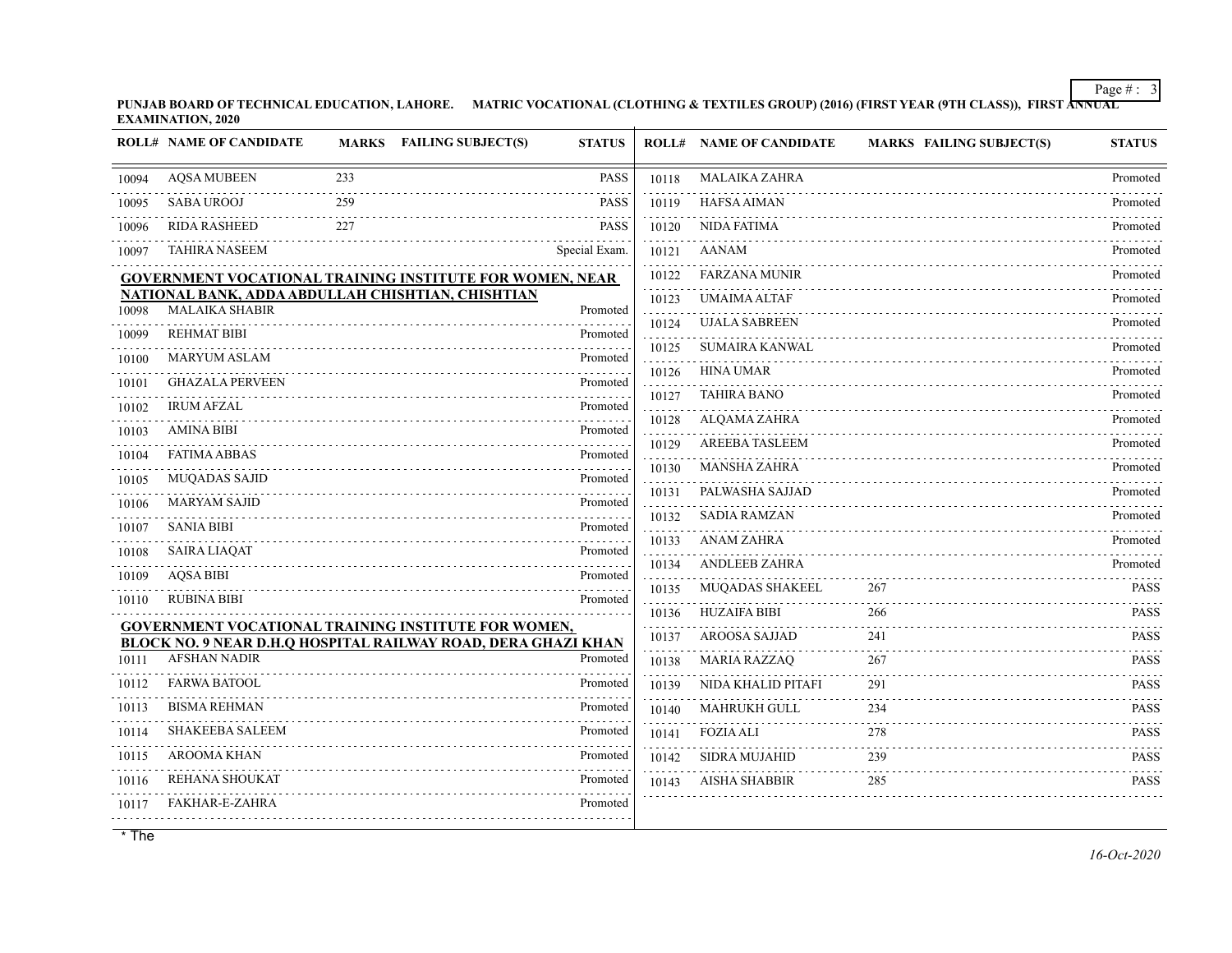**PUNJAB BOARD OF TECHNICAL EDUCATION, LAHORE. MATRIC VOCATIONAL (CLOTHING & TEXTILES GROUP) (2016) (FIRST YEAR (9TH CLASS)), FIRST ANNUAL EXAMINATION, 2020**

|       | <b>ROLL# NAME OF CANDIDATE</b>                                             |     | MARKS FAILING SUBJECT(S) | <b>STATUS</b> |            | <b>ROLL# NAME OF CANDIDATE</b> | <b>MARKS FAILING SUBJECT(S)</b> | <b>STATUS</b> |
|-------|----------------------------------------------------------------------------|-----|--------------------------|---------------|------------|--------------------------------|---------------------------------|---------------|
| 10094 | <b>AQSA MUBEEN</b>                                                         | 233 |                          | <b>PASS</b>   | 10118      | <b>MALAIKA ZAHRA</b>           |                                 | Promoted      |
| 10095 | <b>SABA UROOJ</b>                                                          | 259 |                          | <b>PASS</b>   | 10119      | <b>HAFSA AIMAN</b>             |                                 | Promoted      |
| 10096 | <b>RIDA RASHEED</b>                                                        | 227 |                          | <b>PASS</b>   | 10120      | NIDA FATIMA                    |                                 | Promoted      |
| 10097 | <b>TAHIRA NASEEM</b>                                                       |     |                          | Special Exam. | 10121      | <b>AANAM</b>                   |                                 | Promoted      |
|       | <b>GOVERNMENT VOCATIONAL TRAINING INSTITUTE FOR WOMEN, NEAR</b>            |     |                          |               | 10122      | <b>FARZANA MUNIR</b>           |                                 | Promoted      |
| 10098 | NATIONAL BANK, ADDA ABDULLAH CHISHTIAN, CHISHTIAN<br><b>MALAIKA SHABIR</b> |     |                          | Promoted      | 10123      | <b>UMAIMA ALTAF</b>            |                                 | Promoted      |
| 10099 | <b>REHMAT BIBI</b>                                                         |     |                          | Promoted      | 10124      | <b>UJALA SABREEN</b>           |                                 | Promoted      |
| 10100 | <b>MARYUM ASLAM</b>                                                        |     |                          | Promoted      | 10125      | SUMAIRA KANWAL                 |                                 | Promoted      |
| 10101 | <b>GHAZALA PERVEEN</b>                                                     |     |                          | Promoted      | 10126<br>. | <b>HINA UMAR</b>               |                                 | Promoted      |
| 10102 | <b>IRUM AFZAL</b>                                                          |     |                          | Promoted      | 10127      | <b>TAHIRA BANO</b>             |                                 | Promoted      |
| 10103 | <b>AMINA BIBI</b>                                                          |     |                          | Promoted      | 10128      | ALQAMA ZAHRA                   |                                 | Promoted      |
| 10104 | <b>FATIMA ABBAS</b>                                                        |     |                          | Promoted      | 10129      | AREEBA TASLEEM                 |                                 | Promoted      |
| 10105 | <b>MUQADAS SAJID</b>                                                       |     |                          | Promoted      | 10130      | <b>MANSHA ZAHRA</b>            |                                 | Promoted      |
| 10106 | <b>MARYAM SAJID</b>                                                        |     |                          | Promoted      | 10131      | PALWASHA SAJJAD                |                                 | Promoted      |
| 10107 | <b>SANIA BIBI</b>                                                          |     |                          | Promoted      | 10132      | <b>SADIA RAMZAN</b>            |                                 | Promoted      |
| 10108 | <b>SAIRA LIAQAT</b>                                                        |     |                          | Promoted      | 10133      | <b>ANAM ZAHRA</b>              |                                 | Promoted      |
| 10109 | <b>AQSA BIBI</b>                                                           |     |                          | Promoted      | 10134      | <b>ANDLEEB ZAHRA</b>           |                                 | Promoted      |
| 10110 | <b>RUBINA BIBI</b>                                                         |     |                          | Promoted      | 10135      | <b>MUQADAS SHAKEEL</b>         | 267                             | <b>PASS</b>   |
|       | <b>GOVERNMENT VOCATIONAL TRAINING INSTITUTE FOR WOMEN,</b>                 |     |                          |               | 10136      | <b>HUZAIFA BIBI</b>            | 266                             | <b>PASS</b>   |
|       | BLOCK NO. 9 NEAR D.H.Q HOSPITAL RAILWAY ROAD, DERA GHAZI KHAN              |     |                          |               | 10137      | AROOSA SAJJAD                  | 241                             | <b>PASS</b>   |
| 10111 | <b>AFSHAN NADIR</b>                                                        |     |                          | Promoted      | 10138      | <b>MARIA RAZZAQ</b>            | 267                             | <b>PASS</b>   |
| 10112 | <b>FARWA BATOOL</b>                                                        |     |                          | Promoted      | 10139      | NIDA KHALID PITAFI             | 291                             | <b>PASS</b>   |
| 10113 | <b>BISMA REHMAN</b>                                                        |     |                          | Promoted      | 10140      | MAHRUKH GULL                   | 234                             | <b>PASS</b>   |
| 10114 | <b>SHAKEEBA SALEEM</b>                                                     |     |                          | Promoted      | 10141      | <b>FOZIA ALI</b>               | 278                             | <b>PASS</b>   |
| 10115 | <b>AROOMA KHAN</b>                                                         |     |                          | Promoted      | 10142      | <b>SIDRA MUJAHID</b>           | 239                             | <b>PASS</b>   |
| 10116 | <b>REHANA SHOUKAT</b>                                                      |     |                          | Promoted      | 10143      | <b>AISHA SHABBIR</b>           | 285                             | <b>PASS</b>   |
| 10117 | FAKHAR-E-ZAHRA                                                             |     |                          | Promoted      |            |                                |                                 |               |
|       |                                                                            |     |                          |               |            |                                |                                 |               |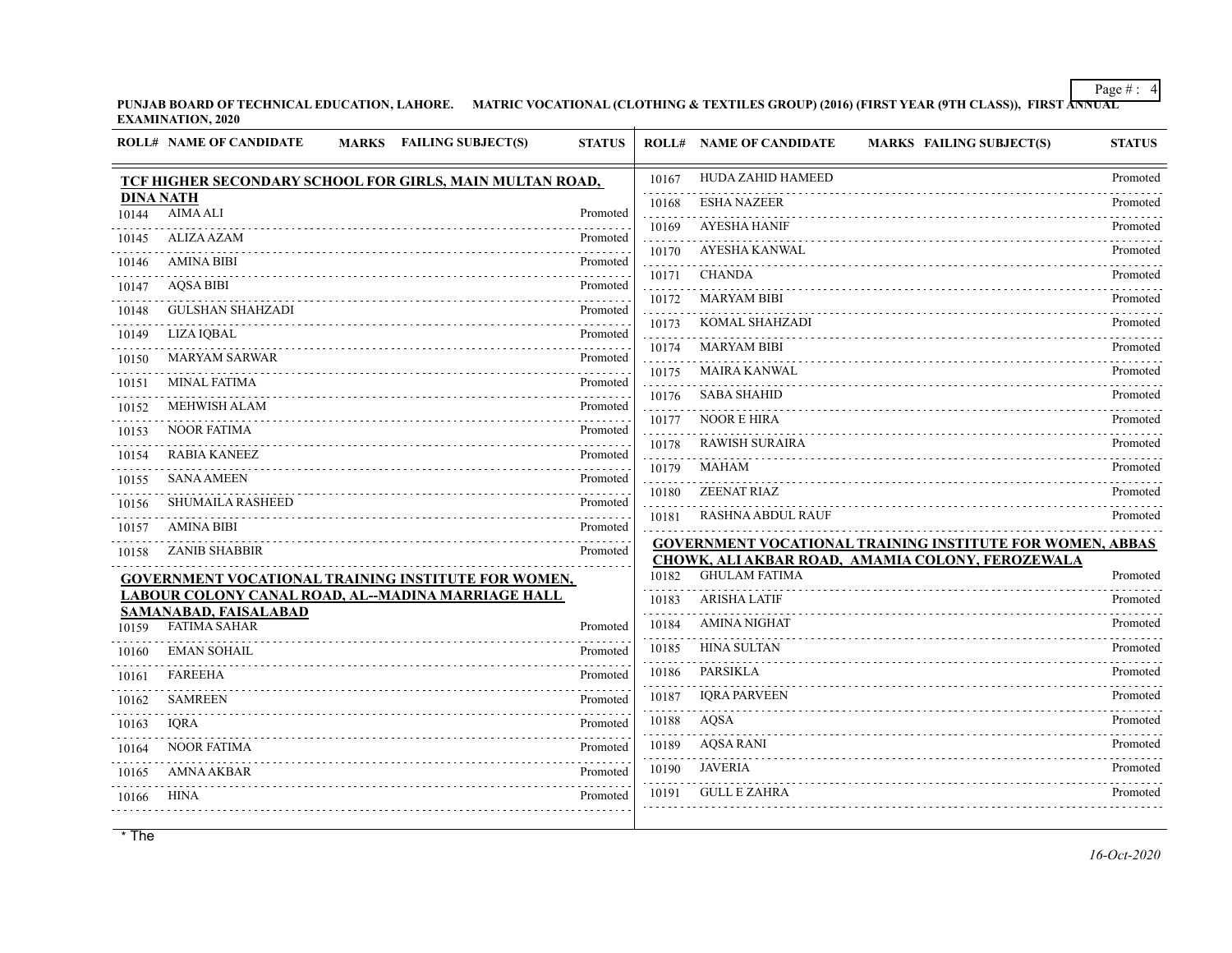**PUNJAB BOARD OF TECHNICAL EDUCATION, LAHORE. MATRIC VOCATIONAL (CLOTHING & TEXTILES GROUP) (2016) (FIRST YEAR (9TH CLASS)), FIRST ANNUAL EXAMINATION, 2020**

|                           | <b>ROLL# NAME OF CANDIDATE</b><br><b>FAILING SUBJECT(S)</b><br><b>MARKS</b> | <b>STATUS</b>        |       | <b>ROLL# NAME OF CANDIDATE</b><br><b>MARKS FAILING SUBJECT(S)</b> | <b>STATUS</b> |
|---------------------------|-----------------------------------------------------------------------------|----------------------|-------|-------------------------------------------------------------------|---------------|
|                           | TCF HIGHER SECONDARY SCHOOL FOR GIRLS, MAIN MULTAN ROAD,                    |                      | 10167 | <b>HUDA ZAHID HAMEED</b>                                          | Promoted      |
| <b>DINA NATH</b><br>10144 | <b>AIMA ALI</b>                                                             | Promoted             | 10168 | <b>ESHA NAZEER</b>                                                | Promoted      |
| 10145                     | <b>ALIZA AZAM</b>                                                           | <u>.</u><br>Promoted | 10169 | <b>AYESHA HANIF</b>                                               | Promoted      |
|                           | <b>AMINA BIBI</b>                                                           | Promoted             | 10170 | <b>AYESHA KANWAL</b>                                              | Promoted      |
| 10146                     |                                                                             |                      | 10171 | <b>CHANDA</b>                                                     | Promoted      |
| 10147                     | <b>AQSA BIBI</b>                                                            | Promoted             | 10172 | <b>MARYAM BIBI</b>                                                | Promoted      |
| 10148                     | <b>GULSHAN SHAHZADI</b>                                                     | Promoted<br>.        | 10173 | KOMAL SHAHZADI                                                    | Promoted      |
| 10149                     | <b>LIZA IQBAL</b>                                                           | Promoted<br>.        | 10174 | <b>MARYAM BIBI</b>                                                | Promoted      |
| 10150                     | <b>MARYAM SARWAR</b>                                                        | Promoted             | 10175 | <b>MAIRA KANWAL</b>                                               | Promoted      |
| 10151                     | <b>MINAL FATIMA</b>                                                         | Promoted             | 10176 | <b>SABA SHAHID</b>                                                | Promoted      |
| 10152                     | <b>MEHWISH ALAM</b>                                                         | Promoted             | 10177 | <b>NOOR E HIRA</b>                                                | Promoted      |
| 10153                     | <b>NOOR FATIMA</b>                                                          | Promoted             | 10178 | <b>RAWISH SURAIRA</b>                                             | Promoted      |
| 10154                     | <b>RABIA KANEEZ</b>                                                         | Promoted<br>.        | 10179 | <b>MAHAM</b>                                                      | Promoted      |
| 10155                     | <b>SANA AMEEN</b>                                                           | Promoted             | 10180 | <b>ZEENAT RIAZ</b>                                                | Promoted      |
| 10156                     | <b>SHUMAILA RASHEED</b>                                                     | Promoted             | 10181 | <b>RASHNA ABDUL RAUF</b>                                          | Promoted      |
| 10157                     | <b>AMINA BIBI</b>                                                           | Promoted             |       | <b>GOVERNMENT VOCATIONAL TRAINING INSTITUTE FOR WOMEN, ABBAS</b>  |               |
| 10158                     | <b>ZANIB SHABBIR</b>                                                        | Promoted             |       | CHOWK, ALI AKBAR ROAD, AMAMIA COLONY, FEROZEWALA                  |               |
|                           | <b>GOVERNMENT VOCATIONAL TRAINING INSTITUTE FOR WOMEN,</b>                  |                      | 10182 | <b>GHULAM FATIMA</b>                                              | Promoted      |
|                           | LABOUR COLONY CANAL ROAD, AL-MADINA MARRIAGE HALL<br>SAMANABAD, FAISALABAD  |                      | 10183 | <b>ARISHA LATIF</b>                                               | Promoted      |
| 10159                     | <b>FATIMA SAHAR</b>                                                         | Promoted             | 10184 | <b>AMINA NIGHAT</b>                                               | Promoted      |
| 10160                     | <b>EMAN SOHAIL</b>                                                          | Promoted             | 10185 | <b>HINA SULTAN</b>                                                | Promoted      |
| 10161                     | <b>FAREEHA</b>                                                              | Promoted             | 10186 | <b>PARSIKLA</b>                                                   | Promoted      |
| 10162                     | <b>SAMREEN</b>                                                              | Promoted             | 10187 | <b>IORA PARVEEN</b>                                               | Promoted      |
| 10163                     | <b>IORA</b>                                                                 | Promoted             | 10188 | AQSA                                                              | Promoted      |
| 10164                     | <b>NOOR FATIMA</b>                                                          | Promoted             | 10189 | <b>AQSA RANI</b>                                                  | Promoted      |
| 10165                     | <b>AMNA AKBAR</b>                                                           | Promoted             | 10190 | <b>JAVERIA</b>                                                    | Promoted      |
| 10166                     | <b>HINA</b>                                                                 | Promoted             | 10191 | <b>GULL E ZAHRA</b>                                               | .<br>Promoted |
|                           |                                                                             |                      |       |                                                                   |               |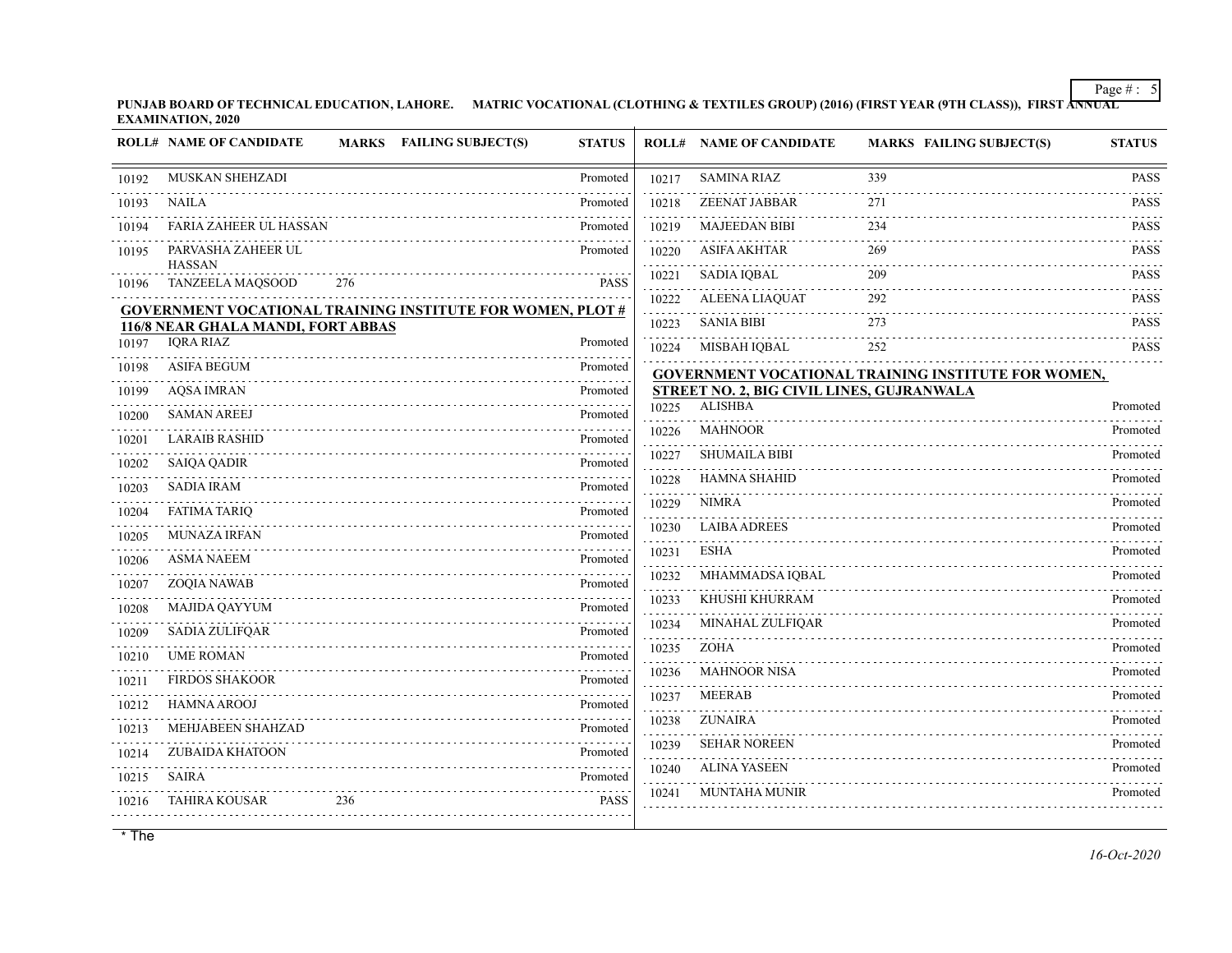**PUNJAB BOARD OF TECHNICAL EDUCATION, LAHORE. MATRIC VOCATIONAL (CLOTHING & TEXTILES GROUP) (2016) (FIRST YEAR (9TH CLASS)), FIRST ANNUAL EXAMINATION, 2020**

|       | <b>ROLL# NAME OF CANDIDATE</b>           |     | <b>MARKS</b> FAILING SUBJECT(S)                                   | <b>STATUS</b> |       | <b>ROLL# NAME OF CANDIDATE</b>                              | <b>MARKS FAILING SUBJECT(S)</b>                            | <b>STATUS</b> |
|-------|------------------------------------------|-----|-------------------------------------------------------------------|---------------|-------|-------------------------------------------------------------|------------------------------------------------------------|---------------|
| 10192 | MUSKAN SHEHZADI                          |     |                                                                   | Promoted      | 10217 | <b>SAMINA RIAZ</b>                                          | 339                                                        | <b>PASS</b>   |
| 10193 | NAILA                                    |     |                                                                   | Promoted      | 10218 | <b>ZEENAT JABBAR</b>                                        | 271                                                        | <b>PASS</b>   |
| 10194 | <b>FARIA ZAHEER UL HASSAN</b>            |     |                                                                   | Promoted      | 10219 | <b>MAJEEDAN BIBI</b>                                        | 234                                                        | <b>PASS</b>   |
| 10195 | PARVASHA ZAHEER UL                       |     |                                                                   | Promoted      | 10220 | <b>ASIFA AKHTAR</b>                                         | 269                                                        | <b>PASS</b>   |
| 10196 | <b>HASSAN</b><br><b>TANZEELA MAQSOOD</b> | 276 |                                                                   | <b>PASS</b>   | 10221 | <b>SADIA IQBAL</b>                                          | 209                                                        | <b>PASS</b>   |
|       |                                          |     |                                                                   |               | 10222 | <b>ALEENA LIAQUAT</b>                                       | 292                                                        | <b>PASS</b>   |
|       | 116/8 NEAR GHALA MANDI, FORT ABBAS       |     | <b>GOVERNMENT VOCATIONAL TRAINING INSTITUTE FOR WOMEN, PLOT #</b> |               | 10223 | <b>SANIA BIBI</b>                                           | 273                                                        | <b>PASS</b>   |
| 10197 | <b>IQRA RIAZ</b>                         |     |                                                                   | Promoted      | 10224 | MISBAH IQBAL                                                | 252                                                        | <b>PASS</b>   |
| 10198 | <b>ASIFA BEGUM</b>                       |     |                                                                   | Promoted      |       |                                                             | <b>GOVERNMENT VOCATIONAL TRAINING INSTITUTE FOR WOMEN,</b> |               |
| 10199 | <b>AQSA IMRAN</b>                        |     |                                                                   | Promoted      |       | STREET NO. 2, BIG CIVIL LINES, GUJRANWALA<br><b>ALISHBA</b> |                                                            |               |
| 10200 | <b>SAMAN AREEJ</b>                       |     |                                                                   | Promoted      | 10225 |                                                             |                                                            | Promoted      |
| 10201 | <b>LARAIB RASHID</b>                     |     |                                                                   | Promoted      | 10226 | <b>MAHNOOR</b>                                              |                                                            | Promoted      |
| 10202 | <b>SAIQA QADIR</b>                       |     |                                                                   | Promoted      | 10227 | <b>SHUMAILA BIBI</b>                                        |                                                            | Promoted      |
| 10203 | <b>SADIA IRAM</b>                        |     |                                                                   | Promoted      | 10228 | HAMNA SHAHID                                                |                                                            | Promoted      |
| 10204 | <b>FATIMA TARIQ</b>                      |     |                                                                   | Promoted      | 10229 | <b>NIMRA</b>                                                |                                                            | Promoted      |
| 10205 | <b>MUNAZA IRFAN</b>                      |     |                                                                   | Promoted      | 10230 | <b>LAIBA ADREES</b>                                         |                                                            | Promoted      |
| 10206 | <b>ASMA NAEEM</b>                        |     |                                                                   | Promoted      | 10231 | <b>ESHA</b>                                                 |                                                            | Promoted      |
| 10207 | ZOQIA NAWAB                              |     |                                                                   | Promoted      | 10232 | MHAMMADSA IQBAL                                             |                                                            | Promoted      |
| 10208 | <b>MAJIDA QAYYUM</b>                     |     |                                                                   | Promoted      | 10233 | KHUSHI KHURRAM                                              |                                                            | Promoted      |
| 10209 | <b>SADIA ZULIFQAR</b>                    |     |                                                                   | Promoted      | 10234 | MINAHAL ZULFIQAR                                            |                                                            | Promoted      |
| 10210 | <b>UME ROMAN</b>                         |     |                                                                   | Promoted      | 10235 | <b>ZOHA</b>                                                 |                                                            | Promoted      |
| 10211 | <b>FIRDOS SHAKOOR</b>                    |     |                                                                   | Promoted      | 10236 | <b>MAHNOOR NISA</b>                                         |                                                            | Promoted      |
| 10212 | <b>HAMNA AROOJ</b>                       |     |                                                                   | Promoted      | 10237 | <b>MEERAB</b>                                               |                                                            | Promoted      |
| 10213 | MEHJABEEN SHAHZAD                        |     |                                                                   | Promoted      | 10238 | <b>ZUNAIRA</b>                                              |                                                            | Promoted      |
| 10214 | <b>ZUBAIDA KHATOON</b>                   |     |                                                                   | Promoted      | 10239 | <b>SEHAR NOREEN</b>                                         |                                                            | Promoted      |
| 10215 | SAIRA                                    |     |                                                                   | Promoted      | 10240 | <b>ALINA YASEEN</b>                                         |                                                            | Promoted      |
| 10216 | TAHIRA KOUSAR                            | 236 |                                                                   | <b>PASS</b>   | 10241 | <b>MUNTAHA MUNIR</b>                                        |                                                            | Promoted      |
|       |                                          |     |                                                                   |               |       |                                                             |                                                            |               |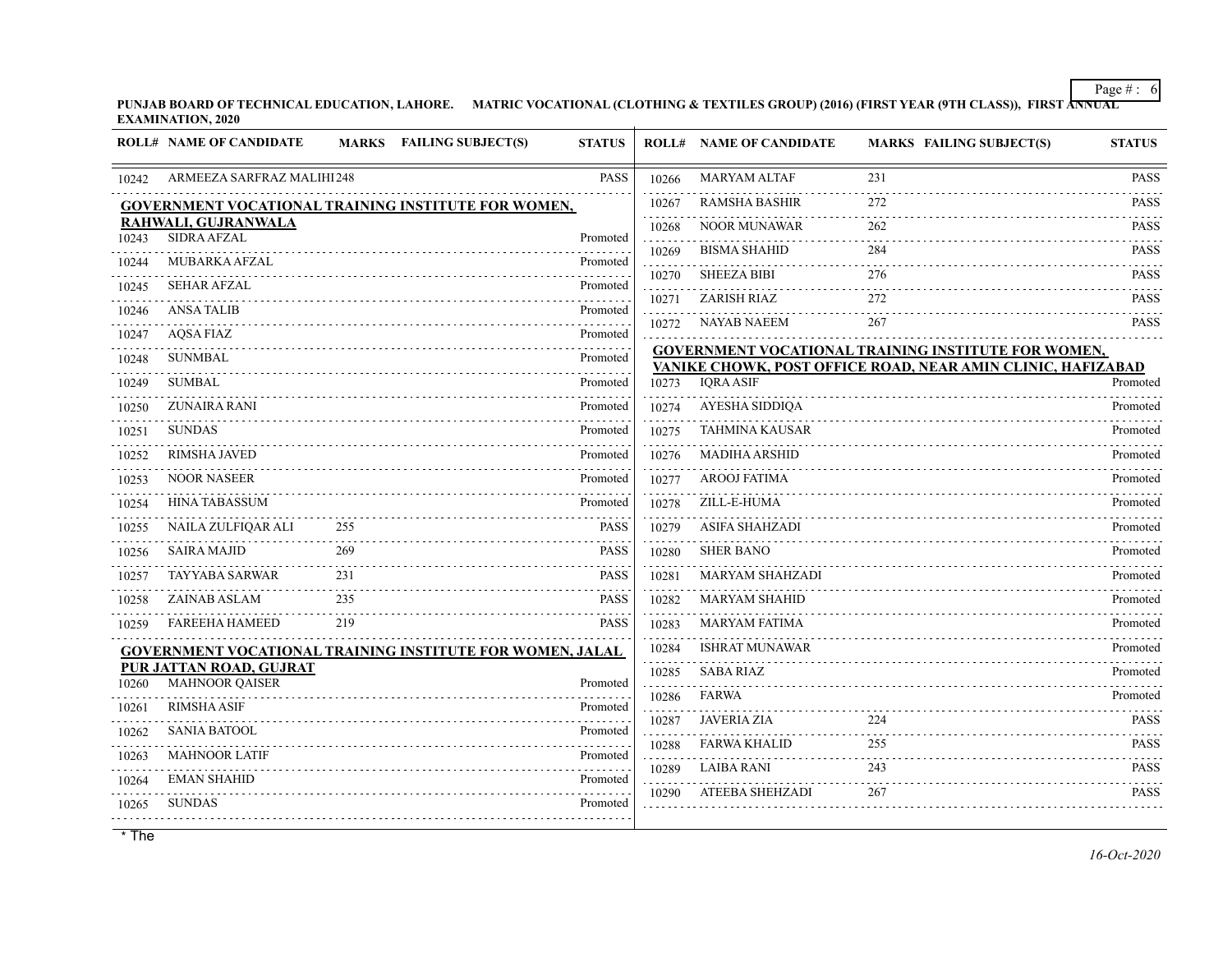**PUNJAB BOARD OF TECHNICAL EDUCATION, LAHORE. MATRIC VOCATIONAL (CLOTHING & TEXTILES GROUP) (2016) (FIRST YEAR (9TH CLASS)), FIRST ANNUAL EXAMINATION, 2020**

|                | <b>ROLL# NAME OF CANDIDATE</b>                                   |     | MARKS FAILING SUBJECT(S) | <b>STATUS</b>             |            | <b>ROLL# NAME OF CANDIDATE</b> | <b>MARKS FAILING SUBJECT(S)</b>                             | <b>STATUS</b>    |
|----------------|------------------------------------------------------------------|-----|--------------------------|---------------------------|------------|--------------------------------|-------------------------------------------------------------|------------------|
| 10242          | ARMEEZA SARFRAZ MALIHI 248                                       |     |                          | <b>PASS</b>               | 10266      | <b>MARYAM ALTAF</b>            | 231                                                         | <b>PASS</b>      |
|                | <b>GOVERNMENT VOCATIONAL TRAINING INSTITUTE FOR WOMEN,</b>       |     |                          |                           | 10267      | <b>RAMSHA BASHIR</b>           | 272                                                         | <b>PASS</b>      |
| 10243          | RAHWALI, GUJRANWALA<br><b>SIDRA AFZAL</b>                        |     |                          | Promoted                  | .<br>10268 | <b>NOOR MUNAWAR</b>            | 262                                                         | <b>PASS</b>      |
| 10244          | MUBARKA AFZAL                                                    |     |                          | .<br>Promoted             | 10269      | <b>BISMA SHAHID</b>            | 284                                                         | <b>PASS</b>      |
|                | <b>SEHAR AFZAL</b>                                               |     |                          | 1.1.1.1.1.1.1<br>Promoted | 10270      | <b>SHEEZA BIBI</b>             | 276                                                         | .<br><b>PASS</b> |
| 10245<br>10246 | <b>ANSA TALIB</b>                                                |     |                          | Promoted                  | .<br>10271 | <b>ZARISH RIAZ</b>             | 272                                                         | PASS             |
| 10247          | <b>AOSA FIAZ</b>                                                 |     |                          | Promoted                  | 10272      | NAYAB NAEEM                    | 267                                                         | <b>PASS</b>      |
| 10248          | <b>SUNMBAL</b>                                                   |     |                          | .<br>Promoted             |            |                                | <b>GOVERNMENT VOCATIONAL TRAINING INSTITUTE FOR WOMEN,</b>  |                  |
| 10249          | <b>SUMBAL</b>                                                    |     |                          | Promoted                  | 10273      | <b>IORA ASIF</b>               | VANIKE CHOWK, POST OFFICE ROAD, NEAR AMIN CLINIC, HAFIZABAD | Promoted         |
| 10250          | <b>ZUNAIRA RANI</b>                                              |     |                          | .<br>Promoted             | 10274      | AYESHA SIDDIQA                 |                                                             | .<br>Promoted    |
| 10251          | <b>SUNDAS</b>                                                    |     |                          | Promoted                  | 10275      | <b>TAHMINA KAUSAR</b>          |                                                             | Promoted         |
| 10252          | <b>RIMSHA JAVED</b>                                              |     |                          | Promoted                  | 10276      | <b>MADIHA ARSHID</b>           |                                                             | Promoted         |
| 10253          | <b>NOOR NASEER</b>                                               |     |                          | Promoted                  | 10277      | .<br><b>AROOJ FATIMA</b>       |                                                             | Promoted         |
| 10254          | <b>HINA TABASSUM</b>                                             |     |                          | Promoted                  | .<br>10278 | ZILL-E-HUMA                    |                                                             | Promoted         |
| 10255          | NAILA ZULFIQAR ALI                                               | 255 |                          | <b>PASS</b>               | 10279      | ASIFA SHAHZADI                 |                                                             | Promoted         |
| 10256          | <b>SAIRA MAJID</b>                                               | 269 |                          | <b>PASS</b>               | 10280      | <b>SHER BANO</b>               |                                                             | Promoted         |
| 10257          | <b>TAYYABA SARWAR</b>                                            | 231 |                          | <b>PASS</b>               | 10281      | <b>MARYAM SHAHZADI</b>         |                                                             | Promoted         |
| 10258          | ZAINAB ASLAM                                                     | 235 |                          | <b>PASS</b>               | 10282      | <b>MARYAM SHAHID</b>           |                                                             | Promoted         |
| 10259          | <b>FAREEHA HAMEED</b>                                            | 219 |                          | <b>PASS</b>               | .<br>10283 | <b>MARYAM FATIMA</b>           |                                                             | Promoted         |
|                | <b>GOVERNMENT VOCATIONAL TRAINING INSTITUTE FOR WOMEN, JALAL</b> |     |                          |                           | .<br>10284 | .<br><b>ISHRAT MUNAWAR</b>     |                                                             | Promoted         |
|                | PUR JATTAN ROAD, GUJRAT                                          |     |                          |                           | .<br>10285 | <b>SABA RIAZ</b>               |                                                             | Promoted         |
| 10260          | <b>MAHNOOR QAISER</b>                                            |     |                          | Promoted<br>1.1.1.1.1.1.1 | 10286      | FARWA                          |                                                             | Promoted         |
| 10261          | <b>RIMSHA ASIF</b>                                               |     |                          | Promoted<br>.             | 10287      | <b>JAVERIA ZIA</b>             | 224                                                         | <b>PASS</b>      |
| 10262          | <b>SANIA BATOOL</b>                                              |     |                          | Promoted<br>.             | 10288      | <b>FARWA KHALID</b>            | 255                                                         | <b>PASS</b>      |
| 10263          | <b>MAHNOOR LATIF</b>                                             |     |                          | Promoted                  | .<br>10289 | <b>LAIBA RANI</b>              | 243                                                         | <b>PASS</b>      |
| 10264          | <b>EMAN SHAHID</b>                                               |     |                          | Promoted                  | .<br>10290 | ATEEBA SHEHZADI                | 267                                                         | .<br><b>PASS</b> |
| 10265          | SUNDAS                                                           |     |                          | Promoted                  |            |                                |                                                             |                  |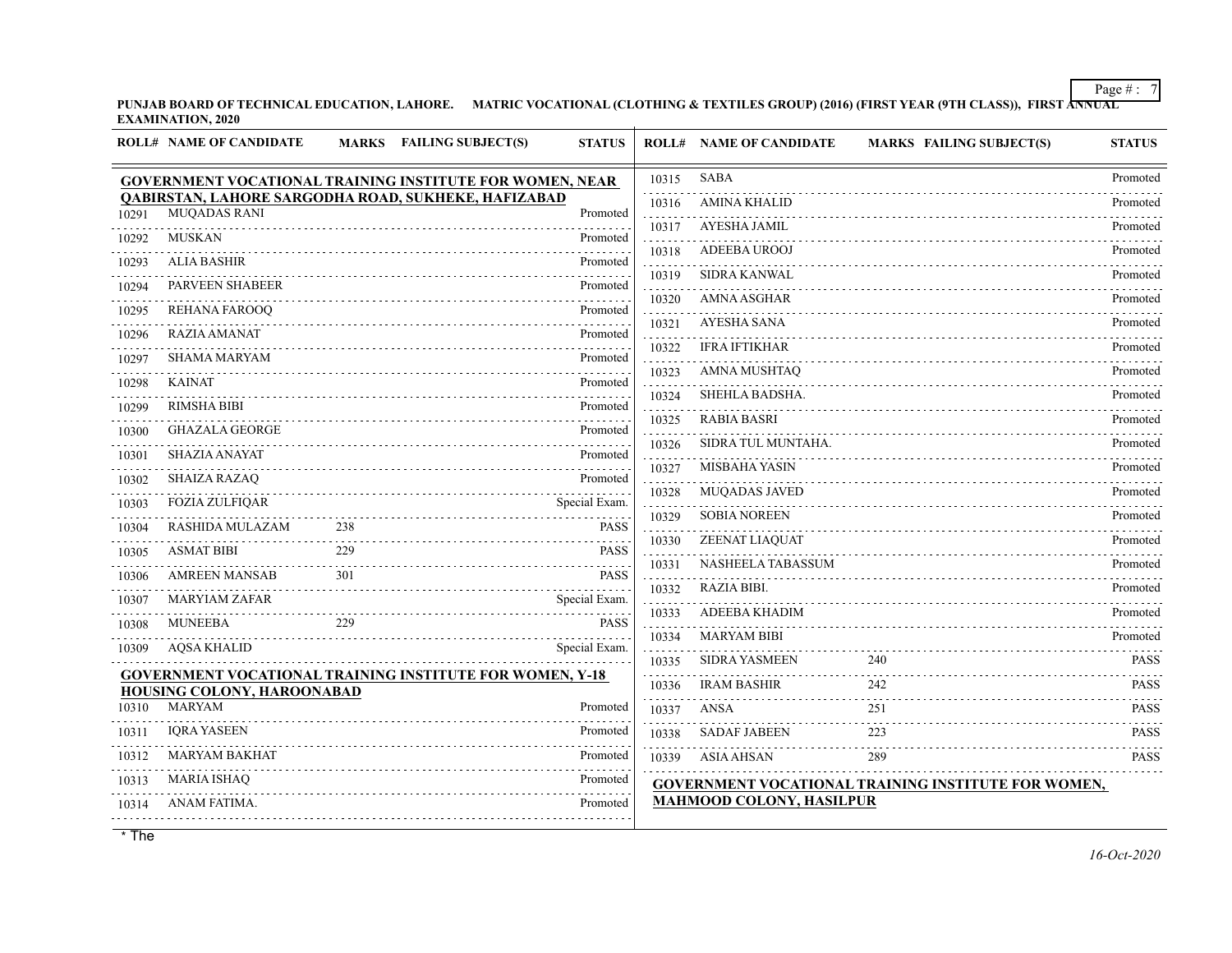**PUNJAB BOARD OF TECHNICAL EDUCATION, LAHORE. MATRIC VOCATIONAL (CLOTHING & TEXTILES GROUP) (2016) (FIRST YEAR (9TH CLASS)), FIRST ANNUAL EXAMINATION, 2020**

|       | <b>ROLL# NAME OF CANDIDATE</b>                                             |     | MARKS FAILING SUBJECT(S) | <b>STATUS</b> |       | <b>ROLL# NAME OF CANDIDATE</b>  | <b>MARKS FAILING SUBJECT(S)</b>                            | <b>STATUS</b> |
|-------|----------------------------------------------------------------------------|-----|--------------------------|---------------|-------|---------------------------------|------------------------------------------------------------|---------------|
|       | <b>GOVERNMENT VOCATIONAL TRAINING INSTITUTE FOR WOMEN, NEAR</b>            |     |                          |               | 10315 | <b>SABA</b>                     |                                                            | Promoted      |
| 10291 | QABIRSTAN, LAHORE SARGODHA ROAD, SUKHEKE, HAFIZABAD<br><b>MUQADAS RANI</b> |     |                          | Promoted      | 10316 | <b>AMINA KHALID</b>             |                                                            | Promoted      |
| 10292 | <b>MUSKAN</b>                                                              |     |                          | .<br>Promoted | 10317 | <b>AYESHA JAMIL</b>             |                                                            | Promoted      |
|       | <b>ALIA BASHIR</b>                                                         |     |                          | Promoted      | 10318 | <b>ADEEBA UROOJ</b>             |                                                            | Promoted      |
| 10293 |                                                                            |     |                          |               | 10319 | <b>SIDRA KANWAL</b>             |                                                            | Promoted      |
| 10294 | PARVEEN SHABEER                                                            |     |                          | Promoted      | 10320 | <b>AMNA ASGHAR</b>              |                                                            | Promoted      |
| 10295 | REHANA FAROOQ                                                              |     |                          | Promoted      | 10321 | <b>AYESHA SANA</b>              |                                                            | Promoted      |
| 10296 | <b>RAZIA AMANAT</b>                                                        |     |                          | Promoted      | 10322 | <b>IFRA IFTIKHAR</b>            |                                                            | Promoted      |
| 10297 | <b>SHAMA MARYAM</b>                                                        |     |                          | Promoted      | 10323 | <b>AMNA MUSHTAQ</b>             |                                                            | Promoted      |
| 10298 | <b>KAINAT</b>                                                              |     |                          | Promoted      | 10324 | SHEHLA BADSHA.                  |                                                            | Promoted      |
| 10299 | <b>RIMSHA BIBI</b>                                                         |     |                          | Promoted      | 10325 | <b>RABIA BASRI</b>              |                                                            | Promoted      |
| 10300 | <b>GHAZALA GEORGE</b>                                                      |     |                          | Promoted      | 10326 | SIDRA TUL MUNTAHA.              |                                                            | Promoted      |
| 10301 | <b>SHAZIA ANAYAT</b>                                                       |     |                          | Promoted      | 10327 | MISBAHA YASIN                   |                                                            | Promoted      |
| 10302 | <b>SHAIZA RAZAQ</b>                                                        |     |                          | Promoted      | 10328 | MUQADAS JAVED                   |                                                            | Promoted      |
| 10303 | <b>FOZIA ZULFIQAR</b>                                                      |     |                          | Special Exam. | 10329 | <b>SOBIA NOREEN</b>             |                                                            | Promoted      |
| 10304 | RASHIDA MULAZAM                                                            | 238 |                          | <b>PASS</b>   | 10330 | ZEENAT LIAQUAT                  |                                                            | Promoted      |
| 10305 | <b>ASMAT BIBI</b>                                                          | 229 |                          | <b>PASS</b>   | 10331 | NASHEELA TABASSUM               |                                                            | Promoted      |
| 10306 | <b>AMREEN MANSAB</b>                                                       | 301 |                          | <b>PASS</b>   | 10332 | <b>RAZIA BIBI.</b>              |                                                            | Promoted      |
| 10307 | <b>MARYIAM ZAFAR</b>                                                       |     |                          | Special Exam. | 10333 | <b>ADEEBA KHADIM</b>            |                                                            | Promoted      |
| 10308 | <b>MUNEEBA</b>                                                             | 229 |                          | <b>PASS</b>   | 10334 | <b>MARYAM BIBI</b>              |                                                            | Promoted      |
| 10309 | <b>AQSA KHALID</b>                                                         |     |                          | Special Exam. | 10335 | <b>SIDRA YASMEEN</b>            | 240                                                        | <b>PASS</b>   |
|       | <b>GOVERNMENT VOCATIONAL TRAINING INSTITUTE FOR WOMEN, Y-18</b>            |     |                          |               | 10336 | <b>IRAM BASHIR</b>              | 242                                                        | <b>PASS</b>   |
| 10310 | HOUSING COLONY, HAROONABAD<br><b>MARYAM</b>                                |     |                          | Promoted      |       | ANSA                            | 251                                                        | <b>PASS</b>   |
|       | <b>IORA YASEEN</b>                                                         |     |                          | Promoted      | 10337 |                                 |                                                            |               |
| 10311 | <b>MARYAM BAKHAT</b>                                                       |     |                          |               | 10338 | <b>SADAF JABEEN</b>             | 223                                                        | <b>PASS</b>   |
| 10312 |                                                                            |     |                          | Promoted      | 10339 | ASIA AHSAN                      | 289                                                        | <b>PASS</b>   |
| 10313 | MARIA ISHAQ                                                                |     |                          | Promoted      |       | <b>MAHMOOD COLONY, HASILPUR</b> | <b>GOVERNMENT VOCATIONAL TRAINING INSTITUTE FOR WOMEN,</b> |               |
| 10314 | ANAM FATIMA.                                                               |     |                          | Promoted      |       |                                 |                                                            |               |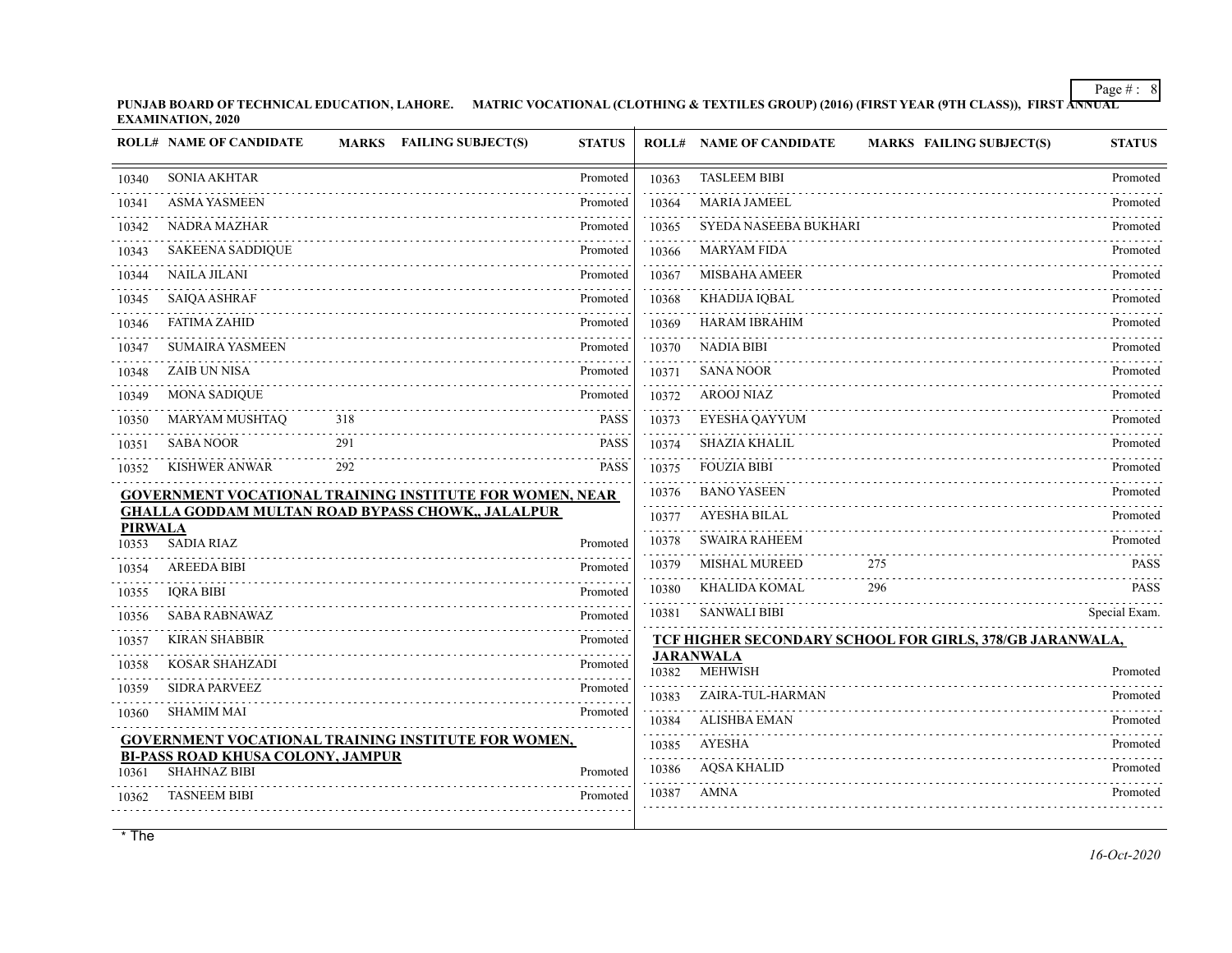**PUNJAB BOARD OF TECHNICAL EDUCATION, LAHORE. MATRIC VOCATIONAL (CLOTHING & TEXTILES GROUP) (2016) (FIRST YEAR (9TH CLASS)), FIRST ANNUAL EXAMINATION, 2020**

|                | <b>ROLL# NAME OF CANDIDATE</b>                                  |     | MARKS FAILING SUBJECT(S)                                        | <b>STATUS</b> |       | <b>ROLL# NAME OF CANDIDATE</b>     | <b>MARKS FAILING SUBJECT(S)</b>                          | <b>STATUS</b> |
|----------------|-----------------------------------------------------------------|-----|-----------------------------------------------------------------|---------------|-------|------------------------------------|----------------------------------------------------------|---------------|
| 10340          | <b>SONIA AKHTAR</b>                                             |     |                                                                 | Promoted      | 10363 | <b>TASLEEM BIBI</b>                |                                                          | Promoted      |
| 10341          | <b>ASMA YASMEEN</b>                                             |     |                                                                 | Promoted      | 10364 | <b>MARIA JAMEEL</b>                |                                                          | Promoted      |
| 10342          | NADRA MAZHAR                                                    |     |                                                                 | Promoted      | 10365 | SYEDA NASEEBA BUKHARI              |                                                          | Promoted      |
| 10343          | <b>SAKEENA SADDIQUE</b>                                         |     |                                                                 | Promoted      | 10366 | <b>MARYAM FIDA</b>                 |                                                          | Promoted      |
| 10344          | NAILA JILANI                                                    |     |                                                                 | Promoted      | 10367 | <b>MISBAHA AMEER</b>               |                                                          | Promoted      |
| 10345          | <b>SAIQA ASHRAF</b>                                             |     |                                                                 | Promoted      | 10368 | <b>KHADIJA IQBAL</b>               |                                                          | Promoted      |
| 10346          | <b>FATIMA ZAHID</b>                                             |     |                                                                 | Promoted      | 10369 | <b>HARAM IBRAHIM</b>               |                                                          | Promoted      |
| 10347          | <b>SUMAIRA YASMEEN</b>                                          |     |                                                                 | Promoted      | 10370 | NADIA BIBI                         |                                                          | Promoted      |
| 10348          | <b>ZAIB UN NISA</b>                                             |     |                                                                 | Promoted      | 10371 | <b>SANA NOOR</b>                   |                                                          | Promoted      |
| 10349          | <b>MONA SADIQUE</b>                                             |     |                                                                 | Promoted      | 10372 | <b>AROOJ NIAZ</b>                  |                                                          | Promoted      |
| 10350          | MARYAM MUSHTAQ                                                  | 318 |                                                                 | <b>PASS</b>   | 10373 | EYESHA QAYYUM                      |                                                          | Promoted      |
| 10351          | <b>SABA NOOR</b>                                                | 291 |                                                                 | <b>PASS</b>   | 10374 | <b>SHAZIA KHALIL</b>               |                                                          | Promoted      |
| 10352          | <b>KISHWER ANWAR</b>                                            | 292 |                                                                 | <b>PASS</b>   | 10375 | <b>FOUZIA BIBI</b>                 |                                                          | Promoted      |
|                |                                                                 |     | <b>GOVERNMENT VOCATIONAL TRAINING INSTITUTE FOR WOMEN, NEAR</b> |               | 10376 | <b>BANO YASEEN</b>                 |                                                          | Promoted      |
| <b>PIRWALA</b> |                                                                 |     | <b>GHALLA GODDAM MULTAN ROAD BYPASS CHOWK,, JALALPUR</b>        |               | 10377 | <b>AYESHA BILAL</b>                |                                                          | Promoted      |
| 10353          | <b>SADIA RIAZ</b>                                               |     |                                                                 | Promoted      | 10378 | <b>SWAIRA RAHEEM</b>               |                                                          | Promoted      |
| 10354          | <b>AREEDA BIBI</b>                                              |     |                                                                 | Promoted      | 10379 | <b>MISHAL MUREED</b>               | 275                                                      | <b>PASS</b>   |
| 10355          | <b>IORA BIBI</b>                                                |     |                                                                 | Promoted      | 10380 | KHALIDA KOMAL                      | 296                                                      | <b>PASS</b>   |
| 10356          | <b>SABA RABNAWAZ</b>                                            |     |                                                                 | Promoted      | 10381 | <b>SANWALI BIBI</b>                |                                                          | Special Exam. |
| 10357          | <b>KIRAN SHABBIR</b>                                            |     |                                                                 | Promoted      |       |                                    | TCF HIGHER SECONDARY SCHOOL FOR GIRLS, 378/GB JARANWALA, |               |
| 10358          | <b>KOSAR SHAHZADI</b>                                           |     |                                                                 | Promoted      | 10382 | <b>JARANWALA</b><br><b>MEHWISH</b> |                                                          | Promoted      |
| 10359          | <b>SIDRA PARVEEZ</b>                                            |     |                                                                 | Promoted      | 10383 | ZAIRA-TUL-HARMAN                   |                                                          | Promoted      |
| 10360          | <b>SHAMIM MAI</b>                                               |     |                                                                 | Promoted      | 10384 | <b>ALISHBA EMAN</b>                |                                                          | Promoted      |
|                |                                                                 |     | <b>GOVERNMENT VOCATIONAL TRAINING INSTITUTE FOR WOMEN,</b>      |               | 10385 | AYESHA                             |                                                          | Promoted      |
| 10361          | <b>BI-PASS ROAD KHUSA COLONY, JAMPUR</b><br><b>SHAHNAZ BIBI</b> |     |                                                                 | Promoted      | 10386 | <b>AQSA KHALID</b>                 |                                                          | Promoted      |
| 10362          | <b>TASNEEM BIBI</b>                                             |     |                                                                 | Promoted      | 10387 | AMNA                               |                                                          | Promoted      |
|                |                                                                 |     |                                                                 |               |       |                                    |                                                          |               |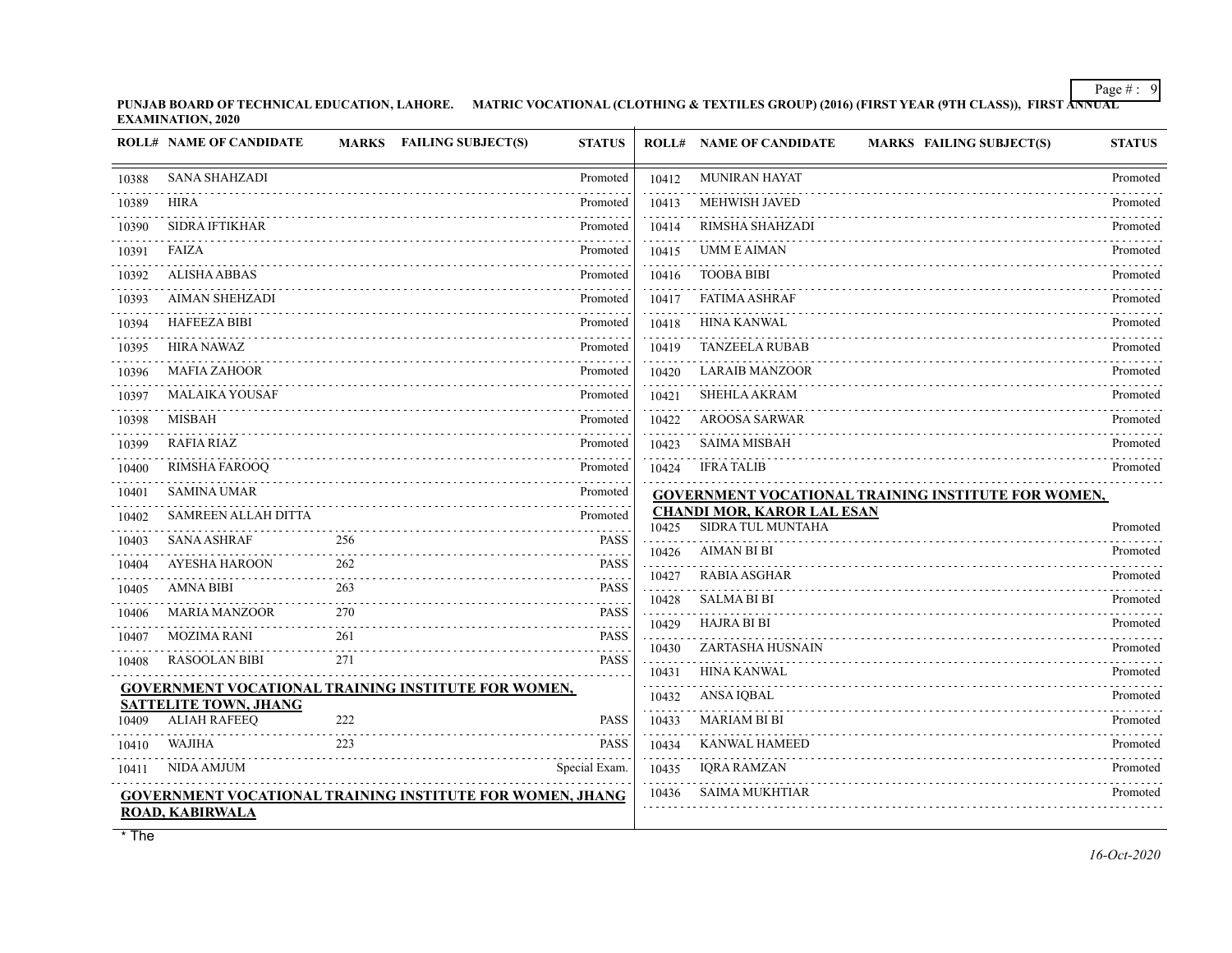**PUNJAB BOARD OF TECHNICAL EDUCATION, LAHORE. MATRIC VOCATIONAL (CLOTHING & TEXTILES GROUP) (2016) (FIRST YEAR (9TH CLASS)), FIRST ANNUAL EXAMINATION, 2020**

|       | <b>ROLL# NAME OF CANDIDATE</b>                      |     | MARKS FAILING SUBJECT(S)                                         | <b>STATUS</b> |       | <b>ROLL# NAME OF CANDIDATE</b><br><b>MARKS FAILING SUBJECT(S)</b> | <b>STATUS</b> |
|-------|-----------------------------------------------------|-----|------------------------------------------------------------------|---------------|-------|-------------------------------------------------------------------|---------------|
| 10388 | <b>SANA SHAHZADI</b>                                |     |                                                                  | Promoted      | 10412 | <b>MUNIRAN HAYAT</b>                                              | Promoted      |
| 10389 | HIRA                                                |     |                                                                  | Promoted      | 10413 | <b>MEHWISH JAVED</b>                                              | Promoted      |
| 10390 | <b>SIDRA IFTIKHAR</b>                               |     |                                                                  | Promoted      | 10414 | RIMSHA SHAHZADI                                                   | Promoted      |
| 10391 | FAIZA                                               |     |                                                                  | Promoted      | 10415 | <b>UMM E AIMAN</b>                                                | Promoted      |
| 10392 | <b>ALISHA ABBAS</b>                                 |     |                                                                  | Promoted      | 10416 | <b>TOOBA BIBI</b>                                                 | Promoted      |
| 10393 | <b>AIMAN SHEHZADI</b>                               |     |                                                                  | Promoted      | 10417 | <b>FATIMA ASHRAF</b>                                              | Promoted      |
| 10394 | <b>HAFEEZA BIBI</b>                                 |     |                                                                  | Promoted      | 10418 | <b>HINA KANWAL</b>                                                | Promoted      |
| 10395 | <b>HIRA NAWAZ</b>                                   |     |                                                                  | Promoted      | 10419 | <b>TANZEELA RUBAB</b>                                             | Promoted      |
| 10396 | <b>MAFIA ZAHOOR</b>                                 |     |                                                                  | Promoted      | 10420 | <b>LARAIB MANZOOR</b>                                             | Promoted      |
| 10397 | <b>MALAIKA YOUSAF</b>                               |     |                                                                  | Promoted      | 10421 | <b>SHEHLA AKRAM</b>                                               | Promoted      |
| 10398 | <b>MISBAH</b>                                       |     |                                                                  | Promoted      | 10422 | <b>AROOSA SARWAR</b>                                              | Promoted      |
| 10399 | <b>RAFIA RIAZ</b>                                   |     |                                                                  | Promoted      | 10423 | <b>SAIMA MISBAH</b>                                               | Promoted      |
| 10400 | <b>RIMSHA FAROOQ</b>                                |     |                                                                  | Promoted      | 10424 | <b>IFRA TALIB</b>                                                 | Promoted      |
| 10401 | <b>SAMINA UMAR</b>                                  |     |                                                                  | Promoted<br>. |       | <b>GOVERNMENT VOCATIONAL TRAINING INSTITUTE FOR WOMEN,</b>        |               |
| 10402 | SAMREEN ALLAH DITTA                                 |     |                                                                  | Promoted      | 10425 | <b>CHANDI MOR, KAROR LAL ESAN</b><br>SIDRA TUL MUNTAHA            | Promoted      |
| 10403 | <b>SANA ASHRAF</b>                                  | 256 |                                                                  | <b>PASS</b>   | 10426 | <b>AIMAN BI BI</b>                                                | Promoted      |
| 10404 | <b>AYESHA HAROON</b>                                | 262 |                                                                  | <b>PASS</b>   | 10427 | <b>RABIA ASGHAR</b>                                               | Promoted      |
| 10405 | <b>AMNA BIBI</b>                                    | 263 |                                                                  | <b>PASS</b>   | 10428 | <b>SALMA BI BI</b>                                                | Promoted      |
| 10406 | <b>MARIA MANZOOR</b>                                | 270 |                                                                  | <b>PASS</b>   | 10429 | <b>HAJRA BI BI</b>                                                | Promoted      |
| 10407 | <b>MOZIMA RANI</b>                                  | 261 |                                                                  | <b>PASS</b>   | 10430 | ZARTASHA HUSNAIN                                                  | Promoted      |
| 10408 | <b>RASOOLAN BIBI</b>                                | 271 |                                                                  | <b>PASS</b>   | 10431 | <b>HINA KANWAL</b>                                                | Promoted      |
|       |                                                     |     | GOVERNMENT VOCATIONAL TRAINING INSTITUTE FOR WOMEN,              |               | 10432 | <b>ANSAIQBAL</b>                                                  | Promoted      |
| 10409 | <b>SATTELITE TOWN, JHANG</b><br><b>ALIAH RAFEEQ</b> | 222 |                                                                  | <b>PASS</b>   | 10433 | <b>MARIAM BI BI</b>                                               | Promoted      |
| 10410 | <b>WAJIHA</b>                                       | 223 |                                                                  | <b>PASS</b>   | 10434 | <b>KANWAL HAMEED</b>                                              | Promoted      |
| 10411 | NIDA AMJUM                                          |     |                                                                  | Special Exam. | 10435 | <b>IQRA RAMZAN</b>                                                | Promoted      |
|       |                                                     |     |                                                                  |               | 10436 | <b>SAIMA MUKHTIAR</b>                                             | Promoted      |
|       | <b>ROAD, KABIRWALA</b>                              |     | <b>GOVERNMENT VOCATIONAL TRAINING INSTITUTE FOR WOMEN, JHANG</b> |               |       |                                                                   |               |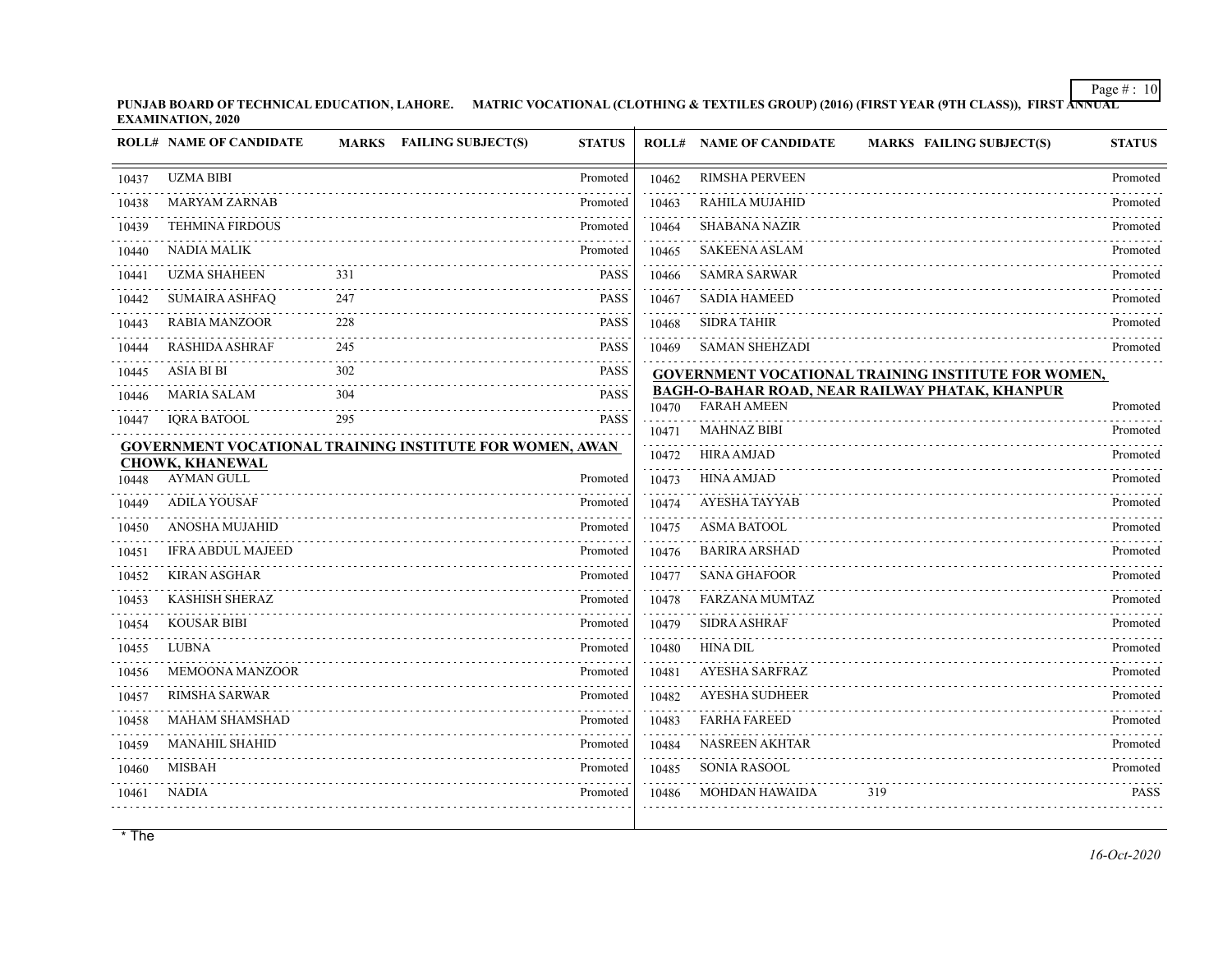**PUNJAB BOARD OF TECHNICAL EDUCATION, LAHORE. MATRIC VOCATIONAL (CLOTHING & TEXTILES GROUP) (2016) (FIRST YEAR (9TH CLASS)), FIRST ANNUAL EXAMINATION, 2020**

|       | <b>ROLL# NAME OF CANDIDATE</b>              | <b>MARKS</b> | <b>FAILING SUBJECT(S)</b><br><b>STATUS</b>                      |       | <b>ROLL# NAME OF CANDIDATE</b> | <b>MARKS FAILING SUBJECT(S)</b>                            | <b>STATUS</b> |
|-------|---------------------------------------------|--------------|-----------------------------------------------------------------|-------|--------------------------------|------------------------------------------------------------|---------------|
| 10437 | <b>UZMA BIBI</b>                            |              | Promoted                                                        | 10462 | <b>RIMSHA PERVEEN</b>          |                                                            | Promoted      |
| 10438 | <b>MARYAM ZARNAB</b>                        |              | Promoted                                                        | 10463 | RAHILA MUJAHID                 |                                                            | Promoted      |
| 10439 | <b>TEHMINA FIRDOUS</b>                      |              | Promoted                                                        | 10464 | <b>SHABANA NAZIR</b>           |                                                            | Promoted      |
| 10440 | <b>NADIA MALIK</b>                          |              | Promoted                                                        | 10465 | <b>SAKEENA ASLAM</b>           |                                                            | Promoted      |
| 10441 | <b>UZMA SHAHEEN</b>                         | 331          | PASS                                                            | 10466 | <b>SAMRA SARWAR</b>            |                                                            | Promoted      |
| 10442 | SUMAIRA ASHFAQ                              | 247          | <b>PASS</b>                                                     | 10467 | <b>SADIA HAMEED</b>            |                                                            | Promoted      |
| 10443 | <b>RABIA MANZOOR</b>                        | 228          | <b>PASS</b>                                                     | 10468 | <b>SIDRA TAHIR</b>             |                                                            | Promoted      |
| 10444 | <b>RASHIDA ASHRAF</b>                       | 245          | PASS                                                            | 10469 | <b>SAMAN SHEHZADI</b>          |                                                            | Promoted      |
| 10445 | <b>ASIA BI BI</b>                           | 302          | <b>PASS</b>                                                     |       |                                | <b>GOVERNMENT VOCATIONAL TRAINING INSTITUTE FOR WOMEN,</b> |               |
| 10446 | <b>MARIA SALAM</b>                          | 304          | <b>PASS</b>                                                     | 10470 | <b>FARAH AMEEN</b>             | <b>BAGH-O-BAHAR ROAD, NEAR RAILWAY PHATAK, KHANPUR</b>     | Promoted      |
| 10447 | <b>IORA BATOOL</b>                          | 295          | <b>PASS</b>                                                     | 10471 | <b>MAHNAZ BIBI</b>             |                                                            | Promoted      |
|       |                                             |              | <b>GOVERNMENT VOCATIONAL TRAINING INSTITUTE FOR WOMEN, AWAN</b> | 10472 | <b>HIRA AMJAD</b>              |                                                            | Promoted      |
| 10448 | <b>CHOWK, KHANEWAL</b><br><b>AYMAN GULL</b> |              | Promoted                                                        | 10473 | <b>HINA AMJAD</b>              |                                                            | Promoted      |
| 10449 | <b>ADILA YOUSAF</b>                         |              | Promoted                                                        | 10474 | AYESHA TAYYAB                  |                                                            | Promoted      |
| 10450 | ANOSHA MUJAHID                              |              | Promoted                                                        | 10475 | <b>ASMA BATOOL</b>             |                                                            | Promoted      |
| 10451 | <b>IFRA ABDUL MAJEED</b>                    |              | Promoted                                                        | 10476 | <b>BARIRA ARSHAD</b>           |                                                            | Promoted      |
| 10452 | <b>KIRAN ASGHAR</b>                         |              | Promoted                                                        | 10477 | <b>SANA GHAFOOR</b>            |                                                            | Promoted      |
| 10453 | <b>KASHISH SHERAZ</b>                       |              | Promoted                                                        | 10478 | <b>FARZANA MUMTAZ</b>          |                                                            | Promoted      |
| 10454 | <b>KOUSAR BIBI</b>                          |              | Promoted                                                        | 10479 | <b>SIDRA ASHRAF</b>            |                                                            | Promoted      |
| 10455 | <b>LUBNA</b>                                |              | Promoted                                                        | 10480 | <b>HINA DIL</b>                |                                                            | Promoted      |
| 10456 | <b>MEMOONA MANZOOR</b>                      |              | Promoted                                                        | 10481 | <b>AYESHA SARFRAZ</b>          |                                                            | Promoted      |
| 10457 | <b>RIMSHA SARWAR</b>                        |              | Promoted                                                        | 10482 | <b>AYESHA SUDHEER</b>          |                                                            | Promoted      |
| 10458 | <b>MAHAM SHAMSHAD</b>                       |              | Promoted                                                        | 10483 | <b>FARHA FAREED</b>            |                                                            | Promoted      |
| 10459 | <b>MANAHIL SHAHID</b>                       |              | Promoted                                                        | 10484 | NASREEN AKHTAR                 |                                                            | Promoted      |
| 10460 | <b>MISBAH</b>                               |              | Promoted                                                        | 10485 | <b>SONIA RASOOL</b>            |                                                            | Promoted      |
| 10461 | NADIA                                       |              | Promoted                                                        | 10486 | <b>MOHDAN HAWAIDA</b>          | 319                                                        | <b>PASS</b>   |
|       |                                             |              |                                                                 |       |                                |                                                            |               |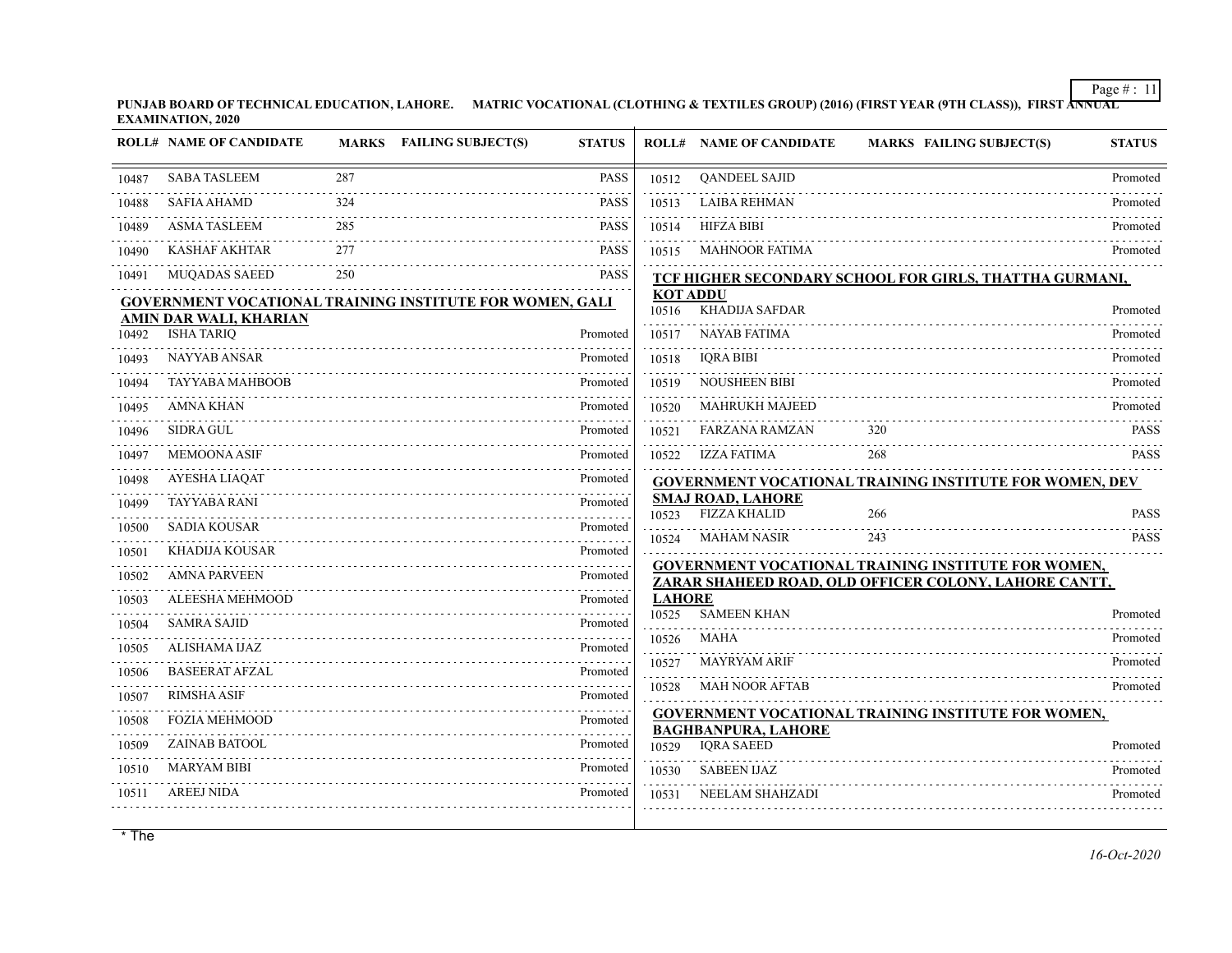**PUNJAB BOARD OF TECHNICAL EDUCATION, LAHORE. MATRIC VOCATIONAL (CLOTHING & TEXTILES GROUP) (2016) (FIRST YEAR (9TH CLASS)), FIRST ANNUAL EXAMINATION, 2020**

|       | <b>ROLL# NAME OF CANDIDATE</b>                                  |     | MARKS FAILING SUBJECT(S) | <b>STATUS</b>             |                          | <b>ROLL# NAME OF CANDIDATE</b>                  | <b>MARKS FAILING SUBJECT(S)</b>                                | <b>STATUS</b> |
|-------|-----------------------------------------------------------------|-----|--------------------------|---------------------------|--------------------------|-------------------------------------------------|----------------------------------------------------------------|---------------|
| 10487 | <b>SABA TASLEEM</b>                                             | 287 |                          | <b>PASS</b>               | 10512                    | <b>OANDEEL SAJID</b>                            |                                                                | Promoted      |
| 10488 | <b>SAFIA AHAMD</b>                                              | 324 |                          | <b>PASS</b>               | 10513                    | <b>LAIBA REHMAN</b>                             |                                                                | Promoted      |
| 10489 | <b>ASMA TASLEEM</b>                                             | 285 |                          | <b>PASS</b>               | 10514                    | <b>HIFZA BIBI</b>                               |                                                                | Promoted      |
| 10490 | <b>KASHAF AKHTAR</b>                                            | 277 |                          | <b>PASS</b>               | 10515                    | MAHNOOR FATIMA                                  |                                                                | Promoted      |
| 10491 | <b>MUQADAS SAEED</b>                                            | 250 |                          | <b>PASS</b>               |                          |                                                 | TCF HIGHER SECONDARY SCHOOL FOR GIRLS, THATTHA GURMANI,        |               |
|       | <b>GOVERNMENT VOCATIONAL TRAINING INSTITUTE FOR WOMEN, GALI</b> |     |                          |                           | <b>KOT ADDU</b><br>10516 | KHADIJA SAFDAR                                  |                                                                | Promoted      |
| 10492 | AMIN DAR WALI, KHARIAN<br><b>ISHA TARIQ</b>                     |     |                          | Promoted                  | 10517                    | <b>NAYAB FATIMA</b>                             |                                                                | Promoted      |
| 10493 | <b>NAYYAB ANSAR</b>                                             |     |                          | Promoted                  | 10518                    | <b>IQRA BIBI</b>                                |                                                                | Promoted      |
| 10494 | <b>TAYYABA MAHBOOB</b>                                          |     |                          | Promoted                  | 10519                    | <b>NOUSHEEN BIBI</b>                            |                                                                | Promoted      |
| 10495 | <b>AMNA KHAN</b>                                                |     |                          | Promoted                  | 10520                    | <b>MAHRUKH MAJEED</b>                           |                                                                | Promoted      |
| 10496 | <b>SIDRA GUL</b>                                                |     |                          | Promoted                  | 10521                    | <b>FARZANA RAMZAN</b>                           | 320                                                            | <b>PASS</b>   |
| 10497 | MEMOONA ASIF                                                    |     |                          | Promoted                  | 10522                    | IZZA FATIMA                                     | 268                                                            | <b>PASS</b>   |
| 10498 | AYESHA LIAQAT                                                   |     |                          | Promoted                  |                          |                                                 | <b>GOVERNMENT VOCATIONAL TRAINING INSTITUTE FOR WOMEN, DEV</b> |               |
| 10499 | <b>TAYYABA RANI</b>                                             |     |                          | Promoted                  | 10523                    | <b>SMAJ ROAD, LAHORE</b><br><b>FIZZA KHALID</b> | 266                                                            | <b>PASS</b>   |
| 10500 | <b>SADIA KOUSAR</b>                                             |     |                          | Promoted<br>1.1.1.1.1.1.1 | 10524                    | <b>MAHAM NASIR</b>                              | 243                                                            | <b>PASS</b>   |
| 10501 | KHADIJA KOUSAR                                                  |     |                          | Promoted                  |                          |                                                 | <b>GOVERNMENT VOCATIONAL TRAINING INSTITUTE FOR WOMEN,</b>     |               |
| 10502 | <b>AMNA PARVEEN</b>                                             |     |                          | Promoted                  |                          |                                                 | ZARAR SHAHEED ROAD, OLD OFFICER COLONY, LAHORE CANTT,          |               |
| 10503 | ALEESHA MEHMOOD                                                 |     |                          | Promoted                  | <b>LAHORE</b><br>10525   | <b>SAMEEN KHAN</b>                              |                                                                | Promoted      |
| 10504 | <b>SAMRA SAJID</b>                                              |     |                          | Promoted                  | 10526                    | <b>MAHA</b>                                     |                                                                | Promoted      |
| 10505 | ALISHAMA IJAZ                                                   |     |                          | Promoted                  | 10527                    | <b>MAYRYAM ARIF</b>                             |                                                                | Promoted      |
| 10506 | <b>BASEERAT AFZAL</b>                                           |     |                          | Promoted                  | 10528                    | <b>MAH NOOR AFTAB</b>                           |                                                                | Promoted      |
| 10507 | <b>RIMSHA ASIF</b>                                              |     |                          | Promoted                  |                          |                                                 |                                                                |               |
| 10508 | <b>FOZIA MEHMOOD</b>                                            |     |                          | Promoted                  |                          | <b>BAGHBANPURA, LAHORE</b>                      | <b>GOVERNMENT VOCATIONAL TRAINING INSTITUTE FOR WOMEN,</b>     |               |
| 10509 | <b>ZAINAB BATOOL</b>                                            |     |                          | Promoted                  | 10529                    | <b>IQRA SAEED</b>                               |                                                                | Promoted      |
| 10510 | <b>MARYAM BIBI</b>                                              |     |                          | Promoted                  | 10530                    | <b>SABEEN IJAZ</b>                              |                                                                | Promoted      |
| 10511 | <b>AREEJ NIDA</b>                                               |     |                          | Promoted                  | 10531                    | <b>NEELAM SHAHZADI</b>                          |                                                                | Promoted      |
|       |                                                                 |     |                          |                           |                          |                                                 |                                                                |               |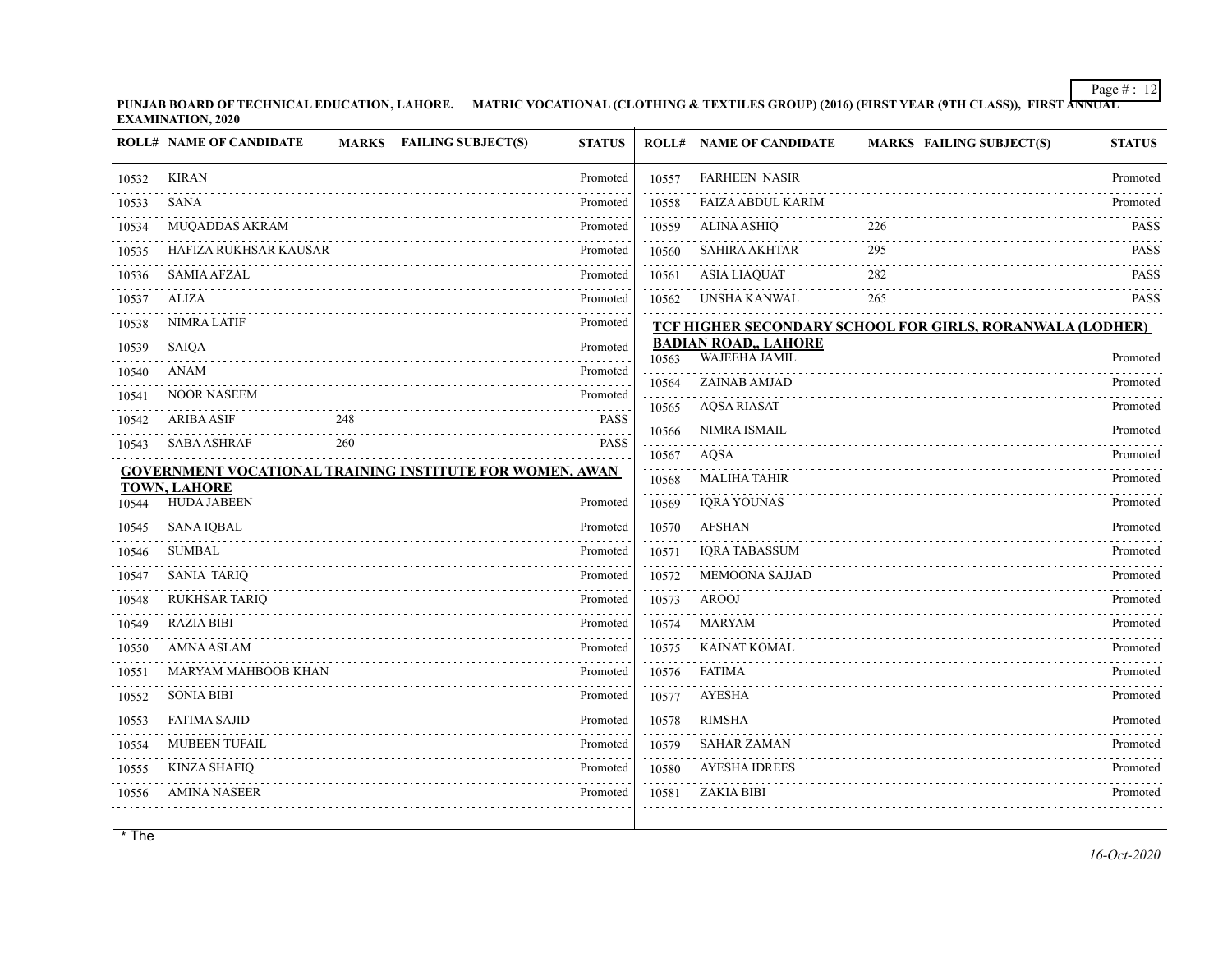**PUNJAB BOARD OF TECHNICAL EDUCATION, LAHORE. MATRIC VOCATIONAL (CLOTHING & TEXTILES GROUP) (2016) (FIRST YEAR (9TH CLASS)), FIRST ANNUAL EXAMINATION, 2020**

|       | <b>ROLL# NAME OF CANDIDATE</b>                                  |     | MARKS FAILING SUBJECT(S) | <b>STATUS</b> |            | <b>ROLL# NAME OF CANDIDATE</b>               | <b>MARKS FAILING SUBJECT(S)</b>                           | <b>STATUS</b> |
|-------|-----------------------------------------------------------------|-----|--------------------------|---------------|------------|----------------------------------------------|-----------------------------------------------------------|---------------|
| 10532 | <b>KIRAN</b>                                                    |     |                          | Promoted      | 10557      | <b>FARHEEN NASIR</b>                         |                                                           | Promoted      |
| 10533 | <b>SANA</b>                                                     |     |                          | Promoted      | 10558      | <b>FAIZA ABDUL KARIM</b>                     |                                                           | Promoted      |
| 10534 | MUQADDAS AKRAM                                                  |     |                          | .<br>Promoted | .<br>10559 | <b>ALINA ASHIQ</b>                           | 226                                                       | PASS          |
| 10535 | HAFIZA RUKHSAR KAUSAR                                           |     |                          | Promoted      | 10560      | <b>SAHIRA AKHTAR</b>                         | 295                                                       | <b>PASS</b>   |
| 10536 | <b>SAMIA AFZAL</b>                                              |     |                          | Promoted      | 10561      | <b>ASIA LIAQUAT</b>                          | 282                                                       | PASS          |
| 10537 | <b>ALIZA</b>                                                    |     |                          | Promoted      | 10562      | UNSHA KANWAL                                 | 265                                                       | <b>PASS</b>   |
| 10538 | <b>NIMRA LATIF</b>                                              |     |                          | Promoted      |            |                                              | TCF HIGHER SECONDARY SCHOOL FOR GIRLS, RORANWALA (LODHER) |               |
| 10539 | SAIQA                                                           |     |                          | Promoted      | 10563      | <b>BADIAN ROAD,, LAHORE</b><br>WAJEEHA JAMIL |                                                           | Promoted      |
| 10540 | <b>ANAM</b>                                                     |     |                          | Promoted      | 10564      | ZAINAB AMJAD                                 |                                                           | Promoted      |
| 10541 | <b>NOOR NASEEM</b>                                              |     |                          | Promoted      | 10565      | <b>AQSA RIASAT</b>                           |                                                           | Promoted      |
| 10542 | <b>ARIBA ASIF</b>                                               | 248 |                          | <b>PASS</b>   | 10566      | NIMRA ISMAIL                                 |                                                           | Promoted      |
| 10543 | <b>SABA ASHRAF</b>                                              | 260 |                          | <b>PASS</b>   | 10567      | AQSA                                         |                                                           | Promoted      |
|       | <b>GOVERNMENT VOCATIONAL TRAINING INSTITUTE FOR WOMEN, AWAN</b> |     |                          |               | 10568      | <b>MALIHA TAHIR</b>                          |                                                           | Promoted      |
| 10544 | <b>TOWN, LAHORE</b><br><b>HUDA JABEEN</b>                       |     |                          | Promoted      | 10569      | <b>IQRA YOUNAS</b>                           |                                                           | Promoted      |
| 10545 | <b>SANA IQBAL</b>                                               |     |                          | Promoted      | 10570      | <b>AFSHAN</b>                                |                                                           | Promoted      |
| 10546 | <b>SUMBAL</b>                                                   |     |                          | Promoted      | 10571      | <b>IQRA TABASSUM</b>                         | .                                                         | Promoted      |
| 10547 | <b>SANIA TARIQ</b>                                              |     |                          | Promoted      | 10572      | MEMOONA SAJJAD                               |                                                           | Promoted      |
| 10548 | <b>RUKHSAR TARIQ</b>                                            |     |                          | Promoted      | 10573      | <b>AROOJ</b>                                 |                                                           | Promoted      |
| 10549 | <b>RAZIA BIBI</b>                                               |     |                          | Promoted      | 10574      | MARYAM                                       |                                                           | Promoted      |
| 10550 | <b>AMNA ASLAM</b>                                               |     |                          | Promoted      | 10575      | <b>KAINAT KOMAL</b>                          |                                                           | Promoted      |
| 10551 | MARYAM MAHBOOB KHAN                                             |     |                          | Promoted      | 10576      | FATIMA                                       |                                                           | Promoted      |
| 10552 | <b>SONIA BIBI</b>                                               |     |                          | Promoted      | 10577      | <b>AYESHA</b>                                |                                                           | Promoted      |
| 10553 | <b>FATIMA SAJID</b>                                             |     |                          | Promoted      | 10578      | <b>RIMSHA</b>                                |                                                           | Promoted      |
| 10554 | <b>MUBEEN TUFAIL</b>                                            |     |                          | Promoted      | 10579      | <b>SAHAR ZAMAN</b>                           |                                                           | Promoted      |
| 10555 | <b>KINZA SHAFIQ</b>                                             |     |                          | Promoted      | 10580      | <b>AYESHA IDREES</b>                         |                                                           | Promoted      |
| 10556 | <b>AMINA NASEER</b>                                             |     |                          | Promoted      | 10581      | ZAKIA BIBI                                   |                                                           | Promoted      |
|       |                                                                 |     |                          |               |            |                                              |                                                           |               |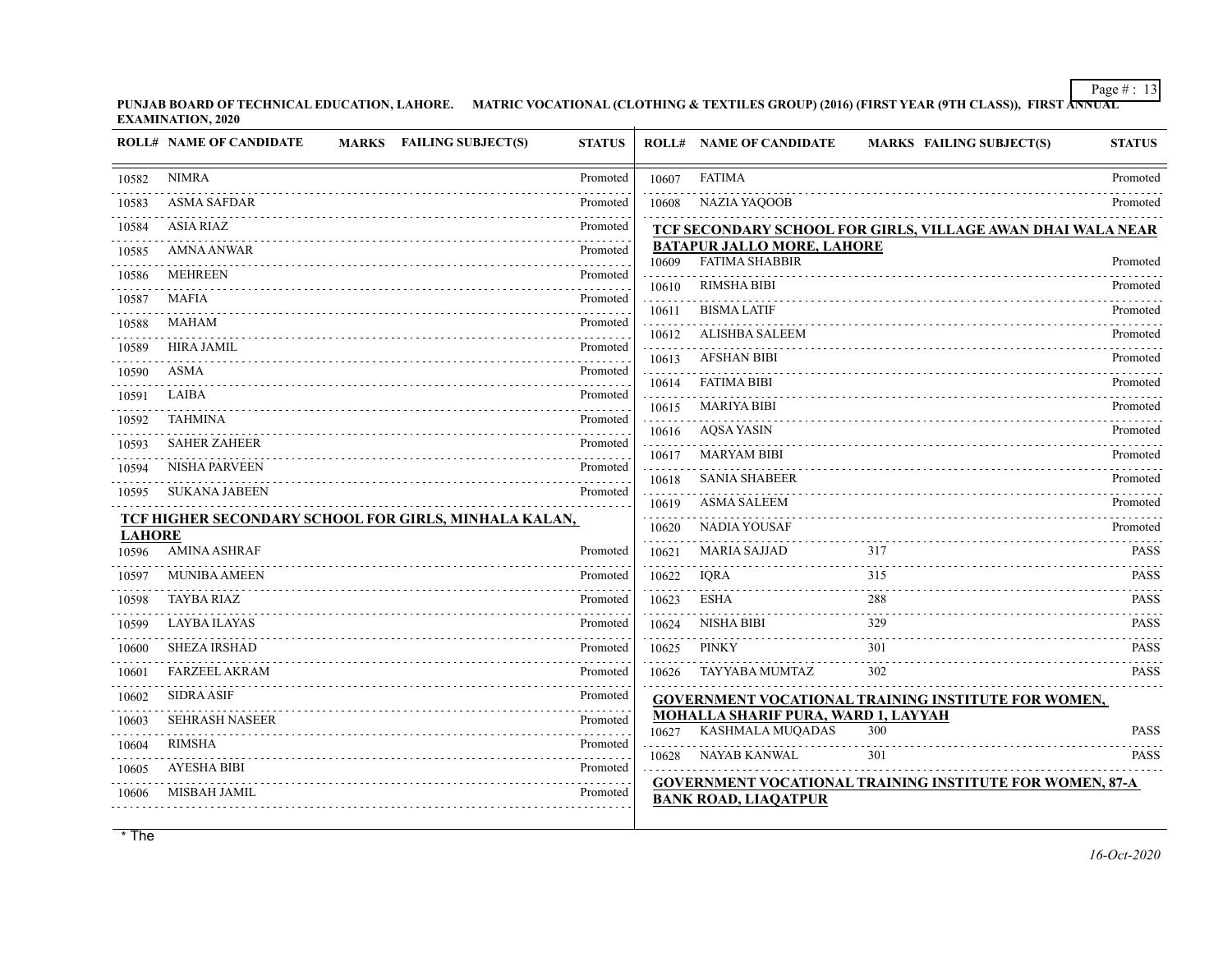**PUNJAB BOARD OF TECHNICAL EDUCATION, LAHORE. MATRIC VOCATIONAL (CLOTHING & TEXTILES GROUP) (2016) (FIRST YEAR (9TH CLASS)), FIRST ANNUAL EXAMINATION, 2020**

|               | <b>ROLL# NAME OF CANDIDATE</b><br><b>MARKS</b> FAILING SUBJECT(S) | <b>STATUS</b> |                | <b>ROLL# NAME OF CANDIDATE</b>                                 | <b>MARKS FAILING SUBJECT(S)</b>                                 | <b>STATUS</b> |
|---------------|-------------------------------------------------------------------|---------------|----------------|----------------------------------------------------------------|-----------------------------------------------------------------|---------------|
| 10582         | <b>NIMRA</b>                                                      | Promoted      | 10607          | <b>FATIMA</b>                                                  |                                                                 | Promoted      |
| 10583         | <b>ASMA SAFDAR</b>                                                | Promoted      | 10608          | <b>NAZIA YAQOOB</b>                                            |                                                                 | Promoted      |
| 10584         | <b>ASIA RIAZ</b>                                                  | Promoted      |                |                                                                | TCF SECONDARY SCHOOL FOR GIRLS, VILLAGE AWAN DHAI WALA NEAR     |               |
| 10585         | <b>AMNA ANWAR</b>                                                 | Promoted      | 10609          | <b>BATAPUR JALLO MORE, LAHORE</b><br><b>FATIMA SHABBIR</b>     |                                                                 | Promoted      |
| 10586         | <b>MEHREEN</b>                                                    | Promoted      | 10610          | <b>RIMSHA BIBI</b>                                             |                                                                 | Promoted      |
| 10587         | <b>MAFIA</b>                                                      | Promoted      |                | <b>BISMA LATIF</b>                                             |                                                                 | Promoted      |
| 10588         | MAHAM                                                             | Promoted      | 10611<br>10612 | <b>ALISHBA SALEEM</b>                                          |                                                                 | Promoted      |
| 10589         | <b>HIRA JAMIL</b>                                                 | .<br>Promoted |                | <b>AFSHAN BIBI</b>                                             |                                                                 |               |
| 10590         | <b>ASMA</b>                                                       | Promoted      | 10613          |                                                                |                                                                 | Promoted      |
| 10591         | LAIBA                                                             | Promoted      | 10614          | <b>FATIMA BIBI</b>                                             |                                                                 | Promoted      |
| 10592         | TAHMINA                                                           | .<br>Promoted | 10615          | <b>MARIYA BIBI</b>                                             |                                                                 | Promoted      |
| 10593         | <b>SAHER ZAHEER</b>                                               | Promoted      | 10616          | AQSA YASIN                                                     |                                                                 | Promoted      |
| 10594         | NISHA PARVEEN                                                     | Promoted      | 10617          | <b>MARYAM BIBI</b>                                             |                                                                 | Promoted      |
| 10595         | <b>SUKANA JABEEN</b>                                              | Promoted      | 10618          | <b>SANIA SHABEER</b>                                           |                                                                 | Promoted      |
|               | TCF HIGHER SECONDARY SCHOOL FOR GIRLS, MINHALA KALAN,             |               | 10619          | <b>ASMA SALEEM</b>                                             |                                                                 | Promoted      |
| <b>LAHORE</b> |                                                                   |               | 10620          | <b>NADIA YOUSAF</b>                                            |                                                                 | Promoted      |
| 10596         | <b>AMINA ASHRAF</b>                                               | Promoted      | 10621          | <b>MARIA SAJJAD</b>                                            | 317                                                             | <b>PASS</b>   |
| 10597         | <b>MUNIBA AMEEN</b>                                               | Promoted      | 10622          | <b>IORA</b>                                                    | 315                                                             | <b>PASS</b>   |
| 10598         | <b>TAYBA RIAZ</b>                                                 | Promoted      | 10623          | <b>ESHA</b>                                                    | 288                                                             | <b>PASS</b>   |
| 10599         | <b>LAYBA ILAYAS</b>                                               | Promoted      | 10624          | NISHA BIBI                                                     | 329                                                             | <b>PASS</b>   |
| 10600         | <b>SHEZA IRSHAD</b>                                               | Promoted      | 10625          | <b>PINKY</b>                                                   | 301                                                             | <b>PASS</b>   |
| 10601         | FARZEEL AKRAM                                                     | Promoted      | 10626          | TAYYABA MUMTAZ                                                 | 302                                                             | <b>PASS</b>   |
| 10602         | <b>SIDRA ASIF</b>                                                 | Promoted      |                |                                                                | <b>GOVERNMENT VOCATIONAL TRAINING INSTITUTE FOR WOMEN,</b>      |               |
| 10603         | <b>SEHRASH NASEER</b>                                             | Promoted      | 10627          | <b>MOHALLA SHARIF PURA, WARD 1, LAYYAH</b><br>KASHMALA MUQADAS | 300                                                             | <b>PASS</b>   |
| 10604         | <b>RIMSHA</b>                                                     | Promoted      | 10628          | <b>NAYAB KANWAL</b>                                            | 301                                                             | <b>PASS</b>   |
| 10605         | <b>AYESHA BIBI</b>                                                | Promoted      |                |                                                                |                                                                 |               |
| 10606         | MISBAH JAMIL                                                      | Promoted      |                | <b>BANK ROAD, LIAQATPUR</b>                                    | <b>GOVERNMENT VOCATIONAL TRAINING INSTITUTE FOR WOMEN, 87-A</b> |               |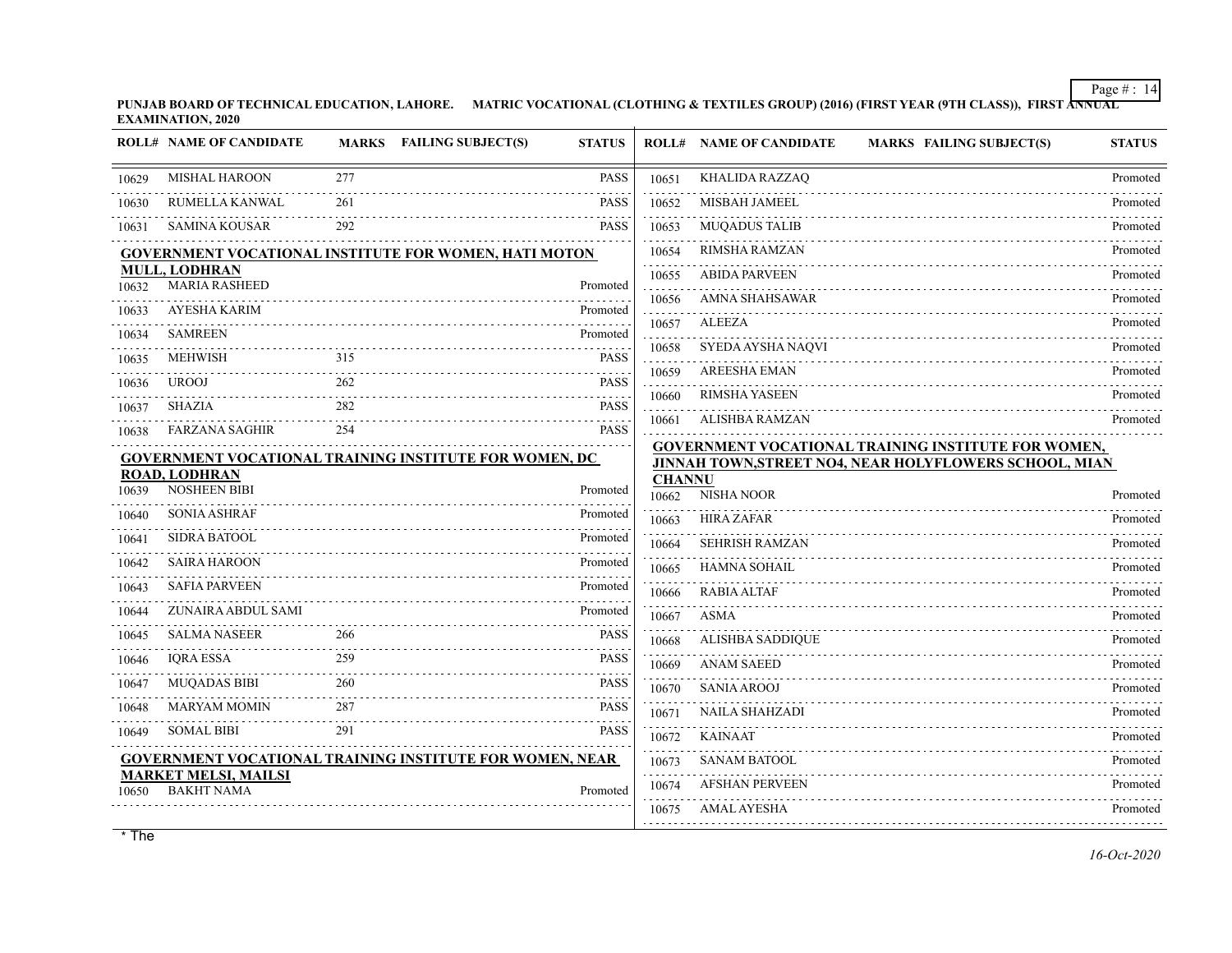**PUNJAB BOARD OF TECHNICAL EDUCATION, LAHORE. MATRIC VOCATIONAL (CLOTHING & TEXTILES GROUP) (2016) (FIRST YEAR (9TH CLASS)), FIRST ANNUAL EXAMINATION, 2020**

|       | <b>ROLL# NAME OF CANDIDATE</b>                   |     | MARKS FAILING SUBJECT(S)<br><b>STATUS</b>                       |                        | <b>ROLL# NAME OF CANDIDATE</b><br><b>MARKS FAILING SUBJECT(S)</b> | <b>STATUS</b> |
|-------|--------------------------------------------------|-----|-----------------------------------------------------------------|------------------------|-------------------------------------------------------------------|---------------|
| 10629 | <b>MISHAL HAROON</b>                             | 277 | <b>PASS</b>                                                     | 10651                  | KHALIDA RAZZAQ<br>.                                               | Promoted      |
| 10630 | RUMELLA KANWAL                                   | 261 | <b>PASS</b>                                                     | 10652                  | MISBAH JAMEEL                                                     | Promoted      |
| 10631 | <b>SAMINA KOUSAR</b>                             | 292 | <b>PASS</b>                                                     | 10653                  | <b>MUQADUS TALIB</b>                                              | Promoted      |
|       |                                                  |     | GOVERNMENT VOCATIONAL INSTITUTE FOR WOMEN, HATI MOTON           | 10654                  | RIMSHA RAMZAN                                                     | Promoted      |
|       | <b>MULL, LODHRAN</b><br><b>MARIA RASHEED</b>     |     |                                                                 | 10655                  | <b>ABIDA PARVEEN</b>                                              | Promoted      |
| 10632 | AYESHA KARIM                                     |     | Promoted<br>Promoted                                            | 10656                  | <b>AMNA SHAHSAWAR</b>                                             | Promoted      |
| 10633 |                                                  |     |                                                                 | 10657                  | <b>ALEEZA</b>                                                     | Promoted      |
| 10634 | <b>SAMREEN</b>                                   |     | Promoted                                                        | 10658                  | SYEDA AYSHA NAQVI                                                 | Promoted      |
| 10635 | <b>MEHWISH</b>                                   | 315 | <b>PASS</b>                                                     | 10659                  | <b>AREESHA EMAN</b>                                               | Promoted      |
| 10636 | <b>UROOJ</b>                                     | 262 | <b>PASS</b><br>$\omega$ is a set of                             | 10660                  | <b>RIMSHA YASEEN</b>                                              | Promoted      |
| 10637 | <b>SHAZIA</b>                                    | 282 | <b>PASS</b>                                                     | 10661                  | <b>ALISHBA RAMZAN</b>                                             | Promoted      |
| 10638 | <b>FARZANA SAGHIR</b>                            | 254 | <b>PASS</b>                                                     |                        | <b>GOVERNMENT VOCATIONAL TRAINING INSTITUTE FOR WOMEN,</b>        |               |
|       | <b>ROAD, LODHRAN</b>                             |     | GOVERNMENT VOCATIONAL TRAINING INSTITUTE FOR WOMEN, DC          |                        | JINNAH TOWN, STREET NO4, NEAR HOLYFLOWERS SCHOOL, MIAN            |               |
| 10639 | <b>NOSHEEN BIBI</b>                              |     | Promoted                                                        | <b>CHANNU</b><br>10662 | NISHA NOOR                                                        | Promoted      |
| 10640 | <b>SONIA ASHRAF</b>                              |     | Promoted                                                        | 10663                  | <b>HIRA ZAFAR</b>                                                 | Promoted      |
| 10641 | <b>SIDRA BATOOL</b>                              |     | Promoted                                                        | 10664                  | <b>SEHRISH RAMZAN</b>                                             | Promoted      |
| 10642 | <b>SAIRA HAROON</b>                              |     | Promoted                                                        | 10665                  | <b>HAMNA SOHAIL</b>                                               | Promoted      |
| 10643 | <b>SAFIA PARVEEN</b>                             |     | Promoted                                                        | 10666                  | <b>RABIA ALTAF</b>                                                | Promoted      |
| 10644 | ZUNAIRA ABDUL SAMI                               |     | Promoted                                                        | 10667                  | <b>ASMA</b>                                                       | Promoted      |
| 10645 | <b>SALMA NASEER</b>                              | 266 | <b>PASS</b>                                                     | 10668                  | <b>ALISHBA SADDIQUE</b>                                           | Promoted      |
| 10646 | <b>IQRA ESSA</b>                                 | 259 | <b>PASS</b>                                                     | 10669                  | <b>ANAM SAEED</b>                                                 | Promoted      |
| 10647 | <b>MUQADAS BIBI</b>                              | 260 | <b>PASS</b>                                                     | 10670                  | <b>SANIA AROOJ</b>                                                | Promoted      |
| 10648 | <b>MARYAM MOMIN</b>                              | 287 | <b>PASS</b>                                                     | 10671                  | <b>NAILA SHAHZADI</b>                                             | Promoted      |
| 10649 | <b>SOMAL BIBI</b>                                | 291 | <b>PASS</b>                                                     | 10672                  | <b>KAINAAT</b>                                                    | Promoted      |
|       |                                                  |     | <b>GOVERNMENT VOCATIONAL TRAINING INSTITUTE FOR WOMEN, NEAR</b> | 10673                  | <b>SANAM BATOOL</b>                                               | Promoted      |
| 10650 | <b>MARKET MELSI, MAILSI</b><br><b>BAKHT NAMA</b> |     | Promoted                                                        | 10674                  | <b>AFSHAN PERVEEN</b>                                             | Promoted      |
|       |                                                  |     |                                                                 | 10675                  | AMAL AYESHA                                                       | Promoted      |
|       |                                                  |     |                                                                 |                        |                                                                   |               |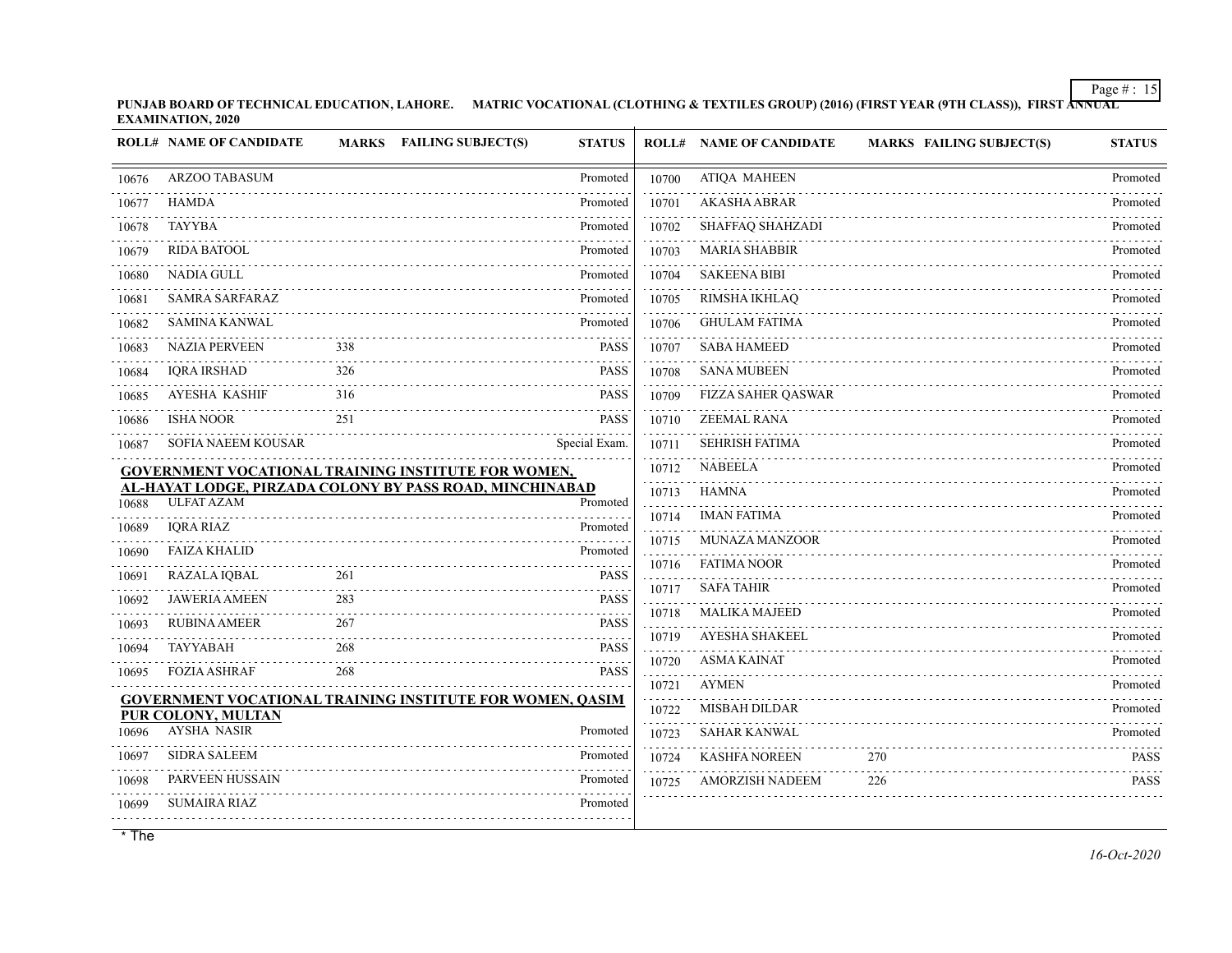**PUNJAB BOARD OF TECHNICAL EDUCATION, LAHORE. MATRIC VOCATIONAL (CLOTHING & TEXTILES GROUP) (2016) (FIRST YEAR (9TH CLASS)), FIRST ANNUAL EXAMINATION, 2020**

|       | <b>ROLL# NAME OF CANDIDATE</b> |     | MARKS FAILING SUBJECT(S)                                         | <b>STATUS</b> |       | <b>ROLL# NAME OF CANDIDATE</b> | <b>MARKS FAILING SUBJECT(S)</b> | <b>STATUS</b>    |
|-------|--------------------------------|-----|------------------------------------------------------------------|---------------|-------|--------------------------------|---------------------------------|------------------|
| 10676 | <b>ARZOO TABASUM</b>           |     |                                                                  | Promoted      | 10700 | <b>ATIQA MAHEEN</b>            |                                 | Promoted         |
| 10677 | <b>HAMDA</b>                   |     |                                                                  | Promoted      | 10701 | <b>AKASHA ABRAR</b>            |                                 | Promoted         |
| 10678 | <b>TAYYBA</b>                  |     |                                                                  | Promoted      | 10702 | SHAFFAQ SHAHZADI               |                                 | Promoted         |
| 10679 | <b>RIDA BATOOL</b>             |     |                                                                  | Promoted      | 10703 | <b>MARIA SHABBIR</b>           |                                 | Promoted         |
| 10680 | NADIA GULL                     |     |                                                                  | Promoted      | 10704 | <b>SAKEENA BIBI</b>            |                                 | Promoted         |
| 10681 | <b>SAMRA SARFARAZ</b>          |     |                                                                  | Promoted      | 10705 | RIMSHA IKHLAQ                  |                                 | Promoted         |
| 10682 | <b>SAMINA KANWAL</b>           |     |                                                                  | Promoted      | 10706 | <b>GHULAM FATIMA</b>           |                                 | Promoted         |
| 10683 | <b>NAZIA PERVEEN</b>           | 338 |                                                                  | <b>PASS</b>   | 10707 | <b>SABA HAMEED</b>             |                                 | Promoted         |
| 10684 | <b>IQRA IRSHAD</b>             | 326 |                                                                  | <b>PASS</b>   | 10708 | <b>SANA MUBEEN</b>             |                                 | Promoted         |
| 10685 | AYESHA KASHIF                  | 316 |                                                                  | <b>PASS</b>   | 10709 | <b>FIZZA SAHER QASWAR</b>      |                                 | Promoted         |
| 10686 | <b>ISHA NOOR</b>               | 251 |                                                                  | <b>PASS</b>   | 10710 | <b>ZEEMAL RANA</b>             |                                 | Promoted         |
| 10687 | <b>SOFIA NAEEM KOUSAR</b>      |     |                                                                  | Special Exam. | 10711 | <b>SEHRISH FATIMA</b>          |                                 | Promoted         |
|       |                                |     | GOVERNMENT VOCATIONAL TRAINING INSTITUTE FOR WOMEN,              |               | 10712 | <b>NABEELA</b>                 |                                 | Promoted         |
| 10688 | <b>ULFAT AZAM</b>              |     | AL-HAYAT LODGE, PIRZADA COLONY BY PASS ROAD, MINCHINABAD         | Promoted      | 10713 | <b>HAMNA</b>                   |                                 | Promoted         |
| 10689 | <b>IQRA RIAZ</b>               |     |                                                                  | Promoted      | 10714 | IMAN FATIMA                    |                                 | Promoted         |
| 10690 | <b>FAIZA KHALID</b>            |     |                                                                  | Promoted      | 10715 | <b>MUNAZA MANZOOR</b>          |                                 | Promoted         |
| 10691 | <b>RAZALA IQBAL</b>            | 261 |                                                                  | <b>PASS</b>   | 10716 | <b>FATIMA NOOR</b>             |                                 | Promoted         |
| 10692 | <b>JAWERIA AMEEN</b>           | 283 |                                                                  | <b>PASS</b>   | 10717 | <b>SAFA TAHIR</b>              |                                 | Promoted         |
| 10693 | <b>RUBINA AMEER</b>            | 267 |                                                                  | <b>PASS</b>   | 10718 | <b>MALIKA MAJEED</b>           |                                 | Promoted         |
| 10694 | <b>TAYYABAH</b>                | 268 |                                                                  | <b>PASS</b>   | 10719 | <b>AYESHA SHAKEEL</b>          |                                 | Promoted         |
| 10695 | <b>FOZIA ASHRAF</b>            | 268 |                                                                  | <b>PASS</b>   | 10720 | <b>ASMA KAINAT</b>             |                                 | Promoted         |
|       |                                |     | <b>GOVERNMENT VOCATIONAL TRAINING INSTITUTE FOR WOMEN, QASIM</b> |               | 10721 | <b>AYMEN</b>                   |                                 | Promoted         |
|       | PUR COLONY, MULTAN             |     |                                                                  |               | 10722 | MISBAH DILDAR                  |                                 | Promoted         |
| 10696 | <b>AYSHA NASIR</b>             |     |                                                                  | Promoted      | 10723 | <b>SAHAR KANWAL</b>            |                                 | Promoted<br>.    |
| 10697 | <b>SIDRA SALEEM</b>            |     |                                                                  | Promoted      | 10724 | <b>KASHFA NOREEN</b>           | 270                             | <b>PASS</b><br>. |
| 10698 | <b>PARVEEN HUSSAIN</b>         |     |                                                                  | Promoted      | 10725 | <b>AMORZISH NADEEM</b>         | 226                             | <b>PASS</b>      |
| 10699 | SUMAIRA RIAZ                   |     |                                                                  | Promoted      |       |                                |                                 |                  |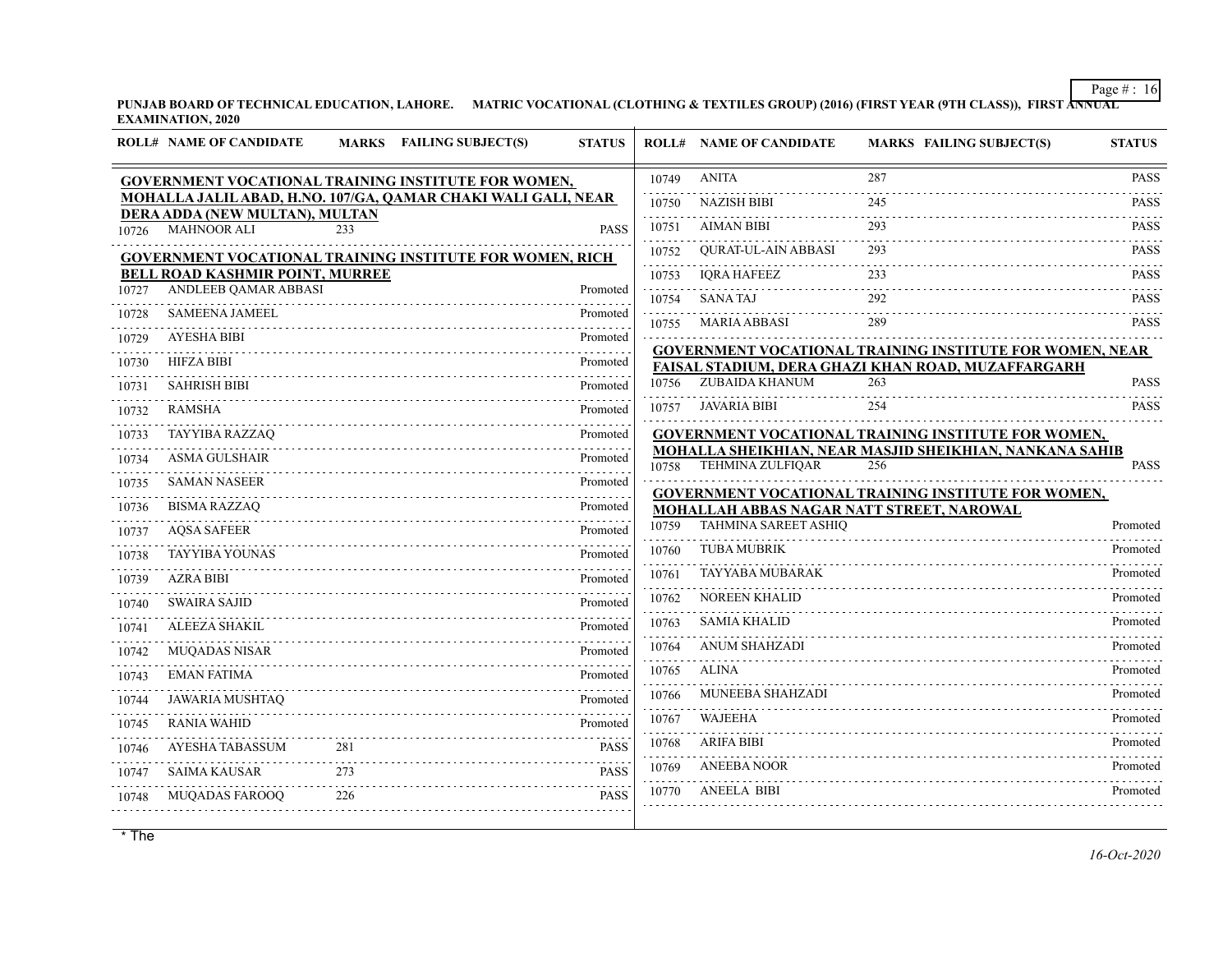**PUNJAB BOARD OF TECHNICAL EDUCATION, LAHORE. MATRIC VOCATIONAL (CLOTHING & TEXTILES GROUP) (2016) (FIRST YEAR (9TH CLASS)), FIRST ANNUAL EXAMINATION, 2020**

|       | <b>ROLL# NAME OF CANDIDATE</b>         | <b>MARKS</b> | <b>FAILING SUBJECT(S)</b>                                     | <b>STATUS</b> |                        | <b>ROLL# NAME OF CANDIDATE</b>            | <b>MARKS FAILING SUBJECT(S)</b>                                 | <b>STATUS</b>    |
|-------|----------------------------------------|--------------|---------------------------------------------------------------|---------------|------------------------|-------------------------------------------|-----------------------------------------------------------------|------------------|
|       |                                        |              | <b>GOVERNMENT VOCATIONAL TRAINING INSTITUTE FOR WOMEN,</b>    |               | 10749                  | <b>ANITA</b>                              | 287                                                             | <b>PASS</b>      |
|       | DERA ADDA (NEW MULTAN), MULTAN         |              | MOHALLA JALIL ABAD, H.NO. 107/GA, QAMAR CHAKI WALI GALI, NEAR |               | 10750                  | <b>NAZISH BIBI</b>                        | 245                                                             | <b>PASS</b>      |
| 10726 | <b>MAHNOOR ALI</b>                     | 233          |                                                               | <b>PASS</b>   | .<br>10751             | <b>AIMAN BIBI</b>                         | 293                                                             | <b>PASS</b>      |
|       |                                        |              | GOVERNMENT VOCATIONAL TRAINING INSTITUTE FOR WOMEN, RICH      |               | 10752                  | <b>OURAT-UL-AIN ABBASI</b>                | 293                                                             | <b>PASS</b>      |
|       | <b>BELL ROAD KASHMIR POINT, MURREE</b> |              |                                                               |               | 10753                  | <b>IORA HAFEEZ</b>                        | 233                                                             | <b>PASS</b>      |
| 10727 | ANDLEEB QAMAR ABBASI                   |              |                                                               | Promoted      | 10754                  | <b>SANATAJ</b>                            | 292                                                             | <b>PASS</b>      |
| 10728 | <b>SAMEENA JAMEEL</b>                  |              |                                                               | Promoted      | 10755                  | <b>MARIA ABBASI</b>                       | 289                                                             | <b>PASS</b>      |
| 10729 | <b>AYESHA BIBI</b>                     |              |                                                               | Promoted      |                        |                                           | <b>GOVERNMENT VOCATIONAL TRAINING INSTITUTE FOR WOMEN, NEAR</b> |                  |
| 10730 | <b>HIFZA BIBI</b>                      |              |                                                               | Promoted      |                        |                                           | FAISAL STADIUM, DERA GHAZI KHAN ROAD, MUZAFFARGARH              |                  |
| 10731 | <b>SAHRISH BIBI</b>                    |              |                                                               | Promoted      | 10756                  | ZUBAIDA KHANUM                            | 263                                                             | <b>PASS</b><br>. |
| 10732 | <b>RAMSHA</b>                          |              |                                                               | Promoted      | 10757                  | <b>JAVARIA BIBI</b>                       | 254                                                             | <b>PASS</b>      |
| 10733 | <b>TAYYIBA RAZZAQ</b>                  |              |                                                               | Promoted      |                        |                                           | GOVERNMENT VOCATIONAL TRAINING INSTITUTE FOR WOMEN,             |                  |
| 10734 | <b>ASMA GULSHAIR</b>                   |              |                                                               | Promoted      | 10758                  | <b>TEHMINA ZULFIQAR</b>                   | MOHALLA SHEIKHIAN, NEAR MASJID SHEIKHIAN, NANKANA SAHIB<br>256  | <b>PASS</b>      |
| 10735 | <b>SAMAN NASEER</b>                    |              |                                                               | Promoted      |                        |                                           | <b>GOVERNMENT VOCATIONAL TRAINING INSTITUTE FOR WOMEN,</b>      |                  |
| 10736 | <b>BISMA RAZZAQ</b>                    |              |                                                               | Promoted      |                        | MOHALLAH ABBAS NAGAR NATT STREET, NAROWAL |                                                                 |                  |
| 10737 | <b>AQSA SAFEER</b>                     |              |                                                               | Promoted      | 10759                  | <b>TAHMINA SAREET ASHIQ</b>               |                                                                 | Promoted         |
| 10738 | <b>TAYYIBA YOUNAS</b>                  |              |                                                               | Promoted      | 10760<br>$- - - - -$   | <b>TUBA MUBRIK</b>                        |                                                                 | Promoted         |
| 10739 | <b>AZRA BIBI</b>                       |              |                                                               | Promoted      | 10761                  | <b>TAYYABA MUBARAK</b>                    |                                                                 | Promoted         |
| 10740 | <b>SWAIRA SAJID</b>                    |              |                                                               | Promoted      | 10762<br>.             | <b>NOREEN KHALID</b>                      |                                                                 | Promoted         |
| 10741 | <b>ALEEZA SHAKIL</b>                   |              |                                                               | Promoted      | 10763                  | <b>SAMIA KHALID</b>                       |                                                                 | Promoted<br>.    |
| 10742 | <b>MUQADAS NISAR</b>                   |              |                                                               | Promoted      | 10764<br>.             | <b>ANUM SHAHZADI</b>                      |                                                                 | Promoted         |
| 10743 | <b>EMAN FATIMA</b>                     |              |                                                               | Promoted      | 10765                  | <b>ALINA</b>                              |                                                                 | Promoted         |
| 10744 | <b>JAWARIA MUSHTAQ</b>                 |              |                                                               | Promoted      | 10766                  | MUNEEBA SHAHZADI                          |                                                                 | Promoted         |
| 10745 | <b>RANIA WAHID</b>                     |              |                                                               | Promoted      | 10767<br>الداعات عامات | <b>WAJEEHA</b>                            |                                                                 | Promoted         |
| 10746 | AYESHA TABASSUM                        | 281          |                                                               | <b>PASS</b>   | 10768                  | <b>ARIFA BIBI</b>                         |                                                                 | Promoted         |
| 10747 | <b>SAIMA KAUSAR</b>                    | 273          |                                                               | <b>PASS</b>   | 10769                  | <b>ANEEBA NOOR</b>                        |                                                                 | Promoted         |
| 10748 | <b>MUQADAS FAROOQ</b>                  | 226          |                                                               | <b>PASS</b>   | 10770                  | <b>ANEELA BIBI</b>                        |                                                                 | Promoted         |
|       |                                        |              |                                                               |               |                        |                                           |                                                                 |                  |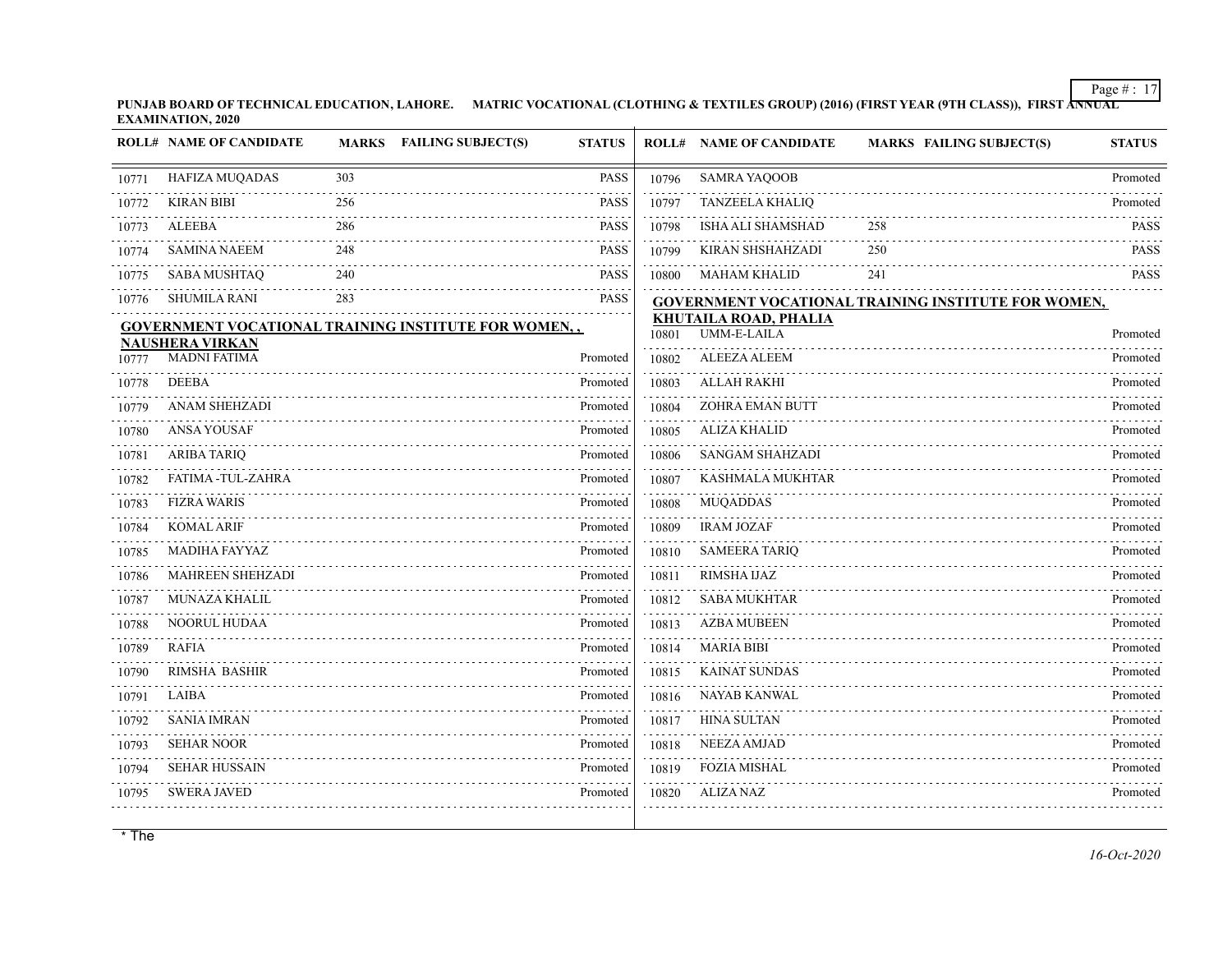**PUNJAB BOARD OF TECHNICAL EDUCATION, LAHORE. MATRIC VOCATIONAL (CLOTHING & TEXTILES GROUP) (2016) (FIRST YEAR (9TH CLASS)), FIRST ANNUAL EXAMINATION, 2020**

|       | <b>ROLL# NAME OF CANDIDATE</b>                |     | MARKS FAILING SUBJECT(S)                             | <b>STATUS</b> |       | <b>ROLL# NAME OF CANDIDATE</b>                     | <b>MARKS FAILING SUBJECT(S)</b>                            | <b>STATUS</b> |
|-------|-----------------------------------------------|-----|------------------------------------------------------|---------------|-------|----------------------------------------------------|------------------------------------------------------------|---------------|
| 10771 | HAFIZA MUQADAS                                | 303 |                                                      | <b>PASS</b>   | 10796 | <b>SAMRA YAQOOB</b>                                |                                                            | Promoted      |
| 10772 | <b>KIRAN BIBI</b>                             | 256 |                                                      | <b>PASS</b>   | 10797 | <b>TANZEELA KHALIQ</b>                             |                                                            | Promoted      |
| 10773 | <b>ALEEBA</b>                                 | 286 |                                                      | <b>PASS</b>   | 10798 | ISHA ALI SHAMSHAD                                  | 258                                                        | <b>PASS</b>   |
| 10774 | <b>SAMINA NAEEM</b>                           | 248 |                                                      | <b>PASS</b>   | 10799 | <b>KIRAN SHSHAHZADI</b>                            | 250                                                        | <b>PASS</b>   |
| 10775 | SABA MUSHTAQ                                  | 240 |                                                      | <b>PASS</b>   | 10800 | <b>MAHAM KHALID</b>                                | 241                                                        | <b>PASS</b>   |
| 10776 | <b>SHUMILA RANI</b>                           | 283 |                                                      | <b>PASS</b>   |       |                                                    | <b>GOVERNMENT VOCATIONAL TRAINING INSTITUTE FOR WOMEN,</b> |               |
|       |                                               |     | GOVERNMENT VOCATIONAL TRAINING INSTITUTE FOR WOMEN,, |               | 10801 | <b>KHUTAILA ROAD, PHALIA</b><br><b>UMM-E-LAILA</b> |                                                            | Promoted      |
| 10777 | <b>NAUSHERA VIRKAN</b><br><b>MADNI FATIMA</b> |     |                                                      | Promoted      | 10802 | <b>ALEEZA ALEEM</b>                                |                                                            | Promoted      |
| 10778 | <b>DEEBA</b>                                  |     |                                                      | Promoted      | 10803 | <b>ALLAH RAKHI</b>                                 |                                                            | Promoted      |
| 10779 | <b>ANAM SHEHZADI</b>                          |     |                                                      | Promoted      | 10804 | <b>ZOHRA EMAN BUTT</b>                             |                                                            | Promoted      |
| 10780 | <b>ANSA YOUSAF</b>                            |     |                                                      | Promoted      | 10805 | <b>ALIZA KHALID</b>                                |                                                            | Promoted      |
| 10781 | <b>ARIBA TARIQ</b>                            |     |                                                      | Promoted      | 10806 | <b>SANGAM SHAHZADI</b>                             |                                                            | Promoted      |
| 10782 | FATIMA -TUL-ZAHRA                             |     |                                                      | Promoted      | 10807 | <b>KASHMALA MUKHTAR</b>                            |                                                            | Promoted      |
| 10783 | <b>FIZRA WARIS</b>                            |     |                                                      | Promoted      | 10808 | <b>MUQADDAS</b>                                    |                                                            | Promoted      |
| 10784 | <b>KOMAL ARIF</b>                             |     |                                                      | Promoted      | 10809 | <b>IRAM JOZAF</b>                                  |                                                            | Promoted      |
| 10785 | <b>MADIHA FAYYAZ</b>                          |     |                                                      | Promoted      | 10810 | <b>SAMEERA TARIQ</b>                               |                                                            | Promoted      |
| 10786 | MAHREEN SHEHZADI                              |     |                                                      | Promoted      | 10811 | RIMSHA IJAZ                                        |                                                            | Promoted      |
| 10787 | <b>MUNAZA KHALIL</b>                          |     |                                                      | Promoted      | 10812 | <b>SABA MUKHTAR</b>                                |                                                            | Promoted      |
| 10788 | <b>NOORUL HUDAA</b>                           |     |                                                      | Promoted      | 10813 | <b>AZBA MUBEEN</b>                                 |                                                            | Promoted      |
| 10789 | <b>RAFIA</b>                                  |     |                                                      | Promoted      | 10814 | <b>MARIA BIBI</b>                                  |                                                            | Promoted      |
| 10790 | RIMSHA BASHIR                                 |     |                                                      | Promoted      | 10815 | <b>KAINAT SUNDAS</b>                               |                                                            | Promoted      |
| 10791 | LAIBA                                         |     |                                                      | Promoted      | 10816 | <b>NAYAB KANWAL</b>                                |                                                            | Promoted      |
| 10792 | <b>SANIA IMRAN</b>                            |     |                                                      | Promoted      | 10817 | <b>HINA SULTAN</b>                                 |                                                            | Promoted      |
| 10793 | <b>SEHAR NOOR</b>                             |     |                                                      | Promoted      | 10818 | <b>NEEZA AMJAD</b>                                 |                                                            | Promoted      |
| 10794 | <b>SEHAR HUSSAIN</b>                          |     |                                                      | Promoted      | 10819 | <b>FOZIA MISHAL</b>                                |                                                            | Promoted      |
| 10795 | <b>SWERA JAVED</b>                            |     |                                                      | Promoted      | 10820 | ALIZA NAZ                                          |                                                            | Promoted      |
|       |                                               |     |                                                      |               |       |                                                    |                                                            |               |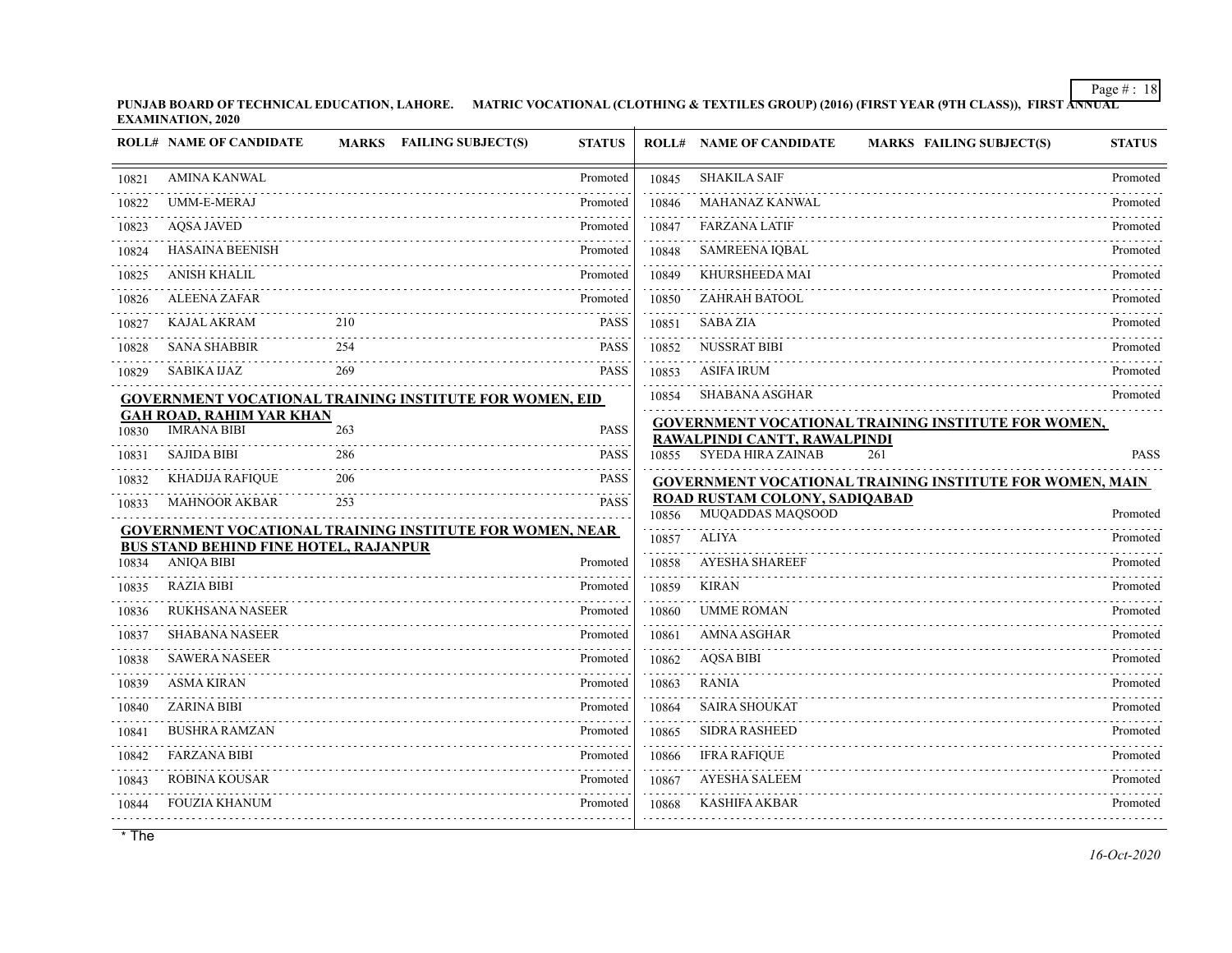**PUNJAB BOARD OF TECHNICAL EDUCATION, LAHORE. MATRIC VOCATIONAL (CLOTHING & TEXTILES GROUP) (2016) (FIRST YEAR (9TH CLASS)), FIRST ANNUAL EXAMINATION, 2020**

|       | <b>ROLL# NAME OF CANDIDATE</b>                        |     | MARKS FAILING SUBJECT(S)                                        | <b>STATUS</b> |       | <b>ROLL# NAME OF CANDIDATE</b><br><b>MARKS FAILING SUBJECT(S)</b>                                | <b>STATUS</b> |
|-------|-------------------------------------------------------|-----|-----------------------------------------------------------------|---------------|-------|--------------------------------------------------------------------------------------------------|---------------|
| 10821 | <b>AMINA KANWAL</b>                                   |     |                                                                 | Promoted      | 10845 | <b>SHAKILA SAIF</b>                                                                              | Promoted      |
| 10822 | UMM-E-MERAJ                                           |     |                                                                 | Promoted      | 10846 | MAHANAZ KANWAL                                                                                   | Promoted      |
| 10823 | <b>AOSA JAVED</b>                                     |     |                                                                 | Promoted      | 10847 | <b>FARZANA LATIF</b>                                                                             | Promoted      |
| 10824 | <b>HASAINA BEENISH</b>                                |     |                                                                 | Promoted      | 10848 | <b>SAMREENA IQBAL</b>                                                                            | Promoted      |
| 10825 | ANISH KHALIL                                          |     |                                                                 | Promoted      | 10849 | KHURSHEEDA MAI                                                                                   | Promoted      |
| 10826 | <b>ALEENA ZAFAR</b>                                   |     |                                                                 | Promoted      | 10850 | ZAHRAH BATOOL                                                                                    | Promoted      |
| 10827 | <b>KAJAL AKRAM</b>                                    | 210 |                                                                 | <b>PASS</b>   | 10851 | <b>SABA ZIA</b>                                                                                  | Promoted      |
| 10828 | <b>SANA SHABBIR</b>                                   | 254 |                                                                 | <b>PASS</b>   | 10852 | <b>NUSSRAT BIBI</b>                                                                              | Promoted      |
| 10829 | <b>SABIKA IJAZ</b>                                    | 269 |                                                                 | <b>PASS</b>   | 10853 | <b>ASIFA IRUM</b>                                                                                | Promoted      |
|       |                                                       |     | GOVERNMENT VOCATIONAL TRAINING INSTITUTE FOR WOMEN, EID         |               | 10854 | <b>SHABANA ASGHAR</b>                                                                            | Promoted      |
| 10830 | <b>GAH ROAD, RAHIM YAR KHAN</b><br><b>IMRANA BIBI</b> | 263 |                                                                 | <b>PASS</b>   |       | <b>GOVERNMENT VOCATIONAL TRAINING INSTITUTE FOR WOMEN,</b>                                       |               |
| 10831 | <b>SAJIDA BIBI</b>                                    | 286 |                                                                 | <b>PASS</b>   |       | RAWALPINDI CANTT, RAWALPINDI<br>10855 SYEDA HIRA ZAINAB<br>261                                   | <b>PASS</b>   |
| 10832 | KHADIJA RAFIQUE                                       | 206 |                                                                 | <b>PASS</b>   |       |                                                                                                  |               |
| 10833 | <b>MAHNOOR AKBAR</b>                                  | 253 |                                                                 | <b>PASS</b>   |       | <b>GOVERNMENT VOCATIONAL TRAINING INSTITUTE FOR WOMEN, MAIN</b><br>ROAD RUSTAM COLONY, SADIQABAD |               |
|       |                                                       |     |                                                                 |               | 10856 | MUQADDAS MAQSOOD                                                                                 | Promoted      |
|       | <b>BUS STAND BEHIND FINE HOTEL, RAJANPUR</b>          |     | <b>GOVERNMENT VOCATIONAL TRAINING INSTITUTE FOR WOMEN, NEAR</b> |               | 10857 | <b>ALIYA</b>                                                                                     | Promoted      |
| 10834 | <b>ANIQA BIBI</b>                                     |     |                                                                 | Promoted      | 10858 | <b>AYESHA SHAREEF</b>                                                                            | Promoted      |
| 10835 | <b>RAZIA BIBI</b>                                     |     |                                                                 | Promoted      | 10859 | <b>KIRAN</b>                                                                                     | Promoted      |
| 10836 | <b>RUKHSANA NASEER</b>                                |     |                                                                 | Promoted      | 10860 | <b>UMME ROMAN</b>                                                                                | Promoted      |
| 10837 | <b>SHABANA NASEER</b>                                 |     |                                                                 | Promoted      | 10861 | <b>AMNA ASGHAR</b>                                                                               | Promoted      |
| 10838 | <b>SAWERA NASEER</b>                                  |     |                                                                 | Promoted      | 10862 | <b>AQSA BIBI</b>                                                                                 | Promoted      |
| 10839 | <b>ASMA KIRAN</b>                                     |     |                                                                 | Promoted      | 10863 | <b>RANIA</b>                                                                                     | Promoted      |
| 10840 | <b>ZARINA BIBI</b>                                    |     |                                                                 | Promoted      | 10864 | <b>SAIRA SHOUKAT</b>                                                                             | Promoted      |
| 10841 | <b>BUSHRA RAMZAN</b>                                  |     |                                                                 | Promoted      | 10865 | <b>SIDRA RASHEED</b>                                                                             | Promoted      |
| 10842 | <b>FARZANA BIBI</b>                                   |     |                                                                 | Promoted      | 10866 | <b>IFRA RAFIQUE</b><br>.                                                                         | Promoted      |
| 10843 | <b>ROBINA KOUSAR</b>                                  |     |                                                                 | Promoted      | 10867 | <b>AYESHA SALEEM</b>                                                                             | Promoted      |
| 10844 | <b>FOUZIA KHANUM</b>                                  |     |                                                                 | Promoted      | 10868 | <b>KASHIFA AKBAR</b>                                                                             | Promoted      |
|       |                                                       |     |                                                                 |               |       |                                                                                                  |               |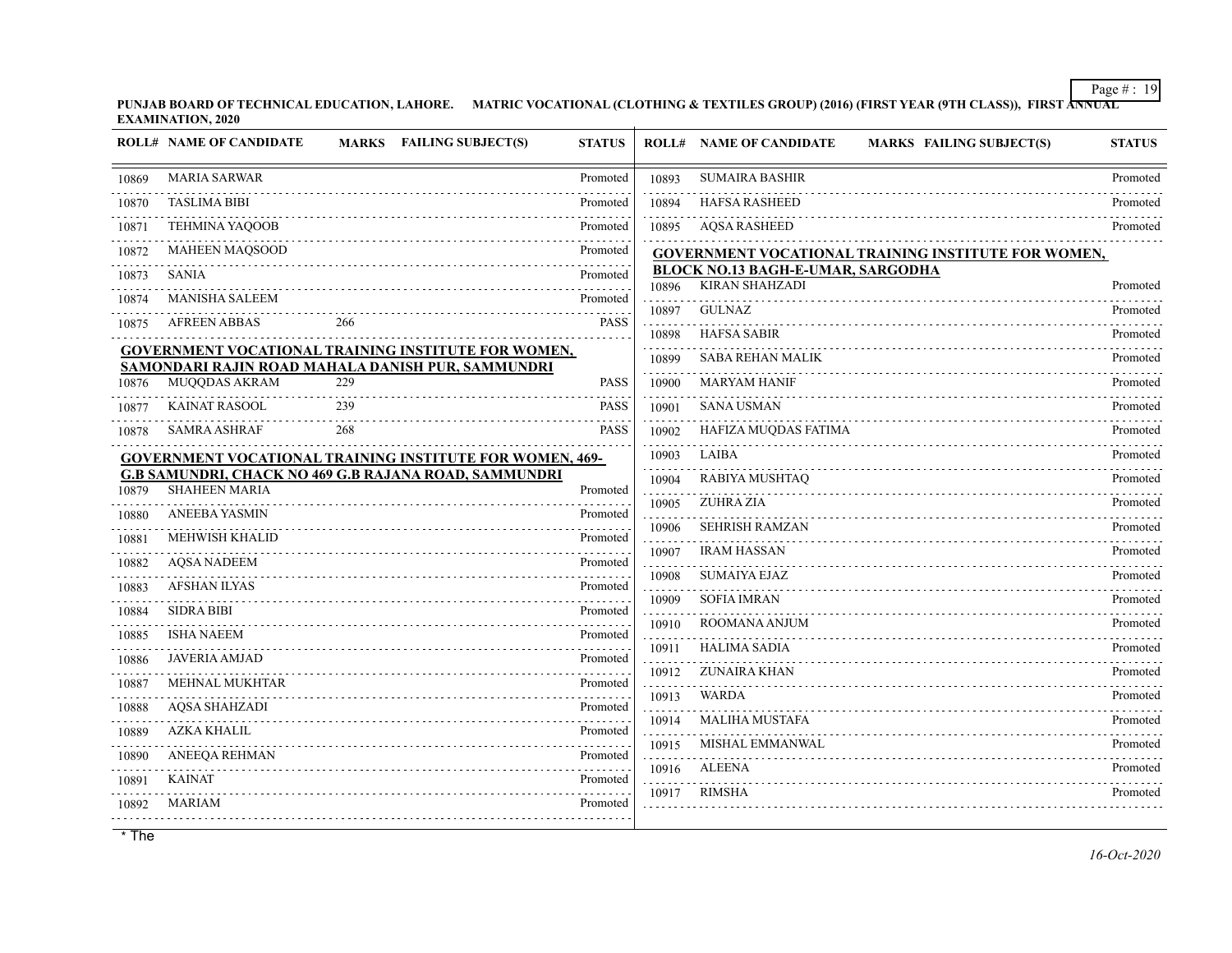**PUNJAB BOARD OF TECHNICAL EDUCATION, LAHORE. MATRIC VOCATIONAL (CLOTHING & TEXTILES GROUP) (2016) (FIRST YEAR (9TH CLASS)), FIRST ANNUAL EXAMINATION, 2020**

|       | <b>ROLL# NAME OF CANDIDATE</b>                                     |     | MARKS FAILING SUBJECT(S)                                                                                          | <b>STATUS</b> |       | <b>ROLL# NAME OF CANDIDATE</b><br><b>MARKS FAILING SUBJECT(S)</b> | <b>STATUS</b> |
|-------|--------------------------------------------------------------------|-----|-------------------------------------------------------------------------------------------------------------------|---------------|-------|-------------------------------------------------------------------|---------------|
| 10869 | <b>MARIA SARWAR</b>                                                |     |                                                                                                                   | Promoted      | 10893 | <b>SUMAIRA BASHIR</b>                                             | Promoted      |
| 10870 | <b>TASLIMA BIBI</b>                                                |     |                                                                                                                   | Promoted      | 10894 | <b>HAFSA RASHEED</b>                                              | Promoted      |
| 10871 | <b>TEHMINA YAQOOB</b>                                              |     |                                                                                                                   | Promoted      | 10895 | <b>AQSA RASHEED</b>                                               | Promoted      |
| 10872 | <b>MAHEEN MAQSOOD</b>                                              |     |                                                                                                                   | Promoted      |       | GOVERNMENT VOCATIONAL TRAINING INSTITUTE FOR WOMEN,               |               |
| 10873 | <b>SANIA</b>                                                       |     |                                                                                                                   | Promoted      | 10896 | <b>BLOCK NO.13 BAGH-E-UMAR, SARGODHA</b><br><b>KIRAN SHAHZADI</b> | Promoted      |
| 10874 | <b>MANISHA SALEEM</b>                                              |     |                                                                                                                   | Promoted      | 10897 | <b>GULNAZ</b>                                                     | Promoted      |
| 10875 | <b>AFREEN ABBAS</b>                                                | 266 |                                                                                                                   | <b>PASS</b>   | 10898 | <b>HAFSA SABIR</b>                                                | Promoted      |
|       |                                                                    |     | <b>GOVERNMENT VOCATIONAL TRAINING INSTITUTE FOR WOMEN,</b>                                                        |               | 10899 | <b>SABA REHAN MALIK</b>                                           | Promoted      |
| 10876 | SAMONDARI RAJIN ROAD MAHALA DANISH PUR, SAMMUNDRI<br>MUQQDAS AKRAM | 229 |                                                                                                                   | <b>PASS</b>   | 10900 | <b>MARYAM HANIF</b>                                               | Promoted      |
| 10877 | <b>KAINAT RASOOL</b>                                               | 239 |                                                                                                                   | <b>PASS</b>   | 10901 | <b>SANA USMAN</b>                                                 | Promoted      |
| 10878 | <b>SAMRA ASHRAF</b>                                                | 268 |                                                                                                                   | <b>PASS</b>   | 10902 | HAFIZA MUODAS FATIMA                                              | Promoted      |
|       |                                                                    |     |                                                                                                                   |               | 10903 | <b>LAIBA</b>                                                      | Promoted      |
|       |                                                                    |     | GOVERNMENT VOCATIONAL TRAINING INSTITUTE FOR WOMEN, 469-<br>G.B SAMUNDRI, CHACK NO 469 G.B RAJANA ROAD, SAMMUNDRI |               | 10904 | RABIYA MUSHTAQ                                                    | Promoted      |
| 10879 | <b>SHAHEEN MARIA</b>                                               |     |                                                                                                                   | Promoted      | 10905 | <b>ZUHRA ZIA</b>                                                  | Promoted      |
| 10880 | <b>ANEEBA YASMIN</b>                                               |     |                                                                                                                   | Promoted      | 10906 | <b>SEHRISH RAMZAN</b>                                             | Promoted      |
| 10881 | <b>MEHWISH KHALID</b>                                              |     |                                                                                                                   | Promoted      | 10907 | <b>IRAM HASSAN</b>                                                | Promoted      |
| 10882 | <b>AQSA NADEEM</b>                                                 |     |                                                                                                                   | Promoted      | 10908 | <b>SUMAIYA EJAZ</b>                                               | Promoted      |
| 10883 | <b>AFSHAN ILYAS</b>                                                |     |                                                                                                                   | Promoted      | 10909 | <b>SOFIA IMRAN</b>                                                | Promoted      |
| 10884 | <b>SIDRA BIBI</b>                                                  |     |                                                                                                                   | Promoted      | 10910 | ROOMANA ANJUM                                                     | Promoted      |
| 10885 | <b>ISHA NAEEM</b>                                                  |     |                                                                                                                   | Promoted      | 10911 | <b>HALIMA SADIA</b>                                               | Promoted      |
| 10886 | <b>JAVERIA AMJAD</b>                                               |     |                                                                                                                   | Promoted<br>. | 10912 | <b>ZUNAIRA KHAN</b>                                               | Promoted      |
| 10887 | <b>MEHNAL MUKHTAR</b>                                              |     |                                                                                                                   | Promoted<br>. | 10913 | <b>WARDA</b>                                                      | Promoted      |
| 10888 | <b>AOSA SHAHZADI</b>                                               |     |                                                                                                                   | Promoted      | 10914 | <b>MALIHA MUSTAFA</b>                                             | Promoted      |
| 10889 | <b>AZKA KHALIL</b>                                                 |     |                                                                                                                   | Promoted      | 10915 | MISHAL EMMANWAL                                                   | Promoted      |
| 10890 | ANEEQA REHMAN                                                      |     |                                                                                                                   | Promoted      | 10916 | <b>ALEENA</b>                                                     | Promoted      |
| 10891 | <b>KAINAT</b>                                                      |     |                                                                                                                   | Promoted      |       | <b>RIMSHA</b>                                                     | Promoted      |
| 10892 | MARIAM                                                             |     |                                                                                                                   | Promoted      | 10917 |                                                                   |               |
|       |                                                                    |     |                                                                                                                   |               |       |                                                                   |               |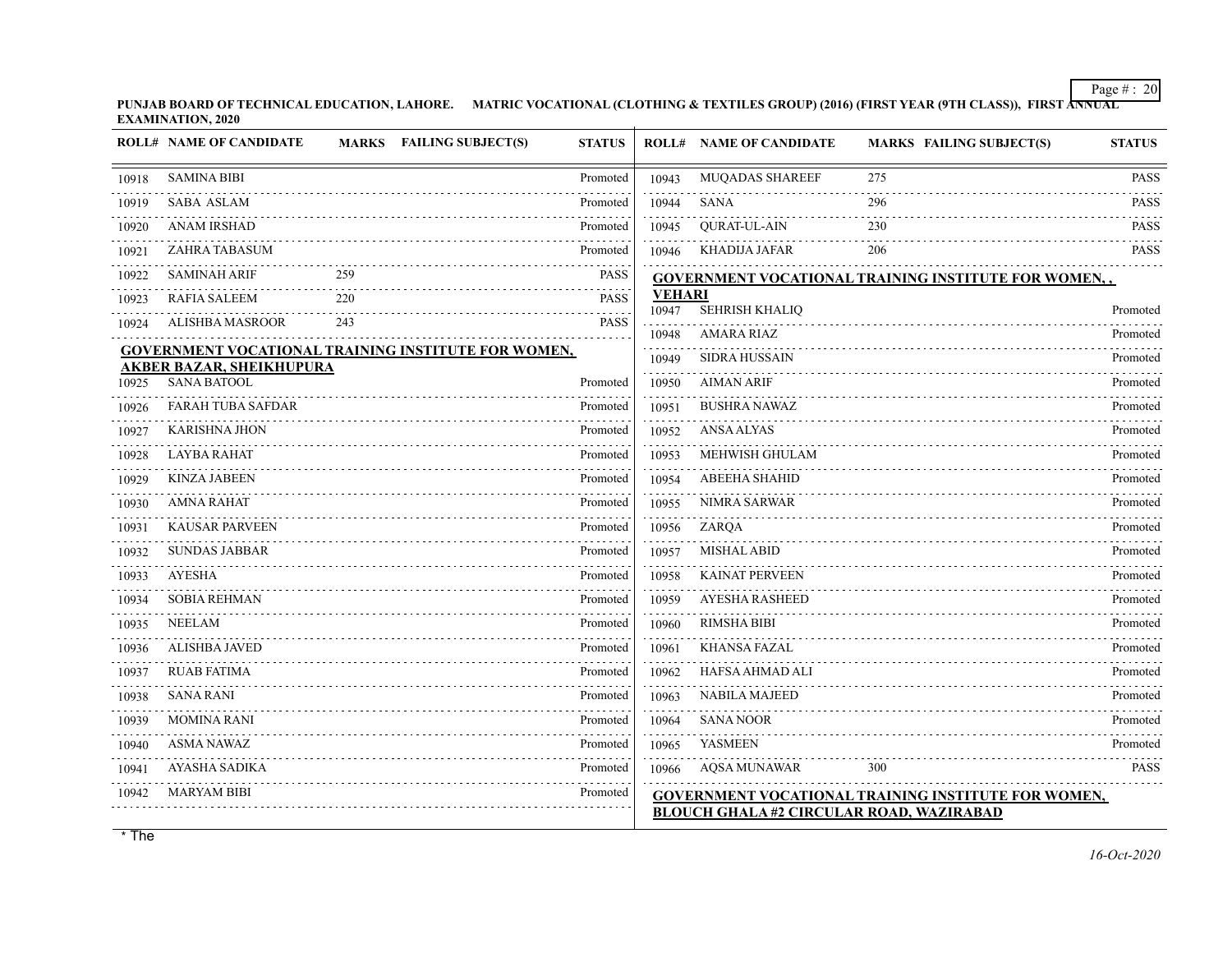**PUNJAB BOARD OF TECHNICAL EDUCATION, LAHORE. MATRIC VOCATIONAL (CLOTHING & TEXTILES GROUP) (2016) (FIRST YEAR (9TH CLASS)), FIRST ANNUAL EXAMINATION, 2020**

|       | <b>ROLL# NAME OF CANDIDATE</b>                        |     | MARKS FAILING SUBJECT(S)                                   | <b>STATUS</b>            |                        | <b>ROLL# NAME OF CANDIDATE</b> | <b>MARKS FAILING SUBJECT(S)</b>                             | <b>STATUS</b> |
|-------|-------------------------------------------------------|-----|------------------------------------------------------------|--------------------------|------------------------|--------------------------------|-------------------------------------------------------------|---------------|
| 10918 | <b>SAMINA BIBI</b>                                    |     |                                                            | Promoted                 | 10943                  | MUQADAS SHAREEF                | 275                                                         | <b>PASS</b>   |
| 10919 | <b>SABA ASLAM</b>                                     |     |                                                            | Promoted                 | 10944                  | <b>SANA</b>                    | 296                                                         | <b>PASS</b>   |
| 10920 | <b>ANAM IRSHAD</b>                                    |     |                                                            | Promoted                 | 10945                  | <b>QURAT-UL-AIN</b>            | 230                                                         | <b>PASS</b>   |
| 10921 | ZAHRA TABASUM                                         |     |                                                            | Promoted                 | 10946                  | <b>KHADIJA JAFAR</b>           | 206                                                         | <b>PASS</b>   |
| 10922 | <b>SAMINAH ARIF</b>                                   | 259 |                                                            | $- - - -$<br><b>PASS</b> |                        |                                | <b>GOVERNMENT VOCATIONAL TRAINING INSTITUTE FOR WOMEN,,</b> |               |
| 10923 | <b>RAFIA SALEEM</b>                                   | 220 |                                                            | <b>PASS</b>              | <b>VEHARI</b><br>10947 | SEHRISH KHALIQ                 |                                                             | Promoted      |
| 10924 | ALISHBA MASROOR                                       | 243 |                                                            | <b>PASS</b>              | 10948                  | <b>AMARA RIAZ</b>              |                                                             | Promoted      |
|       |                                                       |     | <b>GOVERNMENT VOCATIONAL TRAINING INSTITUTE FOR WOMEN,</b> |                          | 10949                  | <b>SIDRA HUSSAIN</b>           |                                                             | Promoted      |
| 10925 | <b>AKBER BAZAR, SHEIKHUPURA</b><br><b>SANA BATOOL</b> |     |                                                            | Promoted                 | 10950                  | <b>AIMAN ARIF</b>              |                                                             | Promoted      |
| 10926 | <b>FARAH TUBA SAFDAR</b>                              |     |                                                            | Promoted                 | 10951                  | <b>BUSHRA NAWAZ</b>            |                                                             | Promoted      |
| 10927 | <b>KARISHNA JHON</b>                                  |     |                                                            | Promoted                 | 10952                  | <b>ANSA ALYAS</b>              |                                                             | Promoted      |
| 10928 | <b>LAYBA RAHAT</b>                                    |     |                                                            | Promoted                 | 10953                  | MEHWISH GHULAM                 |                                                             | Promoted      |
| 10929 | <b>KINZA JABEEN</b>                                   |     |                                                            | Promoted                 | 10954                  | <b>ABEEHA SHAHID</b>           |                                                             | Promoted      |
| 10930 | <b>AMNA RAHAT</b>                                     |     |                                                            | Promoted                 | 10955                  | <b>NIMRA SARWAR</b>            |                                                             | Promoted      |
| 10931 | <b>KAUSAR PARVEEN</b>                                 |     |                                                            | Promoted                 | 10956                  | ZARQA                          |                                                             | Promoted      |
| 10932 | <b>SUNDAS JABBAR</b>                                  |     |                                                            | Promoted                 | 10957                  | <b>MISHAL ABID</b>             |                                                             | Promoted      |
| 10933 | <b>AYESHA</b>                                         |     |                                                            | Promoted                 | 10958                  | <b>KAINAT PERVEEN</b>          |                                                             | Promoted      |
| 10934 | <b>SOBIA REHMAN</b>                                   |     |                                                            | Promoted                 | 10959                  | AYESHA RASHEED                 |                                                             | Promoted      |
| 10935 | <b>NEELAM</b>                                         |     |                                                            | Promoted                 | 10960                  | <b>RIMSHA BIBI</b>             |                                                             | Promoted      |
| 10936 | <b>ALISHBA JAVED</b>                                  |     |                                                            | Promoted                 | 10961                  | <b>KHANSA FAZAL</b>            |                                                             | Promoted      |
| 10937 | <b>RUAB FATIMA</b>                                    |     |                                                            | Promoted                 | 10962                  | HAFSA AHMAD ALI                |                                                             | Promoted      |
| 10938 | <b>SANA RANI</b>                                      |     |                                                            | Promoted                 | 10963                  | <b>NABILA MAJEED</b>           |                                                             | Promoted      |
| 10939 | <b>MOMINA RANI</b>                                    |     |                                                            | Promoted                 | 10964                  | <b>SANA NOOR</b>               |                                                             | Promoted      |
| 10940 | <b>ASMA NAWAZ</b>                                     |     |                                                            | Promoted                 | 10965                  | <b>YASMEEN</b>                 |                                                             | Promoted      |
| 10941 | <b>AYASHA SADIKA</b>                                  |     |                                                            | Promoted                 | 10966                  | <b>AOSA MUNAWAR</b>            | 300                                                         | <b>PASS</b>   |
| 10942 | <b>MARYAM BIBI</b>                                    |     |                                                            | Promoted                 |                        |                                | <b>GOVERNMENT VOCATIONAL TRAINING INSTITUTE FOR WOMEN,</b>  |               |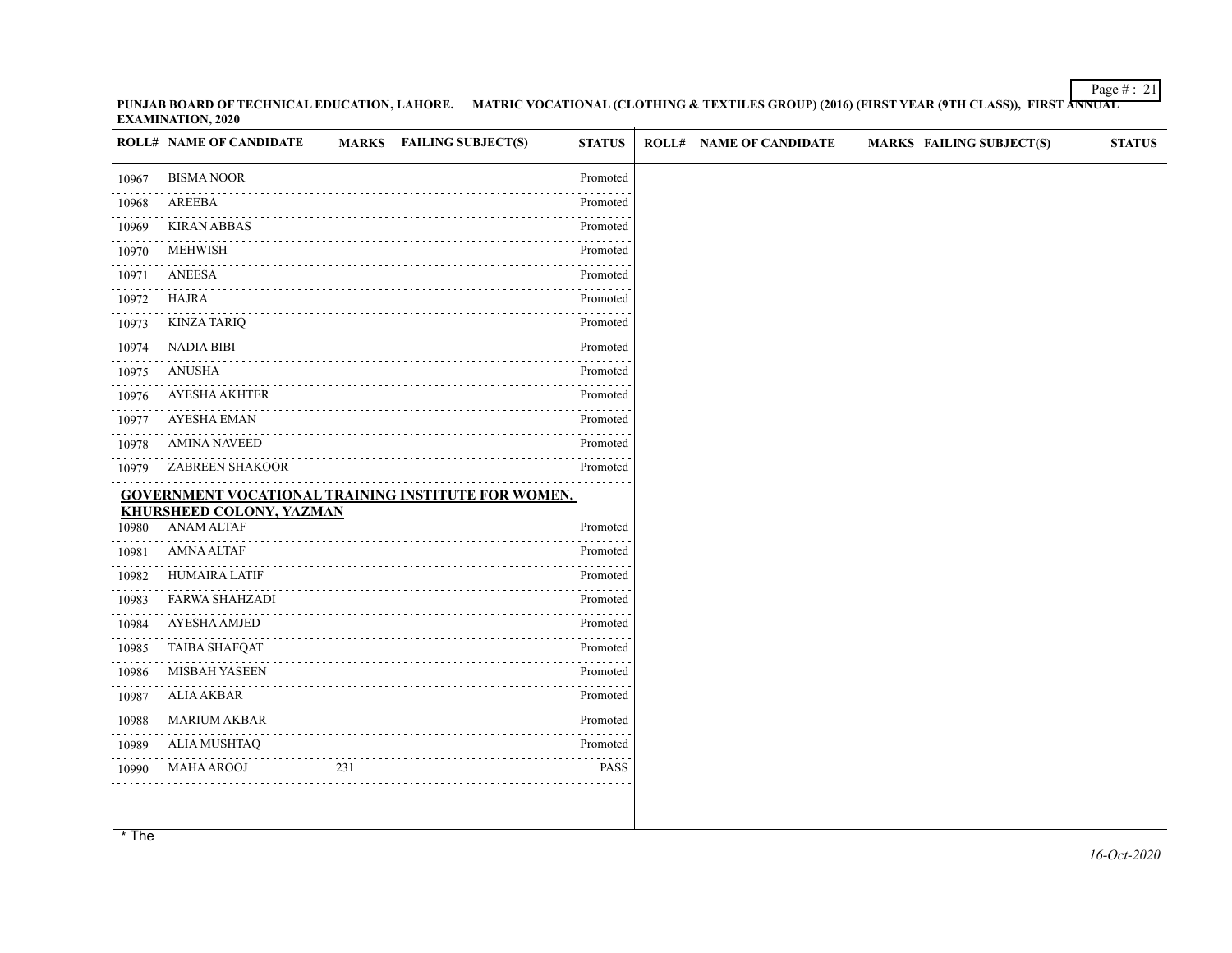**PUNJAB BOARD OF TECHNICAL EDUCATION, LAHORE. MATRIC VOCATIONAL (CLOTHING & TEXTILES GROUP) (2016) (FIRST YEAR (9TH CLASS)), FIRST ANNUAL EXAMINATION, 2020**

|                | MARKS FAILING SUBJECT(S)<br><b>ROLL# NAME OF CANDIDATE</b> | <b>STATUS</b> | <b>ROLL# NAME OF CANDIDATE</b> | <b>MARKS FAILING SUBJECT(S)</b> | <b>STATUS</b> |
|----------------|------------------------------------------------------------|---------------|--------------------------------|---------------------------------|---------------|
| 10967          | <b>BISMA NOOR</b>                                          | Promoted      |                                |                                 |               |
| 10968          | AREEBA                                                     | Promoted      |                                |                                 |               |
| 10969          | <b>KIRAN ABBAS</b>                                         | Promoted      |                                |                                 |               |
| 10970          | <b>MEHWISH</b>                                             | Promoted      |                                |                                 |               |
| 10971          | ANEESA                                                     | Promoted      |                                |                                 |               |
| 10972          | HAJRA                                                      | Promoted      |                                |                                 |               |
| 10973          | <b>KINZA TARIQ</b>                                         | Promoted      |                                |                                 |               |
| 10974          | NADIA BIBI                                                 | Promoted      |                                |                                 |               |
| 10975          | <b>ANUSHA</b>                                              | Promoted      |                                |                                 |               |
| 10976          | <b>AYESHA AKHTER</b>                                       | Promoted      |                                |                                 |               |
| 10977          | <b>AYESHA EMAN</b>                                         | .<br>Promoted |                                |                                 |               |
| 10978          | <b>AMINA NAVEED</b>                                        | Promoted      |                                |                                 |               |
| 10979          | <b>ZABREEN SHAKOOR</b>                                     | Promoted      |                                |                                 |               |
|                | <b>GOVERNMENT VOCATIONAL TRAINING INSTITUTE FOR WOMEN,</b> |               |                                |                                 |               |
| 10980          | <b>KHURSHEED COLONY, YAZMAN</b><br><b>ANAM ALTAF</b>       | Promoted      |                                |                                 |               |
| 10981          | <b>AMNA ALTAF</b>                                          | Promoted      |                                |                                 |               |
| 10982          | <b>HUMAIRA LATIF</b>                                       | Promoted      |                                |                                 |               |
| 10983          | <b>FARWA SHAHZADI</b>                                      | Promoted      |                                |                                 |               |
| 10984          | <b>AYESHA AMJED</b>                                        | Promoted      |                                |                                 |               |
| 10985          | <b>TAIBA SHAFQAT</b>                                       | Promoted      |                                |                                 |               |
| 10986          | <b>MISBAH YASEEN</b>                                       | Promoted      |                                |                                 |               |
|                | ALIA AKBAR                                                 | Promoted      |                                |                                 |               |
|                |                                                            |               |                                |                                 |               |
| 10987<br>10988 | <b>MARIUM AKBAR</b>                                        | Promoted      |                                |                                 |               |
| 10989          | <b>ALIA MUSHTAQ</b>                                        | Promoted      |                                |                                 |               |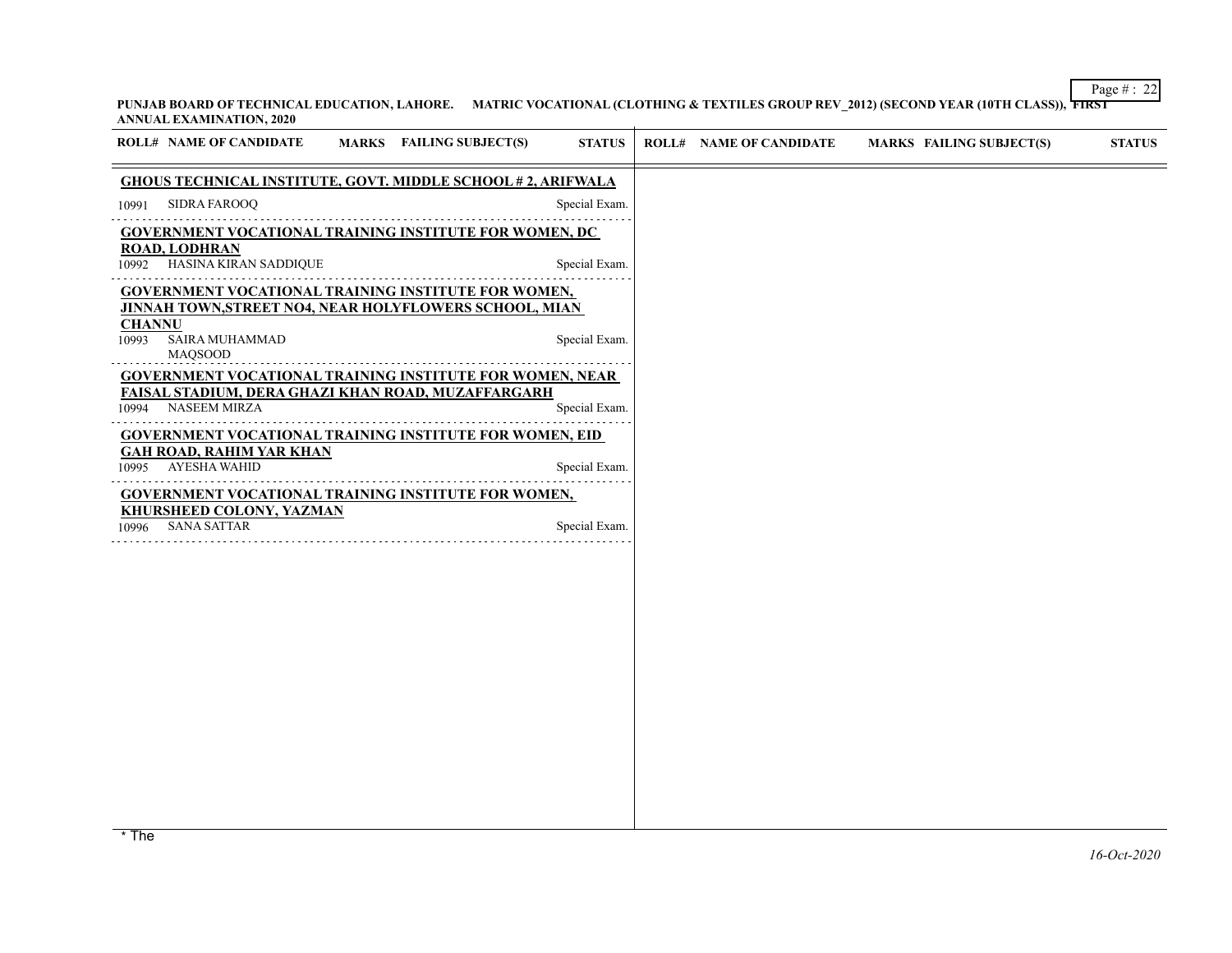## Page # : 22 **PUNJAB BOARD OF TECHNICAL EDUCATION, LAHORE. MATRIC VOCATIONAL (CLOTHING & TEXTILES GROUP REV\_2012) (SECOND YEAR (10TH CLASS)), FIRST ANNUAL EXAMINATION, 2020**  $\sim$

|               | <b>ROLL# NAME OF CANDIDATE</b>                                                                                       | MARKS FAILING SUBJECT(S) | <b>STATUS</b> | <b>ROLL# NAME OF CANDIDATE</b> | <b>MARKS FAILING SUBJECT(S)</b>                                                                                                                                   | <b>STATUS</b> |
|---------------|----------------------------------------------------------------------------------------------------------------------|--------------------------|---------------|--------------------------------|-------------------------------------------------------------------------------------------------------------------------------------------------------------------|---------------|
|               | <b>GHOUS TECHNICAL INSTITUTE, GOVT. MIDDLE SCHOOL #2, ARIFWALA</b>                                                   |                          |               |                                |                                                                                                                                                                   |               |
| 10991         | <b>SIDRA FAROOQ</b>                                                                                                  |                          | Special Exam. |                                |                                                                                                                                                                   |               |
|               | <b>GOVERNMENT VOCATIONAL TRAINING INSTITUTE FOR WOMEN, DC</b>                                                        |                          |               |                                |                                                                                                                                                                   |               |
| 10992         | <b>ROAD, LODHRAN</b><br>HASINA KIRAN SADDIQUE                                                                        |                          | Special Exam. |                                |                                                                                                                                                                   |               |
| <b>CHANNU</b> | <b>GOVERNMENT VOCATIONAL TRAINING INSTITUTE FOR WOMEN,</b><br>JINNAH TOWN, STREET NO4, NEAR HOLYFLOWERS SCHOOL, MIAN |                          |               |                                |                                                                                                                                                                   |               |
| 10993         | SAIRA MUHAMMAD<br><b>MAQSOOD</b>                                                                                     |                          | Special Exam. |                                |                                                                                                                                                                   |               |
|               | <b>GOVERNMENT VOCATIONAL TRAINING INSTITUTE FOR WOMEN, NEAR</b>                                                      |                          |               |                                |                                                                                                                                                                   |               |
| 10994         | FAISAL STADIUM, DERA GHAZI KHAN ROAD, MUZAFFARGARH<br><b>NASEEM MIRZA</b>                                            |                          | Special Exam. |                                |                                                                                                                                                                   |               |
|               | <b>GOVERNMENT VOCATIONAL TRAINING INSTITUTE FOR WOMEN, EID</b>                                                       |                          |               |                                |                                                                                                                                                                   |               |
| 10995         | <b>GAH ROAD, RAHIM YAR KHAN</b><br><b>AYESHA WAHID</b>                                                               |                          | Special Exam. |                                |                                                                                                                                                                   |               |
|               | <b>GOVERNMENT VOCATIONAL TRAINING INSTITUTE FOR WOMEN,</b>                                                           |                          |               |                                |                                                                                                                                                                   |               |
| 10996         | <b>KHURSHEED COLONY, YAZMAN</b><br><b>SANA SATTAR</b>                                                                |                          | Special Exam. |                                |                                                                                                                                                                   |               |
|               |                                                                                                                      |                          |               |                                |                                                                                                                                                                   |               |
|               |                                                                                                                      |                          |               |                                |                                                                                                                                                                   |               |
|               |                                                                                                                      |                          |               |                                |                                                                                                                                                                   |               |
|               |                                                                                                                      |                          |               |                                |                                                                                                                                                                   |               |
|               |                                                                                                                      |                          |               |                                |                                                                                                                                                                   |               |
|               |                                                                                                                      |                          |               |                                |                                                                                                                                                                   |               |
|               |                                                                                                                      |                          |               |                                |                                                                                                                                                                   |               |
|               |                                                                                                                      |                          |               |                                |                                                                                                                                                                   |               |
|               |                                                                                                                      |                          |               |                                |                                                                                                                                                                   |               |
|               |                                                                                                                      |                          |               |                                |                                                                                                                                                                   |               |
|               |                                                                                                                      |                          |               |                                |                                                                                                                                                                   |               |
|               |                                                                                                                      |                          |               |                                | * The marks awarded under the promotion criteria is the best prediction of the performance of the student and has been awarded based marks awarded under the pror |               |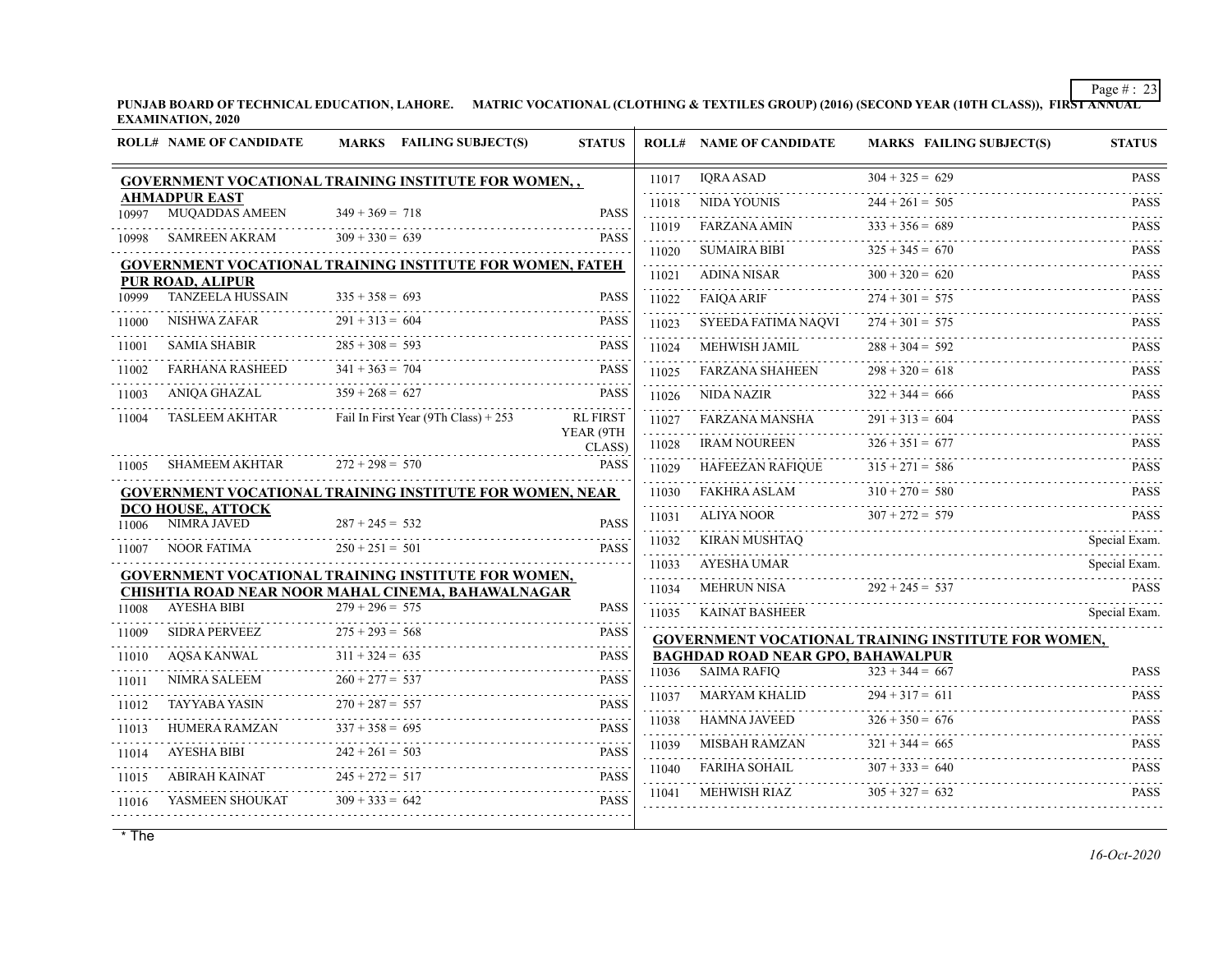**PUNJAB BOARD OF TECHNICAL EDUCATION, LAHORE. MATRIC VOCATIONAL (CLOTHING & TEXTILES GROUP) (2016) (SECOND YEAR (10TH CLASS)), FIRST ANNUAL EXAMINATION, 2020**

|       | <b>ROLL# NAME OF CANDIDATE</b>                | MARKS FAILING SUBJECT(S)                                                                                  | <b>STATUS</b>            |            | <b>ROLL# NAME OF CANDIDATE</b>           | <b>MARKS FAILING SUBJECT(S)</b>                            | <b>STATUS</b>            |
|-------|-----------------------------------------------|-----------------------------------------------------------------------------------------------------------|--------------------------|------------|------------------------------------------|------------------------------------------------------------|--------------------------|
|       |                                               | GOVERNMENT VOCATIONAL TRAINING INSTITUTE FOR WOMEN,,                                                      |                          | 11017      | <b>IORA ASAD</b>                         | $304 + 325 = 629$                                          | <b>PASS</b><br>1.1.1.1.1 |
| 10997 | <b>AHMADPUR EAST</b><br><b>MUQADDAS AMEEN</b> | $349 + 369 = 718$                                                                                         | <b>PASS</b>              | 11018      | NIDA YOUNIS                              | $244 + 261 = 505$                                          | <b>PASS</b>              |
|       |                                               | $309 + 330 = 639$                                                                                         | <b>PASS</b>              | 11019      | <b>FARZANA AMIN</b>                      | $333 + 356 = 689$                                          | <b>PASS</b>              |
| 10998 | SAMREEN AKRAM                                 |                                                                                                           |                          | 11020      | <b>SUMAIRA BIBI</b>                      | $325 + 345 = 670$                                          | <b>PASS</b>              |
|       | PUR ROAD, ALIPUR                              | <b>GOVERNMENT VOCATIONAL TRAINING INSTITUTE FOR WOMEN, FATEH</b>                                          |                          | 11021      | ADINA NISAR                              | $300 + 320 = 620$                                          | <b>PASS</b>              |
| 10999 | <b>TANZEELA HUSSAIN</b>                       | $335 + 358 = 693$                                                                                         | <b>PASS</b>              | 11022      | <b>FAIOA ARIF</b>                        | $274 + 301 = 575$                                          | <b>PASS</b>              |
| 11000 | NISHWA ZAFAR                                  | $291 + 313 = 604$                                                                                         | <b>PASS</b>              | 11023      | SYEEDA FATIMA NAQVI                      | $274 + 301 = 575$                                          | <b>PASS</b>              |
| 11001 | <b>SAMIA SHABIR</b>                           | $285 + 308 = 593$                                                                                         | <b>PASS</b>              | 11024      | MEHWISH JAMIL                            | $288 + 304 = 592$                                          | <b>PASS</b>              |
| 11002 | <b>FARHANA RASHEED</b>                        | $341 + 363 = 704$                                                                                         | <b>PASS</b>              | 11025      | <b>FARZANA SHAHEEN</b>                   | $298 + 320 = 618$                                          | <b>PASS</b>              |
| 11003 | ANIQA GHAZAL                                  | $359 + 268 = 627$                                                                                         | <b>PASS</b>              | 11026      | NIDA NAZIR                               | $322 + 344 = 666$                                          | <b>PASS</b>              |
| 11004 | <b>TASLEEM AKHTAR</b>                         | Fail In First Year (9Th Class) + 253                                                                      | <b>RL FIRST</b>          | 11027      | FARZANA MANSHA                           | $291 + 313 = 604$                                          | <b>PASS</b>              |
|       |                                               |                                                                                                           | YEAR (9TH<br>CLASS)      | 11028      | <b>IRAM NOUREEN</b>                      | $326 + 351 = 677$                                          | .<br><b>PASS</b>         |
| 11005 | <b>SHAMEEM AKHTAR</b>                         | $272 + 298 = 570$                                                                                         | <b>PASS</b>              | 11029      | <b>HAFEEZAN RAFIOUE</b>                  | $315 + 271 = 586$                                          | <b>PASS</b>              |
|       |                                               | <b>GOVERNMENT VOCATIONAL TRAINING INSTITUTE FOR WOMEN, NEAR</b>                                           |                          | 11030      | FAKHRA ASLAM                             | $310 + 270 = 580$                                          | <b>PASS</b>              |
| 11006 | <b>DCO HOUSE, ATTOCK</b><br>NIMRA JAVED       | $287 + 245 = 532$                                                                                         | <b>PASS</b>              | 11031      | ALIYA NOOR                               | $307 + 272 = 579$                                          | <b>PASS</b>              |
| 11007 | <b>NOOR FATIMA</b>                            | $250 + 251 = 501$                                                                                         | <b>PASS</b>              | 11032      | KIRAN MUSHTAO                            |                                                            | Special Exam.            |
|       |                                               |                                                                                                           |                          | 11033      | AYESHA UMAR                              |                                                            | Special Exam.            |
|       |                                               | GOVERNMENT VOCATIONAL TRAINING INSTITUTE FOR WOMEN,<br>CHISHTIA ROAD NEAR NOOR MAHAL CINEMA, BAHAWALNAGAR |                          | 11034      | MEHRUN NISA                              | $292 + 245 = 537$                                          | <b>PASS</b>              |
| 11008 | <b>AYESHA BIBI</b>                            | $279 + 296 = 575$                                                                                         | <b>PASS</b>              | 11035      | KAINAT BASHEER                           |                                                            | Special Exam.            |
| 11009 | <b>SIDRA PERVEEZ</b>                          | $275 + 293 = 568$                                                                                         | <b>PASS</b>              |            |                                          | <b>GOVERNMENT VOCATIONAL TRAINING INSTITUTE FOR WOMEN,</b> |                          |
| 11010 | AQSA KANWAL                                   | $311 + 324 = 635$                                                                                         | <b>PASS</b>              |            | <b>BAGHDAD ROAD NEAR GPO, BAHAWALPUR</b> |                                                            |                          |
| 11011 | NIMRA SALEEM                                  | $260 + 277 = 537$                                                                                         | <b>PASS</b>              | .          | 11036 SAIMA RAFIO                        | $323 + 344 = 667$                                          | <b>PASS</b>              |
| 11012 | <b>TAYYABA YASIN</b>                          | $270 + 287 = 557$                                                                                         | <b>PASS</b>              | 11037      | <b>MARYAM KHALID</b>                     | $294 + 317 = 611$                                          | <b>PASS</b><br>.         |
| 11013 | HUMERA RAMZAN                                 | $337 + 358 = 695$                                                                                         | .<br><b>PASS</b>         | 11038      | HAMNA JAVEED                             | $326 + 350 = 676$                                          | <b>PASS</b>              |
| 11014 | AYESHA BIBI                                   | $242 + 261 = 503$                                                                                         | 1.1.1.1.1<br><b>PASS</b> | 11039<br>. | MISBAH RAMZAN                            | $321 + 344 = 665$                                          | <b>PASS</b>              |
| 11015 | ABIRAH KAINAT                                 | $245 + 272 = 517$                                                                                         | 11111<br><b>PASS</b>     | 11040      | FARIHA SOHAIL                            | $307 + 333 = 640$                                          | <b>PASS</b>              |
| 11016 | YASMEEN SHOUKAT                               | $309 + 333 = 642$                                                                                         | <b>PASS</b>              | 11041      | MEHWISH RIAZ                             | $305 + 327 = 632$                                          | <b>PASS</b>              |
|       |                                               |                                                                                                           |                          |            |                                          |                                                            |                          |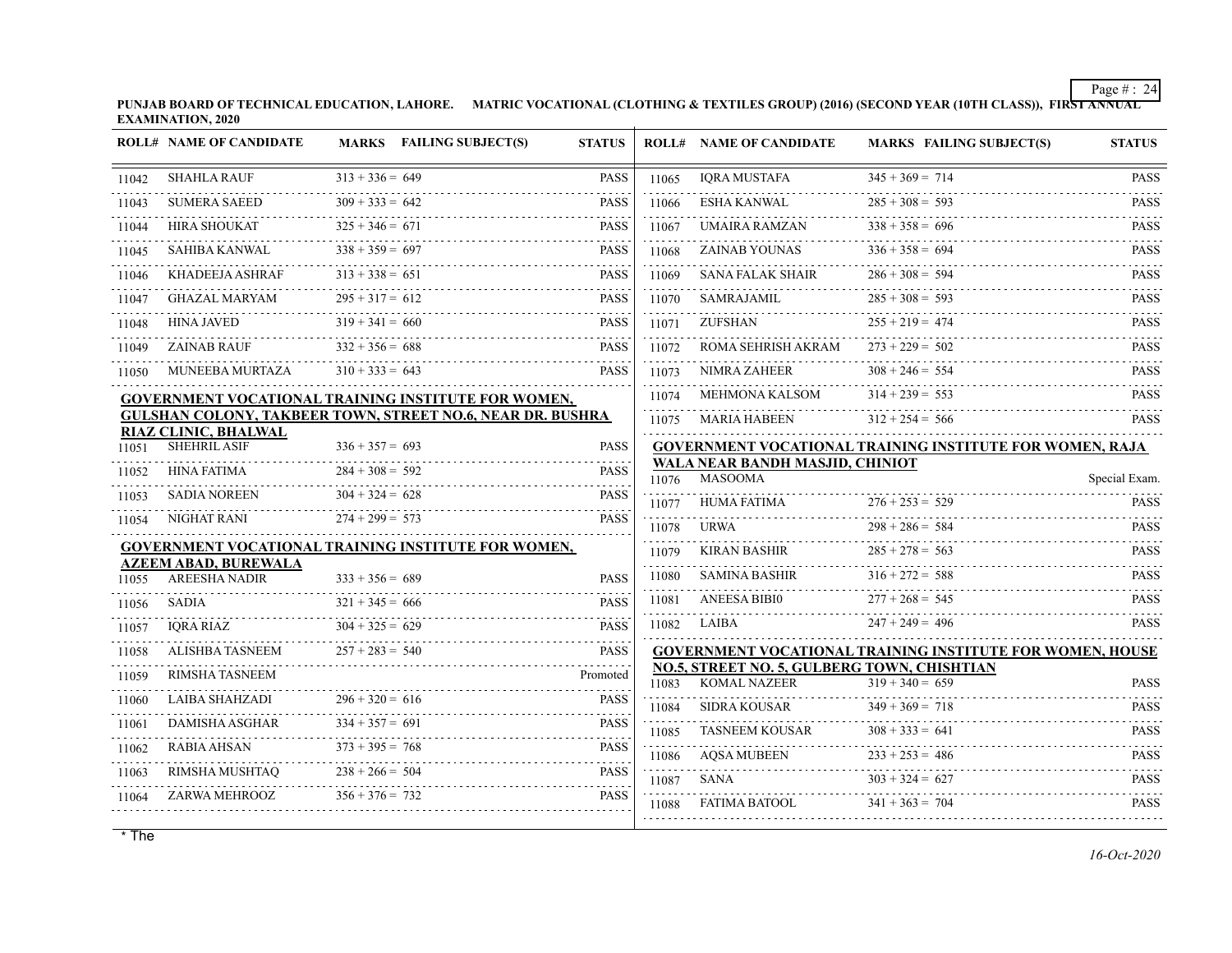**PUNJAB BOARD OF TECHNICAL EDUCATION, LAHORE. MATRIC VOCATIONAL (CLOTHING & TEXTILES GROUP) (2016) (SECOND YEAR (10TH CLASS)), FIRST ANNUAL EXAMINATION, 2020**

|       | <b>ROLL# NAME OF CANDIDATE</b>              |                   | MARKS FAILING SUBJECT(S)                                   | <b>STATUS</b>            |                | <b>ROLL# NAME OF CANDIDATE</b>                                     | MARKS FAILING SUBJECT(S)                                         | <b>STATUS</b> |
|-------|---------------------------------------------|-------------------|------------------------------------------------------------|--------------------------|----------------|--------------------------------------------------------------------|------------------------------------------------------------------|---------------|
| 11042 | <b>SHAHLA RAUF</b>                          | $313 + 336 = 649$ |                                                            | <b>PASS</b>              | 11065          | IQRA MUSTAFA                                                       | $345 + 369 = 714$                                                | <b>PASS</b>   |
| 11043 | <b>SUMERA SAEED</b>                         | $309 + 333 = 642$ |                                                            | <b>PASS</b>              | 11066          | ESHA KANWAL                                                        | $285 + 308 = 593$                                                | <b>PASS</b>   |
| 11044 | <b>HIRA SHOUKAT</b>                         | $325 + 346 = 671$ |                                                            | <b>PASS</b>              | 11067          | UMAIRA RAMZAN                                                      | $338 + 358 = 696$                                                | <b>PASS</b>   |
| 11045 | SAHIBA KANWAL                               | $338 + 359 = 697$ |                                                            | <b>PASS</b>              | 11068          | ZAINAB YOUNAS                                                      | $336 + 358 = 694$                                                | <b>PASS</b>   |
| 11046 | KHADEEJA ASHRAF                             | $313 + 338 = 651$ |                                                            | <b>PASS</b>              | 11069          | <b>SANA FALAK SHAIR</b>                                            | $286 + 308 = 594$                                                | <b>PASS</b>   |
| 11047 | <b>GHAZAL MARYAM</b>                        | $295 + 317 = 612$ |                                                            | <b>PASS</b>              | 11070          | SAMRAJAMIL                                                         | $285 + 308 = 593$                                                | <b>PASS</b>   |
| 11048 | <b>HINA JAVED</b>                           | $319 + 341 = 660$ |                                                            | <b>PASS</b>              | 11071          | ZUFSHAN                                                            | $255 + 219 = 474$                                                | <b>PASS</b>   |
| 11049 | <b>ZAINAB RAUF</b>                          | $332 + 356 = 688$ |                                                            | <b>PASS</b>              | 11072          | ROMA SEHRISH AKRAM                                                 | $273 + 229 = 502$                                                | <b>PASS</b>   |
| 11050 | MUNEEBA MURTAZA                             | $310 + 333 = 643$ |                                                            | <b>PASS</b>              | 11073          | NIMRA ZAHEER                                                       | $308 + 246 = 554$                                                | <b>PASS</b>   |
|       |                                             |                   | GOVERNMENT VOCATIONAL TRAINING INSTITUTE FOR WOMEN,        |                          | 11074          | MEHMONA KALSOM                                                     | $314 + 239 = 553$                                                | <b>PASS</b>   |
|       |                                             |                   | GULSHAN COLONY, TAKBEER TOWN, STREET NO.6, NEAR DR. BUSHRA |                          |                | 11075 MARIA HABEEN                                                 | $312 + 254 = 566$                                                | <b>PASS</b>   |
| 11051 | RIAZ CLINIC, BHALWAL<br><b>SHEHRIL ASIF</b> | $336 + 357 = 693$ |                                                            | <b>PASS</b>              |                |                                                                    | <b>GOVERNMENT VOCATIONAL TRAINING INSTITUTE FOR WOMEN, RAJA</b>  |               |
| 11052 | HINA FATIMA                                 | $284 + 308 = 592$ |                                                            | <b>PASS</b>              |                | WALA NEAR BANDH MASJID, CHINIOT<br>11076 MASOOMA                   |                                                                  | Special Exam. |
| 11053 | <b>SADIA NOREEN</b>                         | $304 + 324 = 628$ |                                                            | <b>PASS</b>              |                | HUMA FATIMA                                                        | $276 + 253 = 529$                                                | <b>PASS</b>   |
| 11054 | NIGHAT RANI                                 | $274 + 299 = 573$ |                                                            | <b>PASS</b>              | 11077<br>11078 | URWA                                                               | $298 + 286 = 584$                                                | <b>PASS</b>   |
|       |                                             |                   | GOVERNMENT VOCATIONAL TRAINING INSTITUTE FOR WOMEN,        |                          | 11079          | KIRAN BASHIR                                                       | $285 + 278 = 563$                                                | <b>PASS</b>   |
|       | <b>AZEEM ABAD, BUREWALA</b>                 |                   |                                                            |                          |                |                                                                    |                                                                  |               |
| 11055 | <b>AREESHA NADIR</b>                        | $333 + 356 = 689$ |                                                            | <b>PASS</b>              | 11080          | SAMINA BASHIR                                                      | $316 + 272 = 588$                                                | <b>PASS</b>   |
| 11056 | SADIA                                       | $321 + 345 = 666$ |                                                            | <b>PASS</b>              | 11081          | <b>ANEESA BIBI0</b>                                                | $277 + 268 = 545$                                                | <b>PASS</b>   |
| 11057 | <b>IQRA RIAZ</b>                            | $304 + 325 = 629$ |                                                            | <b>PASS</b><br>1.1.1.1.1 | 11082          | LAIBA                                                              | $247 + 249 = 496$                                                | <b>PASS</b>   |
| 11058 | ALISHBA TASNEEM                             | $257 + 283 = 540$ |                                                            | <b>PASS</b>              |                |                                                                    | <b>GOVERNMENT VOCATIONAL TRAINING INSTITUTE FOR WOMEN, HOUSE</b> |               |
| 11059 | <b>RIMSHA TASNEEM</b>                       |                   |                                                            | Promoted                 | 11083          | NO.5, STREET NO. 5, GULBERG TOWN, CHISHTIAN<br><b>KOMAL NAZEER</b> | $319 + 340 = 659$                                                | <b>PASS</b>   |
| 11060 | LAIBA SHAHZADI                              | $296 + 320 = 616$ |                                                            | <b>PASS</b>              |                | SIDRA KOUSAR                                                       | $349 + 369 = 718$                                                | <b>PASS</b>   |
| 11061 | DAMISHA ASGHAR                              | $334 + 357 = 691$ |                                                            | <b>PASS</b>              | 11084<br>11085 | TASNEEM KOUSAR                                                     | $308 + 333 = 641$                                                | <b>PASS</b>   |
| 11062 | <b>RABIA AHSAN</b>                          | $373 + 395 = 768$ |                                                            | <b>PASS</b>              | 11086          | AOSA MUBEEN                                                        | $233 + 253 = 486$                                                | <b>PASS</b>   |
| 11063 | RIMSHA MUSHTAO                              | $238 + 266 = 504$ |                                                            | <b>PASS</b>              |                | SANA                                                               | $303 + 324 = 627$                                                | <b>PASS</b>   |
| 11064 | ZARWA MEHROOZ                               | $356 + 376 = 732$ |                                                            | <b>PASS</b>              | 11087<br>11088 | .<br>FATIMA BATOOL                                                 | $341 + 363 = 704$                                                | <b>PASS</b>   |
|       |                                             |                   |                                                            |                          |                |                                                                    |                                                                  |               |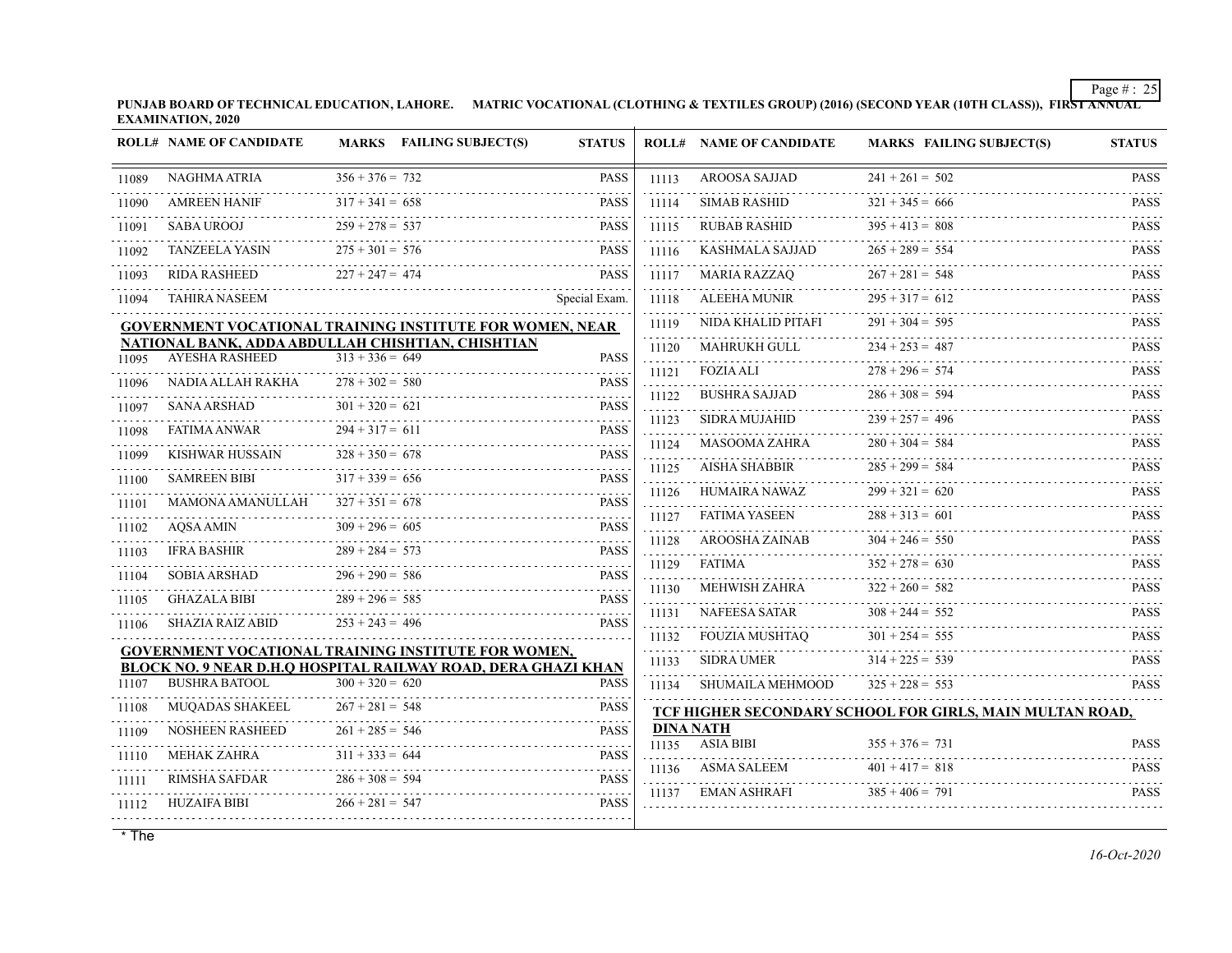**PUNJAB BOARD OF TECHNICAL EDUCATION, LAHORE. MATRIC VOCATIONAL (CLOTHING & TEXTILES GROUP) (2016) (SECOND YEAR (10TH CLASS)), FIRST ANNUAL EXAMINATION, 2020**

|       | <b>ROLL# NAME OF CANDIDATE</b>                                  |                   | MARKS FAILING SUBJECT(S) | <b>STATUS</b>              |            | <b>ROLL# NAME OF CANDIDATE</b> | <b>MARKS FAILING SUBJECT(S)</b>                          | <b>STATUS</b>         |
|-------|-----------------------------------------------------------------|-------------------|--------------------------|----------------------------|------------|--------------------------------|----------------------------------------------------------|-----------------------|
| 11089 | NAGHMA ATRIA                                                    | $356 + 376 = 732$ |                          | <b>PASS</b>                | 11113      | AROOSA SAJJAD                  | $241 + 261 = 502$                                        | <b>PASS</b>           |
| 11090 | <b>AMREEN HANIF</b>                                             | $317 + 341 = 658$ |                          | <b>PASS</b>                | 11114      | <b>SIMAB RASHID</b>            | $321 + 345 = 666$                                        | <b>PASS</b>           |
| 11091 | <b>SABA UROOJ</b>                                               | $259 + 278 = 537$ |                          | <b>PASS</b>                | 11115      | <b>RUBAB RASHID</b>            | $395 + 413 = 808$                                        | <b>PASS</b>           |
| 11092 | <b>TANZEELA YASIN</b>                                           | $275 + 301 = 576$ |                          | <b>PASS</b>                | 11116      | .<br>KASHMALA SAJJAD           | $265 + 289 = 554$                                        | <b>PASS</b>           |
| 11093 | <b>RIDA RASHEED</b>                                             | $227 + 247 = 474$ |                          | <b>PASS</b>                | 11117      | MARIA RAZZAQ                   | $267 + 281 = 548$                                        | <b>PASS</b>           |
| 11094 | <b>TAHIRA NASEEM</b>                                            |                   |                          | Special Exam.              | 11118      | <b>ALEEHA MUNIR</b>            | $295 + 317 = 612$                                        | <b>PASS</b>           |
|       | <b>GOVERNMENT VOCATIONAL TRAINING INSTITUTE FOR WOMEN, NEAR</b> |                   |                          |                            | 11119      | NIDA KHALID PITAFI             | $291 + 304 = 595$                                        | <b>PASS</b>           |
|       | NATIONAL BANK, ADDA ABDULLAH CHISHTIAN, CHISHTIAN               |                   |                          |                            | 11120      | MAHRUKH GULL                   | $234 + 253 = 487$                                        | <b>PASS</b>           |
| 11095 | <b>AYESHA RASHEED</b>                                           | $313 + 336 = 649$ |                          | <b>PASS</b>                | 11121      | <b>FOZIA ALI</b>               | $278 + 296 = 574$                                        | <b>PASS</b>           |
| 11096 | NADIA ALLAH RAKHA                                               | $278 + 302 = 580$ |                          | <b>PASS</b><br>in in in de | .<br>11122 | <b>BUSHRA SAJJAD</b>           | $286 + 308 = 594$                                        | <b>PASS</b>           |
| 11097 | <b>SANA ARSHAD</b>                                              | $301 + 320 = 621$ |                          | <b>PASS</b>                | .<br>11123 | <b>SIDRA MUJAHID</b>           | $239 + 257 = 496$                                        | <b>PASS</b>           |
| 11098 | <b>FATIMA ANWAR</b>                                             | $294 + 317 = 611$ |                          | <b>PASS</b>                | .<br>11124 | .<br>MASOOMA ZAHRA             | $280 + 304 = 584$                                        | 111111<br><b>PASS</b> |
| 11099 | <b>KISHWAR HUSSAIN</b>                                          | $328 + 350 = 678$ |                          | <b>PASS</b>                | 11125      | <b>AISHA SHABBIR</b>           | $285 + 299 = 584$                                        | <b>PASS</b>           |
| 11100 | <b>SAMREEN BIBI</b>                                             | $317 + 339 = 656$ |                          | <b>PASS</b><br>$- - - - -$ | 11126      | HUMAIRA NAWAZ                  | $299 + 321 = 620$                                        | <b>PASS</b>           |
| 11101 | MAMONA AMANULLAH                                                | $327 + 351 = 678$ |                          | <b>PASS</b><br>2.2.2.2.2   | 11127      | FATIMA YASEEN                  | $288 + 313 = 601$                                        | <b>PASS</b>           |
| 11102 | <b>AOSA AMIN</b>                                                | $309 + 296 = 605$ |                          | <b>PASS</b>                | 11128      | <b>AROOSHA ZAINAB</b>          | $304 + 246 = 550$                                        | <b>PASS</b>           |
| 11103 | <b>IFRA BASHIR</b>                                              | $289 + 284 = 573$ |                          | <b>PASS</b><br>1.1.1.1     |            | FATIMA                         | $352 + 278 = 630$                                        | <b>PASS</b>           |
| 11104 | <b>SOBIA ARSHAD</b>                                             | $296 + 290 = 586$ |                          | <b>PASS</b>                | 11129      |                                |                                                          |                       |
| 11105 | <b>GHAZALA BIBI</b>                                             | $289 + 296 = 585$ |                          | <b>PASS</b>                | 11130      | <b>MEHWISH ZAHRA</b>           | $322 + 260 = 582$                                        | <b>PASS</b>           |
| 11106 | SHAZIA RAIZ ABID                                                | $253 + 243 = 496$ |                          | <b>PASS</b>                | 11131      | <b>NAFEESA SATAR</b>           | $308 + 244 = 552$                                        | <b>PASS</b>           |
|       | <b>GOVERNMENT VOCATIONAL TRAINING INSTITUTE FOR WOMEN,</b>      |                   |                          |                            | 11132<br>. | <b>FOUZIA MUSHTAQ</b>          | $301 + 254 = 555$                                        | <b>PASS</b>           |
|       | BLOCK NO. 9 NEAR D.H.O HOSPITAL RAILWAY ROAD, DERA GHAZI KHAN   |                   |                          |                            | 11133      | <b>SIDRA UMER</b>              | $314 + 225 = 539$                                        | <b>PASS</b>           |
| 11107 | <b>BUSHRA BATOOL</b>                                            | $300 + 320 = 620$ |                          | <b>PASS</b>                | 11134      | SHUMAILA MEHMOOD               | $325 + 228 = 553$                                        | .<br><b>PASS</b>      |
| 11108 | <b>MUOADAS SHAKEEL</b>                                          | $267 + 281 = 548$ |                          | <b>PASS</b>                |            |                                | TCF HIGHER SECONDARY SCHOOL FOR GIRLS, MAIN MULTAN ROAD, |                       |
| 11109 | <b>NOSHEEN RASHEED</b>                                          | $261 + 285 = 546$ |                          | <b>PASS</b>                |            | <b>DINA NATH</b>               |                                                          |                       |
| 11110 | <b>MEHAK ZAHRA</b>                                              | $311 + 333 = 644$ |                          | 2.2.2.2.1<br><b>PASS</b>   | 11135      | <b>ASIA BIBI</b>               | $355 + 376 = 731$                                        | <b>PASS</b>           |
| 11111 | RIMSHA SAFDAR                                                   | $286 + 308 = 594$ |                          | 1.1.1.1.1<br><b>PASS</b>   | 11136      | ASMA SALEEM                    | $401 + 417 = 818$                                        | <b>PASS</b>           |
| 11112 | <b>HUZAIFA BIBI</b>                                             | $266 + 281 = 547$ |                          | <b>PASS</b>                | 11137      | <b>EMAN ASHRAFI</b>            | $385 + 406 = 791$                                        | <b>PASS</b>           |
|       |                                                                 |                   |                          |                            |            |                                |                                                          |                       |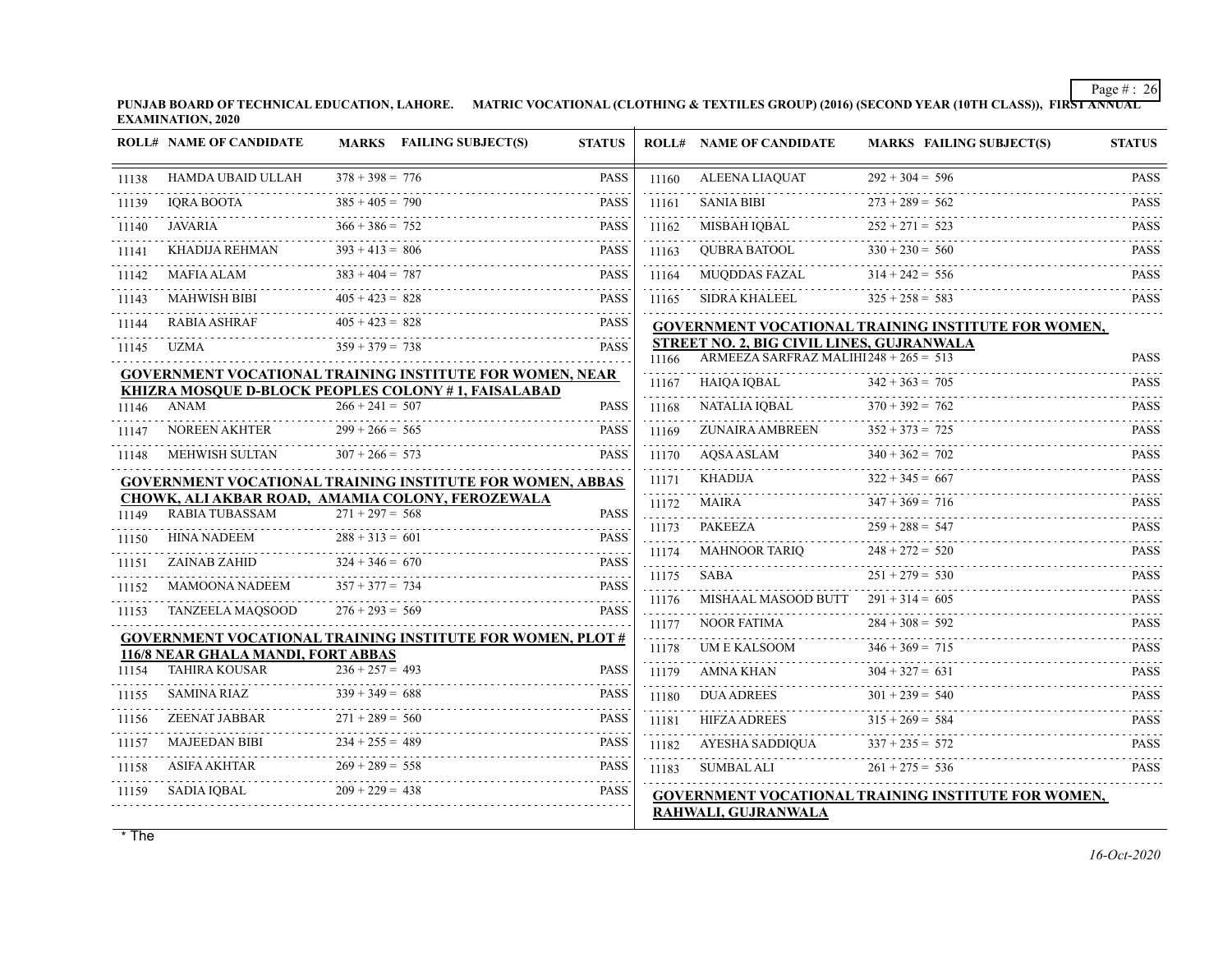**PUNJAB BOARD OF TECHNICAL EDUCATION, LAHORE. MATRIC VOCATIONAL (CLOTHING & TEXTILES GROUP) (2016) (SECOND YEAR (10TH CLASS)), FIRST ANNUAL EXAMINATION, 2020**

|       | <b>ROLL# NAME OF CANDIDATE</b>                   |                        | MARKS FAILING SUBJECT(S)                                          | <b>STATUS</b> |            | <b>ROLL# NAME OF CANDIDATE</b>            | <b>MARKS FAILING SUBJECT(S)</b>                            | <b>STATUS</b>             |
|-------|--------------------------------------------------|------------------------|-------------------------------------------------------------------|---------------|------------|-------------------------------------------|------------------------------------------------------------|---------------------------|
| 11138 | HAMDA UBAID ULLAH                                | $378 + 398 = 776$      |                                                                   | <b>PASS</b>   | 11160      | ALEENA LIAQUAT                            | $292 + 304 = 596$                                          | <b>PASS</b>               |
| 11139 | .<br><b>IQRA BOOTA</b>                           | $385 + 405 = 790$      |                                                                   | <b>PASS</b>   | 11161      | <b>SANIA BIBI</b>                         | $273 + 289 = 562$                                          | <b>PASS</b>               |
| 11140 | <b>JAVARIA</b>                                   | $366 + 386 = 752$      |                                                                   | <b>PASS</b>   | 11162      | MISBAH IOBAL                              | $252 + 271 = 523$                                          | <b>PASS</b>               |
| 11141 | KHADIJA REHMAN                                   | $393 + 413 = 806$      |                                                                   | <b>PASS</b>   | 11163      | OUBRA BATOOL                              | $330 + 230 = 560$                                          | <b>PASS</b>               |
| 11142 | MAFIA ALAM                                       | $383 + 404 = 787$      |                                                                   | <b>PASS</b>   | .<br>11164 | MUQDDAS FAZAL                             | $314 + 242 = 556$                                          | <b>PASS</b>               |
| 11143 | <b>MAHWISH BIBI</b>                              | $405 + 423 = 828$      |                                                                   | <b>PASS</b>   | 11165      | SIDRA KHALEEL                             | $325 + 258 = 583$                                          | .<br><b>PASS</b>          |
| 11144 | <b>RABIA ASHRAF</b>                              | $405 + 423 = 828$      |                                                                   | <b>PASS</b>   |            |                                           | GOVERNMENT VOCATIONAL TRAINING INSTITUTE FOR WOMEN,        |                           |
| 11145 | UZMA                                             | $359 + 379 = 738$      |                                                                   | <b>PASS</b>   |            | STREET NO. 2, BIG CIVIL LINES, GUJRANWALA |                                                            |                           |
|       |                                                  |                        | <b>GOVERNMENT VOCATIONAL TRAINING INSTITUTE FOR WOMEN, NEAR</b>   |               | 11166      | ARMEEZA SARFRAZ MALIHI $248 + 265 = 513$  |                                                            | <b>PASS</b>               |
|       |                                                  |                        | KHIZRA MOSQUE D-BLOCK PEOPLES COLONY #1, FAISALABAD               |               | 11167      | HAIQA IQBAL                               | $342 + 363 = 705$                                          | <b>PASS</b>               |
| 11146 | ANAM                                             | $266 + 241 = 507$      |                                                                   | <b>PASS</b>   | 11168      | NATALIA IQBAL                             | $370 + 392 = 762$                                          | <b>PASS</b>               |
| 11147 | NOREEN AKHTER                                    | $299 + 266 = 565$      |                                                                   | <b>PASS</b>   | 11169      | ZUNAIRA AMBREEN                           | $352 + 373 = 725$                                          | <b>PASS</b>               |
| 11148 | MEHWISH SULTAN                                   | $307 + 266 = 573$      |                                                                   | <b>PASS</b>   | 11170      | AQSA ASLAM                                | $340 + 362 = 702$                                          | <b>PASS</b>               |
|       |                                                  |                        | <b>GOVERNMENT VOCATIONAL TRAINING INSTITUTE FOR WOMEN, ABBAS</b>  |               | 11171      | KHADIJA                                   | $322 + 345 = 667$                                          | <b>PASS</b>               |
|       | CHOWK, ALI AKBAR ROAD, AMAMIA COLONY, FEROZEWALA |                        |                                                                   |               | 11172      | <b>MAIRA</b>                              | $347 + 369 = 716$                                          | <b>PASS</b>               |
| 11149 | RABIA TUBASSAM                                   | $271 + 297 = 568$      |                                                                   | <b>PASS</b>   | 11173      | PAKEEZA                                   | $259 + 288 = 547$                                          | <b>PASS</b>               |
| 11150 | <b>HINA NADEEM</b>                               | $288 + 313 = 601$<br>. |                                                                   | <b>PASS</b>   | 11174      | MAHNOOR TARIQ                             | $248 + 272 = 520$                                          | <b>PASS</b>               |
| 11151 | ZAINAB ZAHID                                     | $324 + 346 = 670$      |                                                                   | <b>PASS</b>   | 11175      | <b>SABA</b>                               | $251 + 279 = 530$                                          | <b>PASS</b>               |
| 11152 | MAMOONA NADEEM                                   | $357 + 377 = 734$      |                                                                   | <b>PASS</b>   | 11176      | MISHAAL MASOOD BUTT                       | $291 + 314 = 605$                                          | <b>PASS</b>               |
| 11153 | <b>TANZEELA MAQSOOD</b>                          | $276 + 293 = 569$      |                                                                   | <b>PASS</b>   | 11177      | <b>NOOR FATIMA</b>                        | $284 + 308 = 592$                                          | <b>PASS</b>               |
|       |                                                  |                        | <b>GOVERNMENT VOCATIONAL TRAINING INSTITUTE FOR WOMEN, PLOT #</b> |               |            |                                           | $346 + 369 = 715$                                          |                           |
|       | 116/8 NEAR GHALA MANDI, FORT ABBAS               |                        |                                                                   |               | 11178<br>. | UM E KALSOOM                              |                                                            | <b>PASS</b>               |
| 11154 | <b>TAHIRA KOUSAR</b>                             | $236 + 257 = 493$      |                                                                   | <b>PASS</b>   | 11179      | AMNA KHAN                                 | $304 + 327 = 631$                                          | <b>PASS</b>               |
| 11155 | <b>SAMINA RIAZ</b>                               | $339 + 349 = 688$      |                                                                   | <b>PASS</b>   | 11180      | <b>DUA ADREES</b>                         | $301 + 239 = 540$                                          | <b>PASS</b><br>1.11111111 |
| 11156 | ZEENAT JABBAR                                    | $271 + 289 = 560$      |                                                                   | <b>PASS</b>   | 11181      | <b>HIFZA ADREES</b>                       | $315 + 269 = 584$                                          | <b>PASS</b>               |
| 11157 | <b>MAJEEDAN BIBI</b>                             | $234 + 255 = 489$      |                                                                   | <b>PASS</b>   | 11182      | AYESHA SADDIOUA                           | $337 + 235 = 572$                                          | <b>PASS</b>               |
| 11158 | ASIFA AKHTAR                                     | $269 + 289 = 558$      |                                                                   | <b>PASS</b>   | 11183      | SUMBAL ALI                                | $261 + 275 = 536$                                          | <b>PASS</b>               |
| 11159 | SADIA IOBAL                                      | $209 + 229 = 438$      |                                                                   | <b>PASS</b>   |            |                                           | <b>GOVERNMENT VOCATIONAL TRAINING INSTITUTE FOR WOMEN,</b> |                           |
|       |                                                  |                        |                                                                   |               |            | RAHWALI, GUJRANWALA                       |                                                            |                           |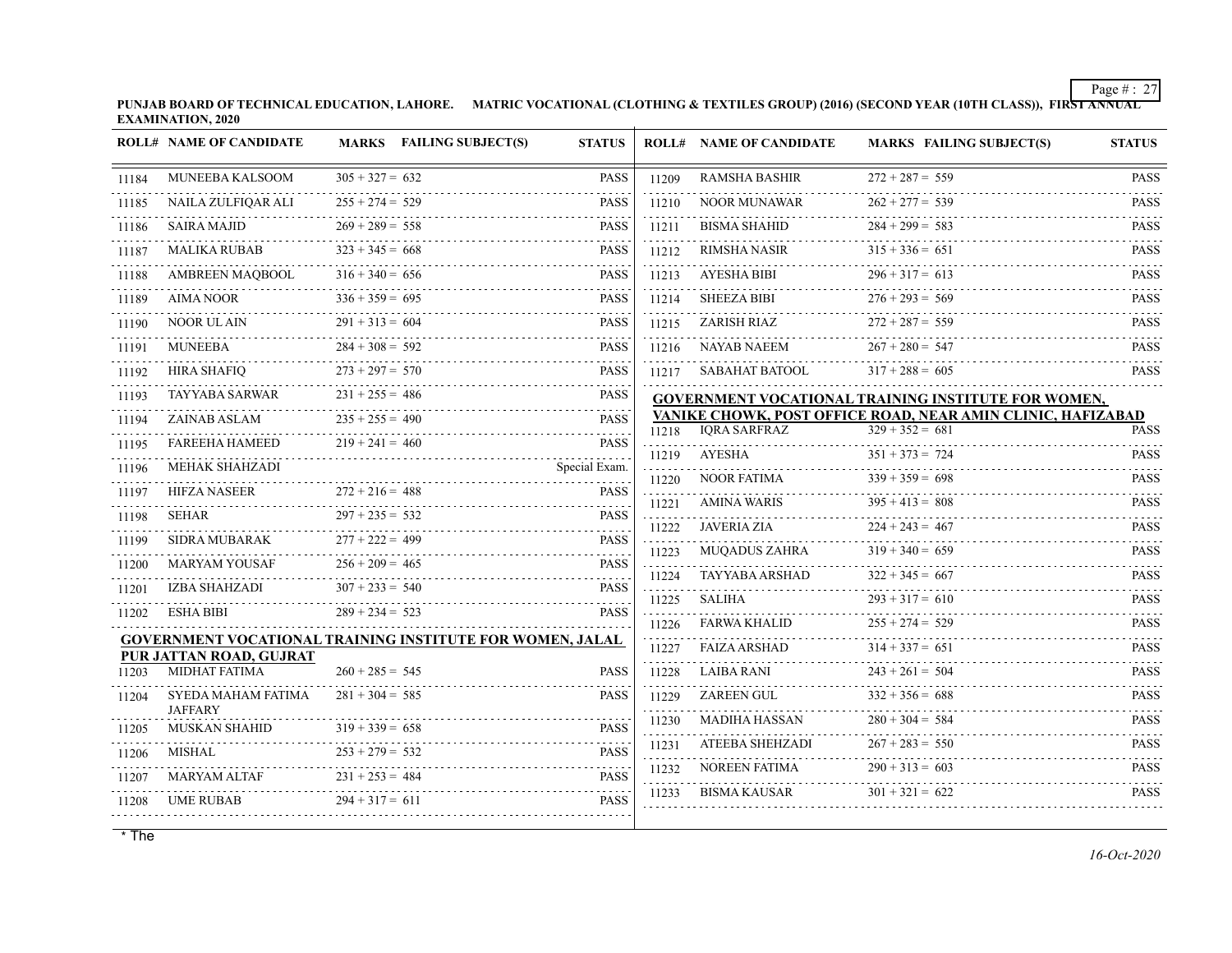**PUNJAB BOARD OF TECHNICAL EDUCATION, LAHORE. MATRIC VOCATIONAL (CLOTHING & TEXTILES GROUP) (2016) (SECOND YEAR (10TH CLASS)), FIRST ANNUAL EXAMINATION, 2020**

|       | <b>ROLL# NAME OF CANDIDATE</b>                  | MARKS FAILING SUBJECT(S)                                         | <b>STATUS</b>                                |                    | <b>ROLL# NAME OF CANDIDATE</b>          | <b>MARKS FAILING SUBJECT(S)</b>                                                  | <b>STATUS</b>                       |
|-------|-------------------------------------------------|------------------------------------------------------------------|----------------------------------------------|--------------------|-----------------------------------------|----------------------------------------------------------------------------------|-------------------------------------|
| 11184 | MUNEEBA KALSOOM                                 | $305 + 327 = 632$                                                | <b>PASS</b>                                  | 11209              | <b>RAMSHA BASHIR</b>                    | $272 + 287 = 559$                                                                | <b>PASS</b>                         |
| 11185 | NAILA ZULFIQAR ALI                              | $255 + 274 = 529$                                                | <b>PASS</b>                                  | 11210              | NOOR MUNAWAR                            | $262 + 277 = 539$                                                                | <b>PASS</b>                         |
| 11186 | <b>SAIRA MAJID</b>                              | $269 + 289 = 558$                                                | <b>PASS</b>                                  | 11211              | <b>BISMA SHAHID</b>                     | $284 + 299 = 583$                                                                | $\omega$ is a set of<br>PASS        |
| 11187 | <b>MALIKA RUBAB</b>                             | $323 + 345 = 668$                                                | <b>PASS</b>                                  | 11212              | <b>RIMSHA NASIR</b>                     | $315 + 336 = 651$                                                                | <b>PASS</b>                         |
| 11188 | <b>AMBREEN MAOBOOL</b>                          | $316 + 340 = 656$                                                | <b>PASS</b>                                  | 11213              | AYESHA BIBI                             | $296 + 317 = 613$                                                                | <b>PASS</b><br>.                    |
| 11189 | <b>AIMA NOOR</b>                                | $336 + 359 = 695$                                                | <b>PASS</b>                                  | 11214              | <b>SHEEZA BIBI</b>                      | $276 + 293 = 569$                                                                | <b>PASS</b>                         |
| 11190 | NOOR UL AIN                                     | $291 + 313 = 604$                                                | <b>PASS</b>                                  | 11215              | ZARISH RIAZ                             | $272 + 287 = 559$                                                                | <b>PASS</b>                         |
| 11191 | <b>MUNEEBA</b>                                  | $284 + 308 = 592$                                                | <b>PASS</b>                                  | 11216              | NAYAB NAEEM                             | $267 + 280 = 547$                                                                | <b>PASS</b>                         |
| 11192 | <b>HIRA SHAFIO</b>                              | $273 + 297 = 570$                                                | <b>PASS</b>                                  | 11217              | SABAHAT BATOOL                          | $317 + 288 = 605$                                                                | 111111<br><b>PASS</b>               |
| 11193 | TAYYABA SARWAR                                  | $231 + 255 = 486$                                                | <b>PASS</b>                                  |                    |                                         | GOVERNMENT VOCATIONAL TRAINING INSTITUTE FOR WOMEN,                              |                                     |
| 11194 | ZAINAB ASLAM                                    | $235 + 255 = 490$                                                | .<br><b>PASS</b>                             | 11218              | <b>IORA SARFRAZ</b>                     | VANIKE CHOWK, POST OFFICE ROAD, NEAR AMIN CLINIC, HAFIZABAD<br>$329 + 352 = 681$ | <b>PASS</b>                         |
| 11195 | <b>FAREEHA HAMEED</b>                           | $219 + 241 = 460$                                                | .<br><b>PASS</b>                             | .<br>11219         | AYESHA                                  | $351 + 373 = 724$                                                                | <b>PASS</b>                         |
| 11196 | <b>MEHAK SHAHZADI</b>                           |                                                                  | Special Exam.<br>.                           | 11220              | NOOR FATIMA                             | $339 + 359 = 698$                                                                | <b>PASS</b>                         |
| 11197 | <b>HIFZA NASEER</b>                             | $272 + 216 = 488$                                                | <b>PASS</b>                                  | .<br>11221         | <b>AMINA WARIS</b>                      | $395 + 413 = 808$                                                                | $- - - -$<br><b>PASS</b>            |
| 11198 | SEHAR                                           | $297 + 235 = 532$                                                | <b>PASS</b>                                  | .<br>11222         | JAVERIA ZIA                             | $224 + 243 = 467$                                                                | .<br><b>PASS</b>                    |
| 11199 | <b>SIDRA MUBARAK</b>                            | $277 + 222 = 499$                                                | <b>PASS</b>                                  | .<br>11223         | <b>MUQADUS ZAHRA</b>                    | $319 + 340 = 659$                                                                | .<br><b>PASS</b>                    |
| 11200 | <b>MARYAM YOUSAF</b>                            | $256 + 209 = 465$                                                | $\alpha$ is a set of $\alpha$<br><b>PASS</b> | 1.1.1.1.1<br>11224 | TAYYABA ARSHAD                          | $322 + 345 = 667$                                                                | .<br><b>PASS</b>                    |
| 11201 | IZBA SHAHZADI                                   | $307 + 233 = 540$                                                | <b>PASS</b><br>dia a a a a                   | .<br>11225         | <b>SALIHA</b>                           | $293 + 317 = 610$                                                                | <b>PASS</b>                         |
| 11202 | <b>ESHA BIBI</b>                                | $289 + 234 = 523$                                                | <b>PASS</b>                                  | .<br>11226         | <b>FARWA KHALID</b>                     | $255 + 274 = 529$                                                                | <b>PASS</b>                         |
|       |                                                 | <b>GOVERNMENT VOCATIONAL TRAINING INSTITUTE FOR WOMEN, JALAL</b> |                                              | .<br>11227         | <b>FAIZA ARSHAD</b>                     | $314 + 337 = 651$                                                                | .<br><b>PASS</b>                    |
| 11203 | PUR JATTAN ROAD, GUJRAT<br><b>MIDHAT FATIMA</b> | $260 + 285 = 545$                                                | <b>PASS</b>                                  |                    | <b>LAIBA RANI</b>                       | $243 + 261 = 504$                                                                | <b>PASS</b>                         |
|       | SYEDA MAHAM FATIMA                              | $281 + 304 = 585$                                                | <b>PASS</b>                                  | 11228<br>11229     | ZAREEN GUL                              | $332 + 356 = 688$                                                                | .<br><b>PASS</b>                    |
| 11204 | <b>JAFFARY</b>                                  |                                                                  |                                              |                    |                                         | $280 + 304 = 584$                                                                | <b>PASS</b>                         |
| 11205 | <b>MUSKAN SHAHID</b>                            | $319 + 339 = 658$                                                | <b>PASS</b>                                  | 11230<br>.         | MADIHA HASSAN<br><b>ATEEBA SHEHZADI</b> | $267 + 283 = 550$                                                                | 111111<br><b>PASS</b>               |
| 11206 | MISHAL                                          | $253 + 279 = 532$                                                | <b>PASS</b>                                  | 11231<br>.         | NOREEN FATIMA                           | $290 + 313 = 603$                                                                | $\omega$ is a second<br><b>PASS</b> |
| 11207 | <b>MARYAM ALTAF</b>                             | $231 + 253 = 484$                                                | <b>PASS</b>                                  | 11232<br>.         |                                         | $301 + 321 = 622$                                                                | 1.1.1.1.1.1.1                       |
| 11208 | UME RUBAB                                       | $294 + 317 = 611$                                                | <b>PASS</b>                                  | 11233              | <b>BISMA KAUSAR</b>                     |                                                                                  | <b>PASS</b>                         |
|       |                                                 |                                                                  |                                              |                    |                                         |                                                                                  |                                     |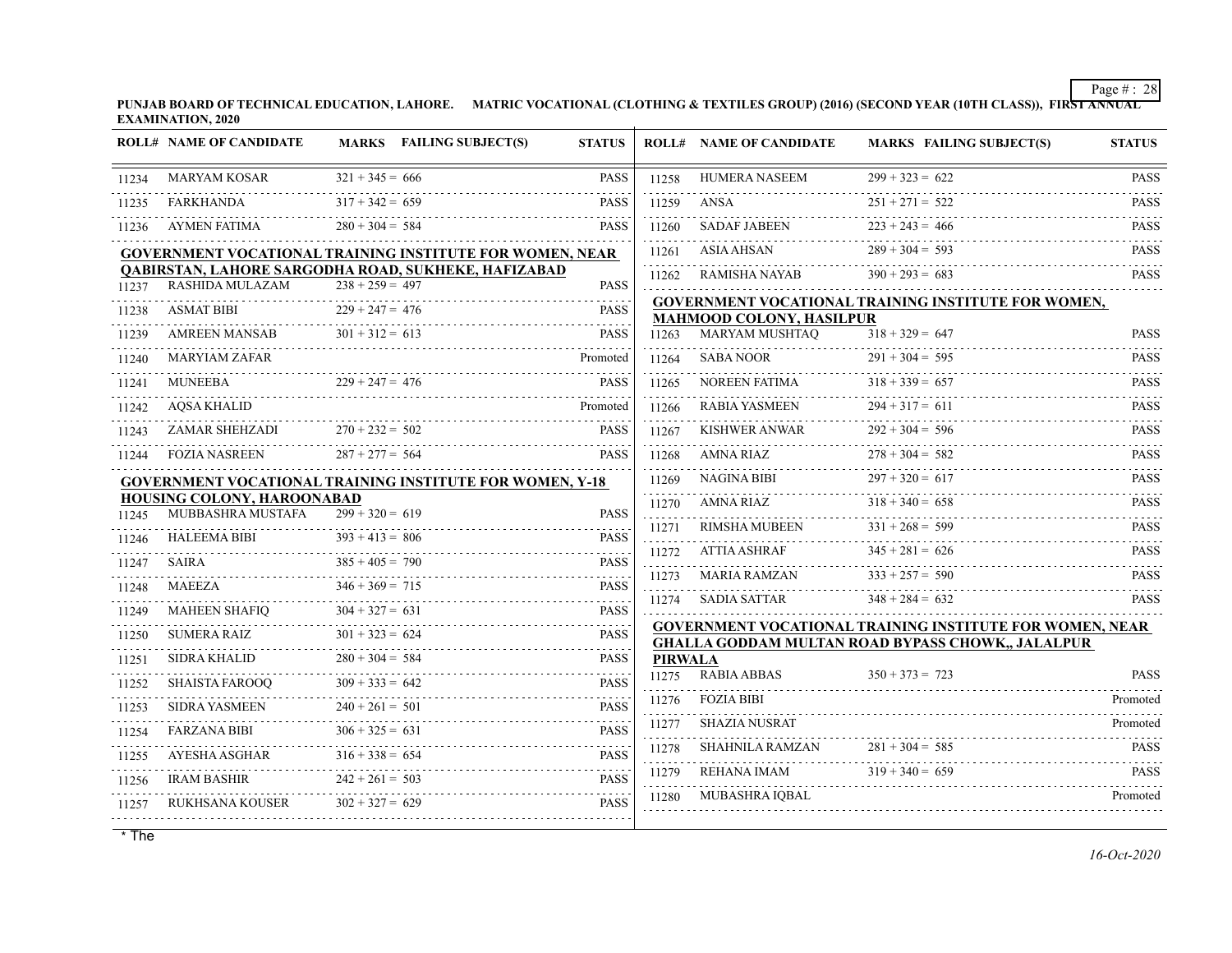**PUNJAB BOARD OF TECHNICAL EDUCATION, LAHORE. MATRIC VOCATIONAL (CLOTHING & TEXTILES GROUP) (2016) (SECOND YEAR (10TH CLASS)), FIRST ANNUAL EXAMINATION, 2020**

|       | <b>ROLL# NAME OF CANDIDATE</b>                  |                        | MARKS FAILING SUBJECT(S)                                        | <b>STATUS</b>                                     |                | <b>ROLL# NAME OF CANDIDATE</b> | <b>MARKS FAILING SUBJECT(S)</b>                                                                                             | <b>STATUS</b>    |
|-------|-------------------------------------------------|------------------------|-----------------------------------------------------------------|---------------------------------------------------|----------------|--------------------------------|-----------------------------------------------------------------------------------------------------------------------------|------------------|
| 11234 | <b>MARYAM KOSAR</b>                             | $321 + 345 = 666$      |                                                                 | <b>PASS</b>                                       | 11258          | <b>HUMERA NASEEM</b>           | $299 + 323 = 622$                                                                                                           | <b>PASS</b>      |
| 11235 | FARKHANDA                                       | $317 + 342 = 659$      |                                                                 | <b>PASS</b>                                       | 11259          | ANSA                           | $251 + 271 = 522$                                                                                                           | <b>PASS</b>      |
| 11236 | AYMEN FATIMA                                    | $280 + 304 = 584$      |                                                                 | <b>PASS</b>                                       | 11260          | <b>SADAF JABEEN</b>            | $223 + 243 = 466$                                                                                                           | <b>PASS</b>      |
|       |                                                 |                        | GOVERNMENT VOCATIONAL TRAINING INSTITUTE FOR WOMEN, NEAR        |                                                   | 11261          | <b>ASIA AHSAN</b>              | $289 + 304 = 593$                                                                                                           | <b>PASS</b>      |
| 11237 | RASHIDA MULAZAM                                 | $238 + 259 = 497$      | <b>QABIRSTAN, LAHORE SARGODHA ROAD, SUKHEKE, HAFIZABAD</b>      | <b>PASS</b>                                       | 11262          | RAMISHA NAYAB                  | $390 + 293 = 683$                                                                                                           | <b>PASS</b>      |
|       |                                                 |                        |                                                                 |                                                   |                |                                | <b>GOVERNMENT VOCATIONAL TRAINING INSTITUTE FOR WOMEN,</b>                                                                  |                  |
| 11238 | <b>ASMAT BIBI</b>                               | $229 + 247 = 476$      |                                                                 | <b>PASS</b>                                       |                | MAHMOOD COLONY, HASILPUR       |                                                                                                                             |                  |
| 11239 | AMREEN MANSAB                                   | $301 + 312 = 613$      |                                                                 | <b>PASS</b>                                       | 11263          | <b>MARYAM MUSHTAQ</b>          | $318 + 329 = 647$                                                                                                           | <b>PASS</b>      |
| 11240 | <b>MARYIAM ZAFAR</b>                            |                        |                                                                 | Promoted                                          | 11264          | <b>SABA NOOR</b>               | $291 + 304 = 595$                                                                                                           | <b>PASS</b>      |
| 11241 | <b>MUNEEBA</b>                                  | $229 + 247 = 476$      |                                                                 | <b>PASS</b>                                       | 11265          | NOREEN FATIMA                  | $318 + 339 = 657$                                                                                                           | <b>PASS</b><br>. |
| 11242 | AQSA KHALID                                     |                        |                                                                 | Promoted                                          | 11266          | RABIA YASMEEN                  | $294 + 317 = 611$                                                                                                           | <b>PASS</b>      |
| 11243 | ZAMAR SHEHZADI                                  | $270 + 232 = 502$      |                                                                 | <b>PASS</b>                                       | 11267          | <b>KISHWER ANWAR</b>           | $292 + 304 = 596$                                                                                                           | <b>PASS</b>      |
| 11244 | <b>FOZIA NASREEN</b>                            | $287 + 277 = 564$      |                                                                 | <b>PASS</b>                                       | 11268          | AMNA RIAZ                      | $278 + 304 = 582$                                                                                                           | <b>PASS</b>      |
|       |                                                 |                        | <b>GOVERNMENT VOCATIONAL TRAINING INSTITUTE FOR WOMEN, Y-18</b> |                                                   | 11269          | NAGINA BIBI                    | $297 + 320 = 617$                                                                                                           | <b>PASS</b>      |
|       | HOUSING COLONY, HAROONABAD<br>MUBBASHRA MUSTAFA |                        |                                                                 |                                                   | 11270          | AMNA RIAZ                      | $318 + 340 = 658$                                                                                                           | <b>PASS</b>      |
| 11245 |                                                 | $299 + 320 = 619$      |                                                                 | <b>PASS</b>                                       | 11271          | RIMSHA MUBEEN                  | $331 + 268 = 599$                                                                                                           | <b>PASS</b>      |
| 11246 | <b>HALEEMA BIBI</b>                             | $393 + 413 = 806$      |                                                                 | <b>PASS</b>                                       | 11272          | <b>ATTIA ASHRAF</b>            | $345 + 281 = 626$                                                                                                           | <b>PASS</b>      |
| 11247 | SAIRA                                           | $385 + 405 = 790$      |                                                                 | <b>PASS</b><br>.                                  | .<br>11273     | <b>MARIA RAMZAN</b>            | $333 + 257 = 590$                                                                                                           | <b>PASS</b>      |
| 11248 | MAEEZA                                          | $346 + 369 = 715$<br>. |                                                                 | <b>PASS</b><br>$\omega$ is $\omega$ in $\omega$ . | 112.74         | SADIA SATTAR                   | $348 + 284 = 632$                                                                                                           | <b>PASS</b>      |
| 11249 | MAHEEN SHAFIQ                                   | $304 + 327 = 631$      |                                                                 | <b>PASS</b><br>.                                  |                |                                |                                                                                                                             |                  |
| 11250 | <b>SUMERA RAIZ</b>                              | $301 + 323 = 624$      |                                                                 | <b>PASS</b><br>.                                  |                |                                | <b>GOVERNMENT VOCATIONAL TRAINING INSTITUTE FOR WOMEN, NEAR</b><br><b>GHALLA GODDAM MULTAN ROAD BYPASS CHOWK,, JALALPUR</b> |                  |
| 11251 | SIDRA KHALID                                    | $280 + 304 = 584$      |                                                                 | <b>PASS</b>                                       | <b>PIRWALA</b> |                                |                                                                                                                             |                  |
| 11252 | <b>SHAISTA FAROOQ</b>                           | $309 + 333 = 642$      |                                                                 | <b>PASS</b>                                       | 11275          | <b>RABIA ABBAS</b>             | $350 + 373 = 723$                                                                                                           | <b>PASS</b>      |
| 11253 | <b>SIDRA YASMEEN</b>                            | $240 + 261 = 501$      |                                                                 | <b>PASS</b>                                       | 11276          | FOZIA BIBI                     |                                                                                                                             | Promoted         |
| 11254 | <b>FARZANA BIBI</b>                             | $306 + 325 = 631$      |                                                                 | <b>PASS</b>                                       | 11277          | <b>SHAZIA NUSRAT</b>           |                                                                                                                             | Promoted         |
| 11255 | AYESHA ASGHAR                                   | $316 + 338 = 654$      |                                                                 | <b>PASS</b>                                       | 11278          | SHAHNILA RAMZAN                | $281 + 304 = 585$                                                                                                           | <b>PASS</b>      |
| 11256 | <b>IRAM BASHIR</b>                              | $242 + 261 = 503$      |                                                                 | .<br><b>PASS</b>                                  | 11279          | REHANA IMAM                    | $319 + 340 = 659$                                                                                                           | <b>PASS</b>      |
| 11257 | RUKHSANA KOUSER                                 | $302 + 327 = 629$      |                                                                 | <b>PASS</b>                                       | 11280          | MUBASHRA IQBAL                 |                                                                                                                             | Promoted         |
|       |                                                 |                        |                                                                 |                                                   |                |                                |                                                                                                                             |                  |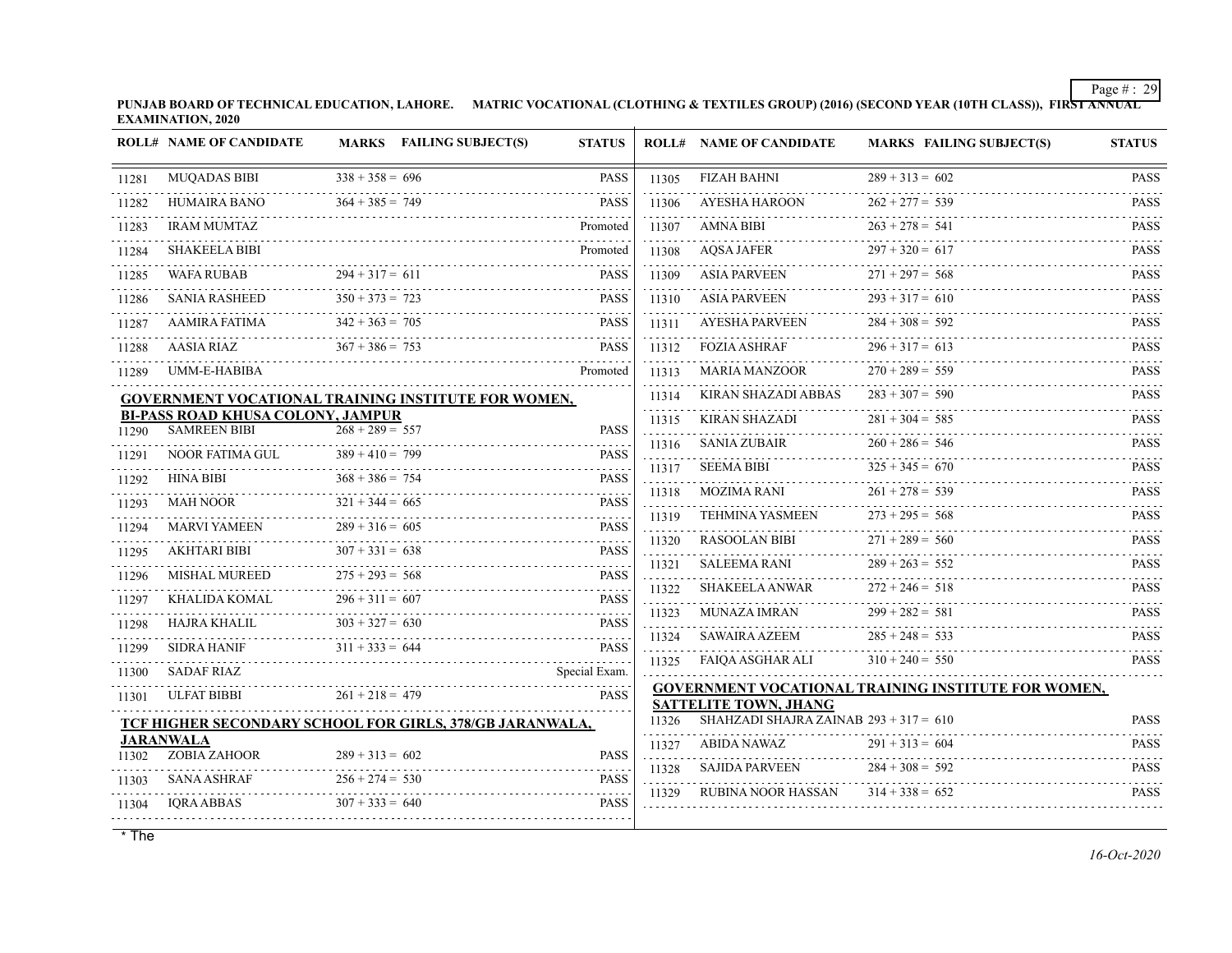**PUNJAB BOARD OF TECHNICAL EDUCATION, LAHORE. MATRIC VOCATIONAL (CLOTHING & TEXTILES GROUP) (2016) (SECOND YEAR (10TH CLASS)), FIRST ANNUAL EXAMINATION, 2020**

|       | <b>ROLL# NAME OF CANDIDATE</b>                                  |                   | MARKS FAILING SUBJECT(S)                                   | <b>STATUS</b>                            |            | <b>ROLL# NAME OF CANDIDATE</b>           | <b>MARKS FAILING SUBJECT(S)</b>                            | <b>STATUS</b>           |
|-------|-----------------------------------------------------------------|-------------------|------------------------------------------------------------|------------------------------------------|------------|------------------------------------------|------------------------------------------------------------|-------------------------|
| 11281 | <b>MUQADAS BIBI</b>                                             | $338 + 358 = 696$ |                                                            | <b>PASS</b>                              | 11305      | <b>FIZAH BAHNI</b>                       | $289 + 313 = 602$                                          | <b>PASS</b>             |
| 11282 | <b>HUMAIRA BANO</b>                                             | $364 + 385 = 749$ |                                                            | <b>PASS</b>                              | 11306      | <b>AYESHA HAROON</b>                     | $262 + 277 = 539$                                          | <b>PASS</b>             |
| 11283 | <b>IRAM MUMTAZ</b>                                              |                   |                                                            | Promoted                                 | 11307      | <b>AMNA BIBI</b>                         | $263 + 278 = 541$                                          | <b>PASS</b>             |
| 11284 | <b>SHAKEELA BIBI</b>                                            |                   |                                                            | Promoted                                 | .<br>11308 | <b>AQSA JAFER</b>                        | $297 + 320 = 617$                                          | <b>PASS</b>             |
| 11285 | <b>WAFA RUBAB</b>                                               | $294 + 317 = 611$ |                                                            | <b>PASS</b>                              | 11309      | <b>ASIA PARVEEN</b>                      | $271 + 297 = 568$                                          | <b>PASS</b>             |
| 11286 | <b>SANIA RASHEED</b>                                            | $350 + 373 = 723$ |                                                            | <b>PASS</b>                              | 11310      | <b>ASIA PARVEEN</b>                      | $293 + 317 = 610$                                          | <b>PASS</b>             |
| 11287 | AAMIRA FATIMA                                                   | $342 + 363 = 705$ |                                                            | <b>PASS</b>                              | 11311      | AYESHA PARVEEN                           | $284 + 308 = 592$                                          | <b>PASS</b>             |
| 11288 | AASIA RIAZ                                                      | $367 + 386 = 753$ |                                                            | <b>PASS</b>                              | 11312      | <b>FOZIA ASHRAF</b>                      | $296 + 317 = 613$                                          | <b>PASS</b>             |
| 11289 | UMM-E-HABIBA                                                    |                   |                                                            | Promoted                                 | 11313      | <b>MARIA MANZOOR</b>                     | $270 + 289 = 559$                                          | <b>PASS</b>             |
|       |                                                                 |                   | <b>GOVERNMENT VOCATIONAL TRAINING INSTITUTE FOR WOMEN,</b> |                                          | 11314      | KIRAN SHAZADI ABBAS                      | $283 + 307 = 590$                                          | <b>PASS</b>             |
| 11290 | <b>BI-PASS ROAD KHUSA COLONY, JAMPUR</b><br><b>SAMREEN BIBI</b> | $268 + 289 = 557$ |                                                            | <b>PASS</b>                              | 11315      | <b>KIRAN SHAZADI</b>                     | $281 + 304 = 585$                                          | <b>PASS</b>             |
|       | NOOR FATIMA GUL                                                 | $389 + 410 = 799$ |                                                            | <b>PASS</b>                              | 11316      | <b>SANIA ZUBAIR</b>                      | $260 + 286 = 546$                                          | <u>.</u><br><b>PASS</b> |
| 11291 |                                                                 |                   |                                                            |                                          | 11317      | <b>SEEMA BIBI</b>                        | $325 + 345 = 670$                                          | <b>PASS</b>             |
| 11292 | <b>HINA BIBI</b>                                                | $368 + 386 = 754$ |                                                            | <b>PASS</b>                              | 11318      | MOZIMA RANI                              | $261 + 278 = 539$                                          | <b>PASS</b>             |
| 11293 | <b>MAH NOOR</b>                                                 | $321 + 344 = 665$ |                                                            | <b>PASS</b>                              | 11319      | <b>TEHMINA YASMEEN</b>                   | $273 + 295 = 568$                                          | <b>PASS</b>             |
| 11294 | <b>MARVI YAMEEN</b>                                             | $289 + 316 = 605$ |                                                            | <b>PASS</b>                              | 11320      | <b>RASOOLAN BIBI</b>                     | $271 + 289 = 560$                                          | <b>PASS</b>             |
| 11295 | AKHTARI BIBI                                                    | $307 + 331 = 638$ |                                                            | <b>PASS</b>                              | 11321      | <b>SALEEMA RANI</b>                      | $289 + 263 = 552$                                          | <b>PASS</b>             |
| 11296 | <b>MISHAL MUREED</b>                                            | $275 + 293 = 568$ |                                                            | <b>PASS</b>                              | 11322      | SHAKEELA ANWAR                           | $272 + 246 = 518$                                          | <b>PASS</b>             |
| 11297 | KHALIDA KOMAL                                                   | $296 + 311 = 607$ |                                                            | <b>PASS</b>                              | 11323      | <b>MUNAZA IMRAN</b>                      | $299 + 282 = 581$                                          | <b>PASS</b>             |
| 11298 | HAJRA KHALIL                                                    | $303 + 327 = 630$ |                                                            | <b>PASS</b>                              | 11324      | SAWAIRA AZEEM                            | $285 + 248 = 533$                                          | <b>PASS</b>             |
| 11299 | <b>SIDRA HANIF</b>                                              | $311 + 333 = 644$ |                                                            | PASS                                     | 11325      | FAIQA ASGHAR ALI                         | $310 + 240 = 550$                                          | <b>PASS</b>             |
| 11300 | <b>SADAF RIAZ</b>                                               |                   |                                                            | Special Exam.                            |            |                                          |                                                            |                         |
| 11301 | <b>ULFAT BIBBI</b>                                              | $261 + 218 = 479$ |                                                            | <b>PASS</b>                              |            | <b>SATTELITE TOWN, JHANG</b>             | <b>GOVERNMENT VOCATIONAL TRAINING INSTITUTE FOR WOMEN,</b> |                         |
|       |                                                                 |                   | TCF HIGHER SECONDARY SCHOOL FOR GIRLS, 378/GB JARANWALA,   |                                          | 11326      | SHAHZADI SHAJRA ZAINAB $293 + 317 = 610$ |                                                            | <b>PASS</b>             |
| 11302 | <b>JARANWALA</b><br>ZOBIA ZAHOOR                                | $289 + 313 = 602$ |                                                            | <b>PASS</b>                              | 11327      | ABIDA NAWAZ                              | $291 + 313 = 604$                                          | <b>PASS</b>             |
|       | <b>SANA ASHRAF</b>                                              | $256 + 274 = 530$ |                                                            | <b>PASS</b>                              | 11328      | <b>SAJIDA PARVEEN</b>                    | $284 + 308 = 592$                                          | <b>PASS</b>             |
| 11303 |                                                                 | $307 + 333 = 640$ |                                                            | $\omega$ is a $\omega$ in<br><b>PASS</b> | 11329      | <b>RUBINA NOOR HASSAN</b>                | $314 + 338 = 652$                                          | .<br><b>PASS</b>        |
| 11304 | IQRA ABBAS                                                      |                   |                                                            |                                          |            |                                          |                                                            |                         |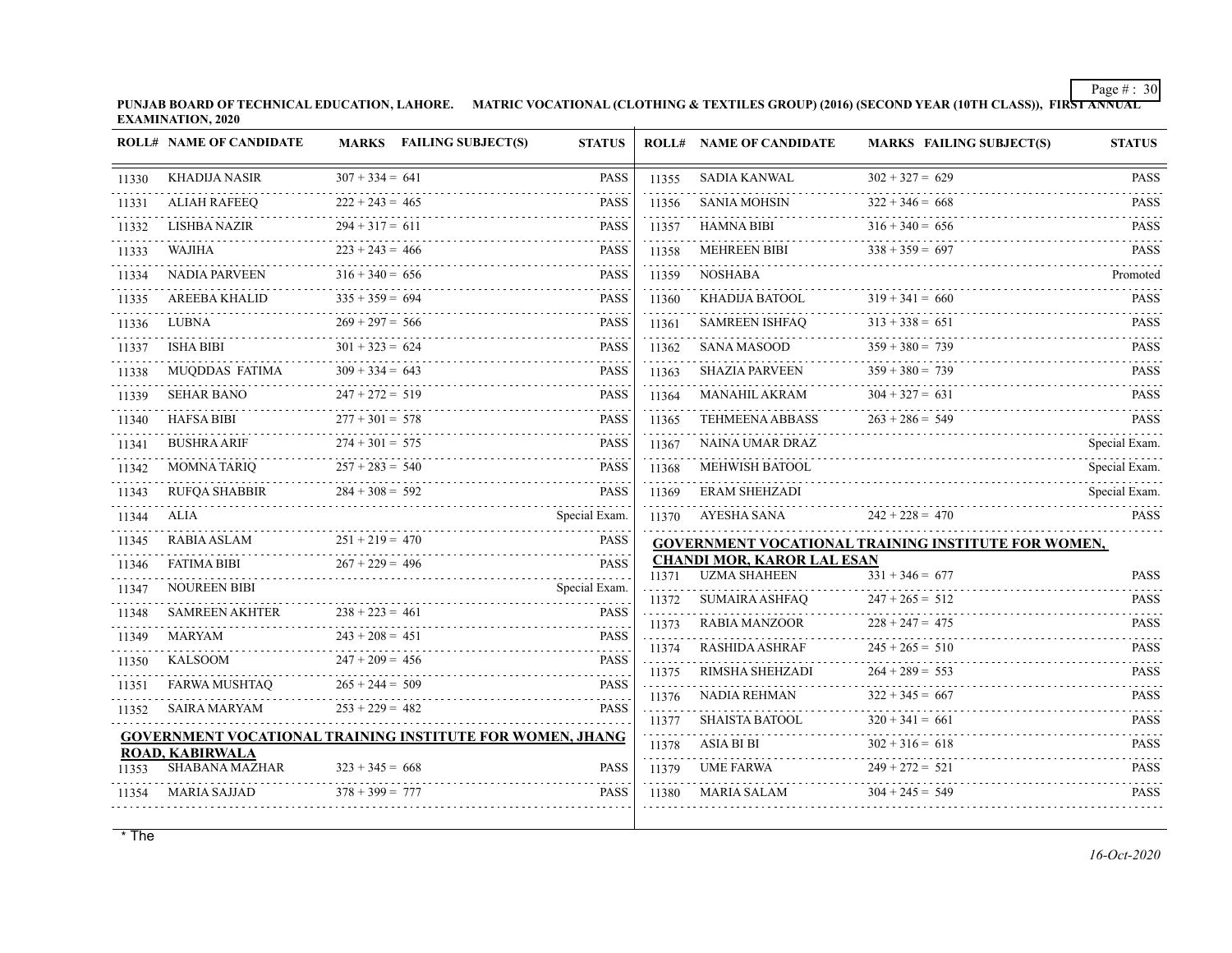**PUNJAB BOARD OF TECHNICAL EDUCATION, LAHORE. MATRIC VOCATIONAL (CLOTHING & TEXTILES GROUP) (2016) (SECOND YEAR (10TH CLASS)), FIRST ANNUAL EXAMINATION, 2020**

|       | <b>ROLL# NAME OF CANDIDATE</b>                                   |                   | <b>MARKS</b> FAILING SUBJECT(S) | <b>STATUS</b> |            | <b>ROLL# NAME OF CANDIDATE</b>                           | <b>MARKS FAILING SUBJECT(S)</b>                     | <b>STATUS</b>      |
|-------|------------------------------------------------------------------|-------------------|---------------------------------|---------------|------------|----------------------------------------------------------|-----------------------------------------------------|--------------------|
| 11330 | <b>KHADIJA NASIR</b>                                             | $307 + 334 = 641$ |                                 | <b>PASS</b>   | 11355      | <b>SADIA KANWAL</b>                                      | $302 + 327 = 629$                                   | <b>PASS</b>        |
| 11331 | <b>ALIAH RAFEEQ</b>                                              | $222 + 243 = 465$ |                                 | <b>PASS</b>   | 11356      | <b>SANIA MOHSIN</b>                                      | $322 + 346 = 668$                                   | <b>PASS</b>        |
| 11332 | <b>LISHBA NAZIR</b>                                              | $294 + 317 = 611$ |                                 | <b>PASS</b>   | 11357      | <b>HAMNA BIBI</b>                                        | $316 + 340 = 656$                                   | .<br><b>PASS</b>   |
| 11333 | WAJIHA                                                           | $223 + 243 = 466$ |                                 | <b>PASS</b>   | 11358      | MEHREEN BIBI                                             | $338 + 359 = 697$                                   | <b>PASS</b>        |
| 11334 | <b>NADIA PARVEEN</b>                                             | $316 + 340 = 656$ |                                 | <b>PASS</b>   | 11359      | NOSHABA                                                  |                                                     | Promoted           |
| 11335 | <b>AREEBA KHALID</b>                                             | $335 + 359 = 694$ |                                 | <b>PASS</b>   | 11360      | KHADIJA BATOOL                                           | $319 + 341 = 660$                                   | .<br><b>PASS</b>   |
| 11336 | LUBNA                                                            | $269 + 297 = 566$ |                                 | <b>PASS</b>   | 11361      | <b>SAMREEN ISHFAO</b>                                    | $313 + 338 = 651$                                   | <b>PASS</b>        |
| 11337 | <b>ISHA BIBI</b>                                                 | $301 + 323 = 624$ |                                 | <b>PASS</b>   | 11362      | SANA MASOOD                                              | $359 + 380 = 739$                                   | <b>PASS</b>        |
| 11338 | MUODDAS FATIMA                                                   | $309 + 334 = 643$ |                                 | <b>PASS</b>   | 11363      | <b>SHAZIA PARVEEN</b>                                    | $359 + 380 = 739$                                   | <b>PASS</b>        |
| 11339 | <b>SEHAR BANO</b>                                                | $247 + 272 = 519$ |                                 | <b>PASS</b>   | 11364      | MANAHIL AKRAM                                            | $304 + 327 = 631$                                   | <b>PASS</b>        |
| 11340 | <b>HAFSA BIBI</b>                                                | $277 + 301 = 578$ |                                 | <b>PASS</b>   | 11365      | <b>TEHMEENA ABBASS</b>                                   | $263 + 286 = 549$                                   | PASS<br>.          |
| 11341 | <b>BUSHRA ARIF</b>                                               | $274 + 301 = 575$ |                                 | <b>PASS</b>   | 11367      | NAINA UMAR DRAZ                                          |                                                     | Special Exam.      |
| 11342 | <b>MOMNA TARIQ</b>                                               | $257 + 283 = 540$ |                                 | <b>PASS</b>   | 11368      | MEHWISH BATOOL                                           |                                                     | Special Exam.<br>. |
| 11343 | <b>RUFQA SHABBIR</b>                                             | $284 + 308 = 592$ |                                 | <b>PASS</b>   | 11369      | <b>ERAM SHEHZADI</b>                                     |                                                     | Special Exam.      |
| 11344 | ALIA                                                             |                   |                                 | Special Exam. | 11370      | AYESHA SANA                                              | $242 + 228 = 470$                                   | <b>PASS</b>        |
| 11345 | RABIA ASLAM                                                      | $251 + 219 = 470$ |                                 | <b>PASS</b>   |            |                                                          | GOVERNMENT VOCATIONAL TRAINING INSTITUTE FOR WOMEN, |                    |
| 11346 | <b>FATIMA BIBI</b>                                               | $267 + 229 = 496$ |                                 | <b>PASS</b>   | 11371      | <b>CHANDI MOR, KAROR LAL ESAN</b><br><b>UZMA SHAHEEN</b> | $331 + 346 = 677$                                   | <b>PASS</b>        |
| 11347 | <b>NOUREEN BIBI</b>                                              |                   |                                 | Special Exam. | 11372      | <b>SUMAIRA ASHFAO</b>                                    | $247 + 265 = 512$                                   | <b>PASS</b>        |
| 11348 | <b>SAMREEN AKHTER</b>                                            | $238 + 223 = 461$ |                                 | <b>PASS</b>   | 11373      | .<br><b>RABIA MANZOOR</b>                                | $228 + 247 = 475$                                   | <b>PASS</b>        |
| 11349 | MARYAM                                                           | $243 + 208 = 451$ |                                 | <b>PASS</b>   | 11374      | <b>RASHIDA ASHRAF</b>                                    | $245 + 265 = 510$                                   | <b>PASS</b>        |
| 11350 | KALSOOM                                                          | $247 + 209 = 456$ |                                 | <b>PASS</b>   | 11375      | RIMSHA SHEHZADI                                          | $264 + 289 = 553$                                   | .<br><b>PASS</b>   |
| 11351 | FARWA MUSHTAO                                                    | $265 + 244 = 509$ |                                 | <b>PASS</b>   | 11376      | NADIA REHMAN                                             | $322 + 345 = 667$                                   | <b>PASS</b>        |
| 11352 | SAIRA MARYAM                                                     | $253 + 229 = 482$ |                                 | <b>PASS</b>   | 11377      | SHAISTA BATOOL                                           | .<br>$320 + 341 = 661$                              | .<br><b>PASS</b>   |
|       | <b>GOVERNMENT VOCATIONAL TRAINING INSTITUTE FOR WOMEN, JHANG</b> |                   |                                 |               | 11378      | ASIA BI BI                                               | $302 + 316 = 618$                                   | <b>PASS</b>        |
| 11353 | ROAD, KABIRWALA<br><b>SHABANA MAZHAR</b>                         | $323 + 345 = 668$ |                                 | <b>PASS</b>   | .<br>11379 | UME FARWA                                                | $249 + 272 = 521$                                   | <b>PASS</b>        |
| 11354 | MARIA SAJJAD                                                     | $378 + 399 = 777$ |                                 | <b>PASS</b>   | 11380      | MARIA SALAM                                              | $304 + 245 = 549$                                   | <b>PASS</b>        |
|       |                                                                  |                   |                                 |               |            |                                                          |                                                     |                    |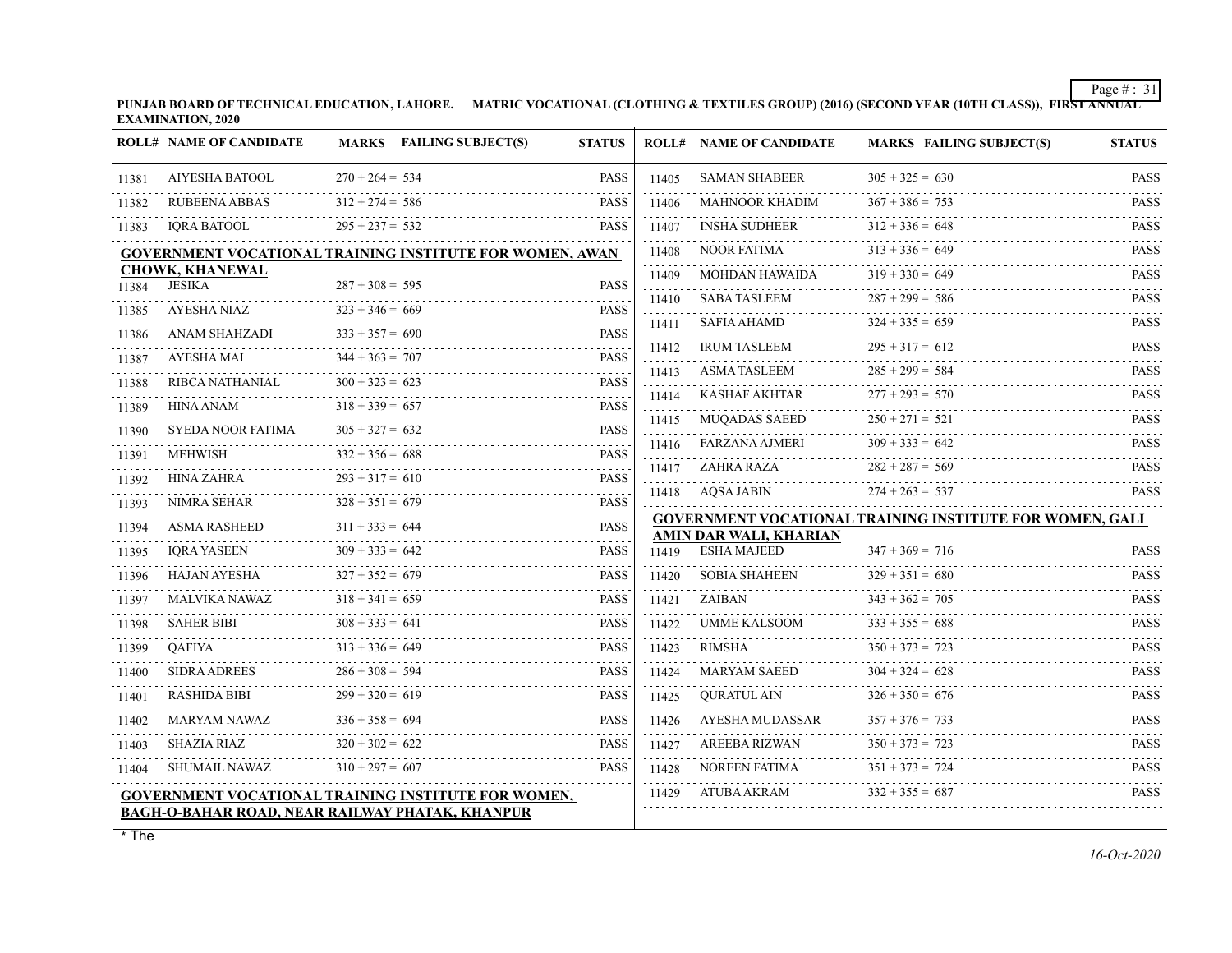**PUNJAB BOARD OF TECHNICAL EDUCATION, LAHORE. MATRIC VOCATIONAL (CLOTHING & TEXTILES GROUP) (2016) (SECOND YEAR (10TH CLASS)), FIRST ANNUAL EXAMINATION, 2020**

|       | <b>ROLL# NAME OF CANDIDATE</b>   | MARKS FAILING SUBJECT(S)                                                                                             | <b>STATUS</b>    |            | <b>ROLL# NAME OF CANDIDATE</b> | <b>MARKS FAILING SUBJECT(S)</b>                                 | <b>STATUS</b>                                                |
|-------|----------------------------------|----------------------------------------------------------------------------------------------------------------------|------------------|------------|--------------------------------|-----------------------------------------------------------------|--------------------------------------------------------------|
| 11381 | <b>AIYESHA BATOOL</b>            | $270 + 264 = 534$                                                                                                    | <b>PASS</b>      | 11405      | <b>SAMAN SHABEER</b>           | $305 + 325 = 630$                                               | <b>PASS</b>                                                  |
| 11382 | <b>RUBEENA ABBAS</b>             | $312 + 274 = 586$                                                                                                    | <b>PASS</b>      | 11406      | <b>MAHNOOR KHADIM</b>          | $367 + 386 = 753$                                               | <b>PASS</b>                                                  |
| 11383 | <b>IORA BATOOL</b>               | $295 + 237 = 532$                                                                                                    | <b>PASS</b>      | 11407      | <b>INSHA SUDHEER</b>           | $312 + 336 = 648$                                               | <b>PASS</b>                                                  |
|       |                                  | <b>GOVERNMENT VOCATIONAL TRAINING INSTITUTE FOR WOMEN, AWAN</b>                                                      |                  | 11408      | <b>NOOR FATIMA</b>             | $313 + 336 = 649$                                               | <b>PASS</b>                                                  |
| 11384 | <b>CHOWK, KHANEWAL</b><br>JESIKA | $287 + 308 = 595$                                                                                                    | <b>PASS</b>      | 11409      | MOHDAN HAWAIDA                 | $319 + 330 = 649$                                               | <b>PASS</b>                                                  |
|       | AYESHA NIAZ                      | $323 + 346 = 669$                                                                                                    | <b>PASS</b>      | 11410      | <b>SABA TASLEEM</b>            | $287 + 299 = 586$                                               | <b>PASS</b>                                                  |
| 11385 | ANAM SHAHZADI                    | $333 + 357 = 690$                                                                                                    | <b>PASS</b>      | 11411      | SAFIA AHAMD                    | $324 + 335 = 659$                                               | <b>PASS</b>                                                  |
| 11386 | AYESHA MAI                       | $344 + 363 = 707$                                                                                                    | <b>PASS</b>      | 11412      | <b>IRUM TASLEEM</b>            | $295 + 317 = 612$                                               | <b>PASS</b>                                                  |
| 11387 |                                  | $300 + 323 = 623$                                                                                                    |                  | .<br>11413 | <b>ASMA TASLEEM</b>            | $285 + 299 = 584$                                               | <b>PASS</b>                                                  |
| 11388 | RIBCA NATHANIAL                  |                                                                                                                      | <b>PASS</b><br>. | 11414      | KASHAF AKHTAR                  | $277 + 293 = 570$                                               | <b>PASS</b>                                                  |
| 11389 | HINA ANAM                        | $318 + 339 = 657$<br>$305 + 327 = 632$                                                                               | <b>PASS</b>      | 11415      | MUQADAS SAEED                  | $250 + 271 = 521$                                               | <b>PASS</b>                                                  |
| 11390 | SYEDA NOOR FATIMA                |                                                                                                                      | <b>PASS</b>      | 11416      | FARZANA AJMERI                 | $309 + 333 = 642$                                               | <b>PASS</b>                                                  |
| 11391 | <b>MEHWISH</b>                   | $332 + 356 = 688$                                                                                                    | <b>PASS</b>      | 11417      | ZAHRA RAZA                     | $282 + 287 = 569$                                               | <b>PASS</b>                                                  |
| 11392 | HINA ZAHRA                       | $293 + 317 = 610$                                                                                                    | <b>PASS</b>      |            | 11418 AQSA JABIN               | $274 + 263 = 537$                                               | <b>PASS</b>                                                  |
| 11393 | <b>NIMRA SEHAR</b>               | $328 + 351 = 679$                                                                                                    | PASS             |            |                                | <b>GOVERNMENT VOCATIONAL TRAINING INSTITUTE FOR WOMEN, GALI</b> |                                                              |
| 11394 | ASMA RASHEED                     | $311 + 333 = 644$                                                                                                    | <b>PASS</b>      |            | AMIN DAR WALI, KHARIAN         |                                                                 |                                                              |
| 11395 | <b>IORA YASEEN</b>               | $309 + 333 = 642$                                                                                                    | <b>PASS</b>      | 11419<br>. | ESHA MAJEED                    | $347 + 369 = 716$                                               | <b>PASS</b><br>1.1.1.1.1                                     |
| 11396 | HAJAN AYESHA                     | $327 + 352 = 679$                                                                                                    | <b>PASS</b>      | 11420      | <b>SOBIA SHAHEEN</b>           | $329 + 351 = 680$                                               | <b>PASS</b><br>$\mathbb{Z}^2$ . In the set of $\mathbb{Z}^2$ |
| 11397 | MALVIKA NAWAZ                    | $318 + 341 = 659$                                                                                                    | <b>PASS</b>      | 11421      | ZAIBAN                         | $343 + 362 = 705$                                               | <b>PASS</b><br>.                                             |
| 11398 | <b>SAHER BIBI</b><br>.           | $308 + 333 = 641$                                                                                                    | <b>PASS</b>      | 11422      | UMME KALSOOM                   | $333 + 355 = 688$                                               | <b>PASS</b>                                                  |
| 11399 | <b>OAFIYA</b>                    | $313 + 336 = 649$                                                                                                    | <b>PASS</b>      | 11423      | RIMSHA                         | $350 + 373 = 723$                                               | <b>PASS</b>                                                  |
| 11400 | <b>SIDRA ADREES</b>              | $286 + 308 = 594$                                                                                                    | <b>PASS</b>      | 11424<br>. | MARYAM SAEED                   | $304 + 324 = 628$                                               | <b>PASS</b>                                                  |
| 11401 | <b>RASHIDA BIBI</b>              | $299 + 320 = 619$                                                                                                    | <b>PASS</b>      | 11425      | <b>QURATUL AIN</b>             | $326 + 350 = 676$                                               | <b>PASS</b><br>.                                             |
| 11402 | MARYAM NAWAZ                     | $336 + 358 = 694$                                                                                                    | <b>PASS</b>      | 11426      | AYESHA MUDASSAR                | $357 + 376 = 733$                                               | <b>PASS</b><br>.                                             |
| 11403 | <b>SHAZIA RIAZ</b>               | $320 + 302 = 622$                                                                                                    | <b>PASS</b>      | 11427      | <b>AREEBA RIZWAN</b>           | $350 + 373 = 723$                                               | <b>PASS</b>                                                  |
| 11404 | SHUMAIL NAWAZ                    | $310 + 297 = 607$                                                                                                    | <b>PASS</b>      | 11428      | NOREEN FATIMA                  | $351 + 373 = 724$                                               | <b>PASS</b>                                                  |
|       |                                  | <b>GOVERNMENT VOCATIONAL TRAINING INSTITUTE FOR WOMEN,</b><br><b>BAGH-O-BAHAR ROAD, NEAR RAILWAY PHATAK, KHANPUR</b> |                  | 11429      | ATUBA AKRAM                    | $332 + 355 = 687$                                               | <b>PASS</b>                                                  |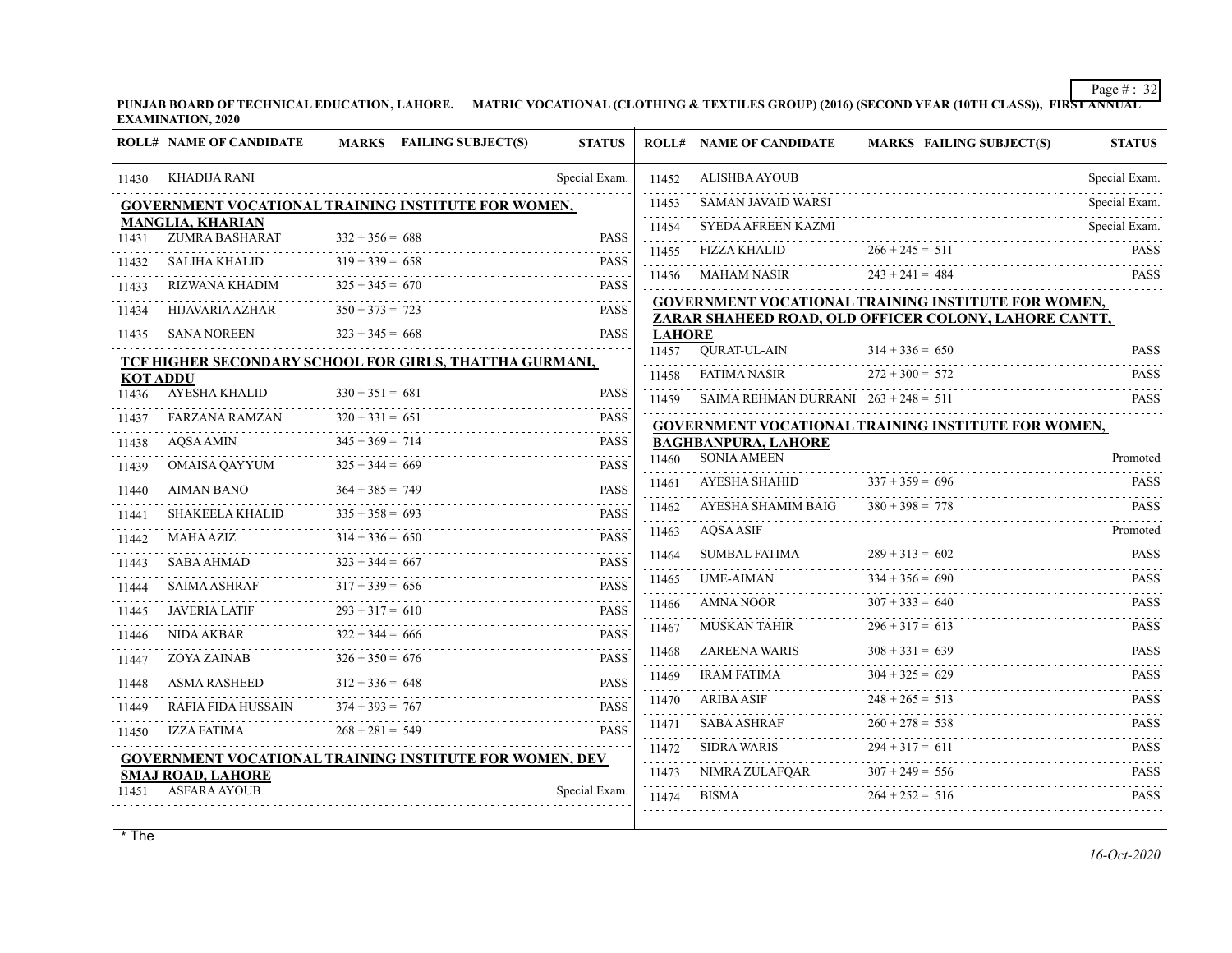**PUNJAB BOARD OF TECHNICAL EDUCATION, LAHORE. MATRIC VOCATIONAL (CLOTHING & TEXTILES GROUP) (2016) (SECOND YEAR (10TH CLASS)), FIRST ANNUAL EXAMINATION, 2020**

|                          | <b>ROLL# NAME OF CANDIDATE</b>            | MARKS FAILING SUBJECT(S)                                       | <b>STATUS</b>            |                        | <b>ROLL# NAME OF CANDIDATE</b>         | <b>MARKS FAILING SUBJECT(S)</b>                            | <b>STATUS</b> |
|--------------------------|-------------------------------------------|----------------------------------------------------------------|--------------------------|------------------------|----------------------------------------|------------------------------------------------------------|---------------|
| 11430                    | <b>KHADIJA RANI</b>                       |                                                                | Special Exam.            | 11452                  | <b>ALISHBA AYOUB</b>                   |                                                            | Special Exam. |
|                          |                                           | GOVERNMENT VOCATIONAL TRAINING INSTITUTE FOR WOMEN,            |                          | 11453                  | <b>SAMAN JAVAID WARSI</b>              |                                                            | Special Exam. |
|                          | <b>MANGLIA, KHARIAN</b><br>ZUMRA BASHARAT | $332 + 356 = 688$                                              | <b>PASS</b>              | 11454                  | <b>SYEDA AFREEN KAZMI</b>              |                                                            | Special Exam. |
| 11431                    | <b>SALIHA KHALID</b>                      | $319 + 339 = 658$                                              | <b>PASS</b>              | 11455                  | FIZZA KHALID                           | $266 + 245 = 511$                                          | <b>PASS</b>   |
| 11432                    |                                           |                                                                |                          | 11456                  | <b>MAHAM NASIR</b>                     | $243 + 241 = 484$                                          | <b>PASS</b>   |
| 11433                    | <b>RIZWANA KHADIM</b>                     | $325 + 345 = 670$                                              | <b>PASS</b>              |                        |                                        | <b>GOVERNMENT VOCATIONAL TRAINING INSTITUTE FOR WOMEN,</b> |               |
| 11434                    | HIJAVARIA AZHAR                           | $350 + 373 = 723$                                              | <b>PASS</b><br>.         |                        |                                        | ZARAR SHAHEED ROAD, OLD OFFICER COLONY, LAHORE CANTT,      |               |
| 11435                    | <b>SANA NOREEN</b>                        | $323 + 345 = 668$                                              | <b>PASS</b>              | <b>LAHORE</b><br>11457 | <b>OURAT-UL-AIN</b>                    | $314 + 336 = 650$                                          | <b>PASS</b>   |
|                          |                                           | TCF HIGHER SECONDARY SCHOOL FOR GIRLS, THATTHA GURMANI,        |                          |                        | <b>FATIMA NASIR</b>                    | $272 + 300 = 572$                                          | <b>PASS</b>   |
| <b>KOT ADDU</b><br>11436 | AYESHA KHALID                             | $330 + 351 = 681$                                              | <b>PASS</b>              | 11458                  |                                        |                                                            | <b>PASS</b>   |
| 11437                    | <b>FARZANA RAMZAN</b>                     | $320 + 331 = 651$                                              | <b>PASS</b>              | 11459                  | SAIMA REHMAN DURRANI $263 + 248 = 511$ |                                                            |               |
| 11438                    | <b>AOSA AMIN</b>                          | $345 + 369 = 714$                                              | i i i i i<br><b>PASS</b> |                        | <b>BAGHBANPURA, LAHORE</b>             | <b>GOVERNMENT VOCATIONAL TRAINING INSTITUTE FOR WOMEN,</b> |               |
| 11439                    | OMAISA OAYYUM                             | $325 + 344 = 669$                                              | <b>PASS</b>              | 11460                  | <b>SONIA AMEEN</b>                     |                                                            | Promoted      |
|                          |                                           | $364 + 385 = 749$                                              | <b>PASS</b>              | 11461                  | <b>AYESHA SHAHID</b>                   | $337 + 359 = 696$                                          | <b>PASS</b>   |
| 11440                    | AIMAN BANO                                |                                                                | <b>PASS</b>              | 11462                  | AYESHA SHAMIM BAIG                     | $380 + 398 = 778$                                          | <b>PASS</b>   |
| 11441                    | SHAKEELA KHALID                           | $335 + 358 = 693$                                              |                          | 11463                  | <b>AQSA ASIF</b>                       |                                                            | Promoted      |
| 11442                    | <b>MAHA AZIZ</b>                          | $314 + 336 = 650$                                              | <b>PASS</b>              | 11464                  | <b>SUMBAL FATIMA</b>                   | $289 + 313 = 602$                                          | <b>PASS</b>   |
| 11443                    | SABA AHMAD                                | $323 + 344 = 667$                                              | <b>PASS</b>              | 11465                  | <b>UME-AIMAN</b>                       | $334 + 356 = 690$                                          | <b>PASS</b>   |
| 11444                    | <b>SAIMA ASHRAF</b>                       | $317 + 339 = 656$                                              | <b>PASS</b>              | 11466                  | <b>AMNA NOOR</b>                       | $307 + 333 = 640$                                          | <b>PASS</b>   |
| 11445                    | <b>JAVERIA LATIF</b>                      | $293 + 317 = 610$<br>.                                         | <b>PASS</b>              |                        |                                        | $296 + 317 = 613$                                          | <b>PASS</b>   |
| 11446                    | NIDA AKBAR                                | $322 + 344 = 666$                                              | <b>PASS</b>              | 11467                  | MUSKAN TAHIR                           |                                                            |               |
| 11447                    | ZOYA ZAINAB                               | $326 + 350 = 676$                                              | <b>PASS</b>              | 11468                  | ZAREENA WARIS                          | $308 + 331 = 639$                                          | <b>PASS</b>   |
| 11448                    | <b>ASMA RASHEED</b>                       | $312 + 336 = 648$                                              | <b>PASS</b>              | 11469                  | <b>IRAM FATIMA</b>                     | $304 + 325 = 629$                                          | <b>PASS</b>   |
| 11449                    | <b>RAFIA FIDA HUSSAIN</b>                 | $374 + 393 = 767$                                              | <b>PASS</b>              | 11470                  | <b>ARIBA ASIF</b>                      | $248 + 265 = 513$                                          | <b>PASS</b>   |
| 11450                    | IZZA FATIMA                               | $268 + 281 = 549$                                              | <b>PASS</b>              | 11471                  | <b>SABA ASHRAF</b>                     | $260 + 278 = 538$                                          | <b>PASS</b>   |
|                          |                                           | <b>GOVERNMENT VOCATIONAL TRAINING INSTITUTE FOR WOMEN, DEV</b> |                          | 11472                  | SIDRA WARIS                            | $294 + 317 = 611$                                          | <b>PASS</b>   |
|                          | <b>SMAJ ROAD, LAHORE</b>                  |                                                                |                          | 11473                  | NIMRA ZULAFQAR                         | $307 + 249 = 556$                                          | <b>PASS</b>   |
| 11451                    | ASFARA AYOUB                              |                                                                | Special Exam.            | 11474                  | <b>BISMA</b>                           | $264 + 252 = 516$                                          | <b>PASS</b>   |
|                          |                                           |                                                                |                          |                        |                                        |                                                            |               |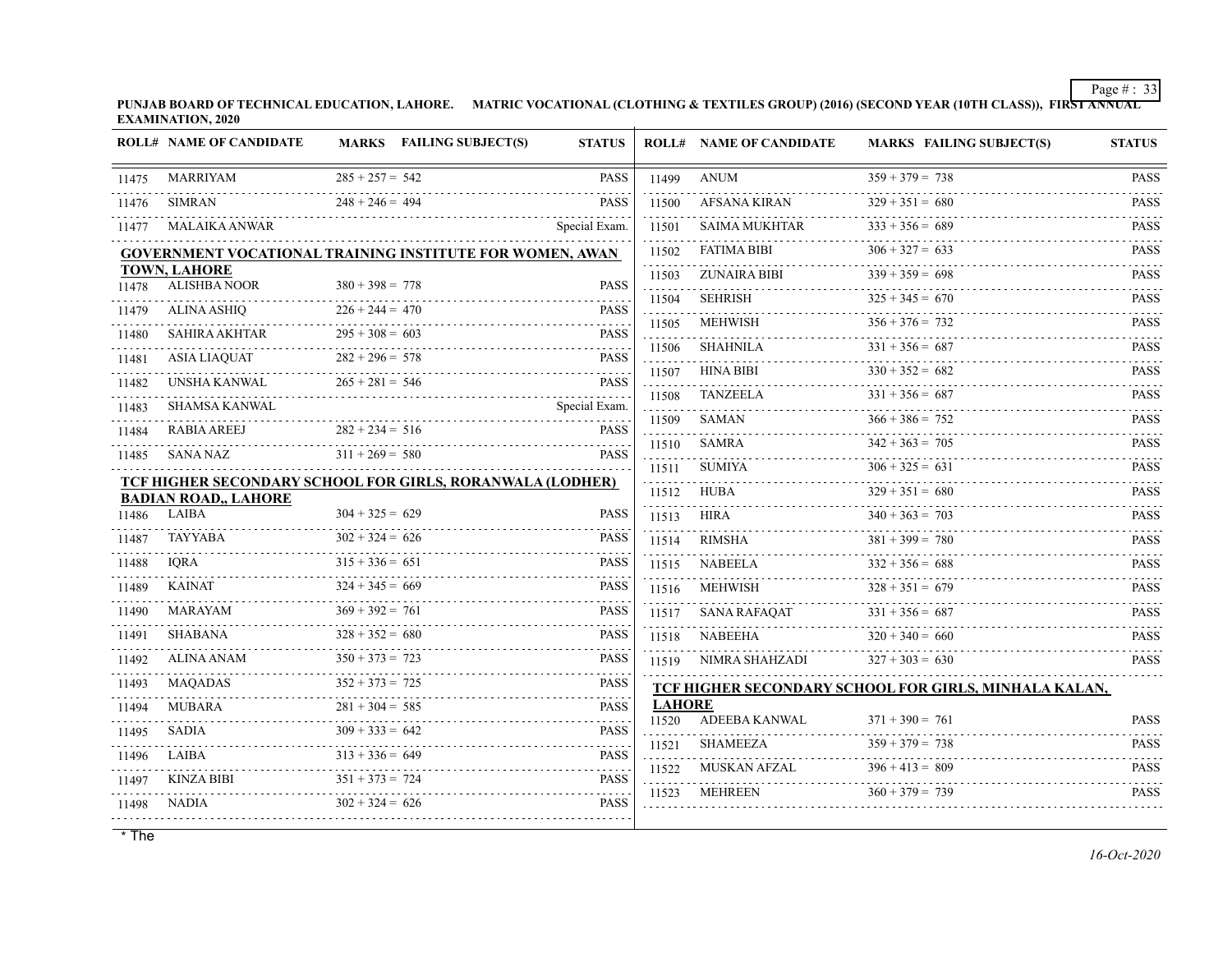**PUNJAB BOARD OF TECHNICAL EDUCATION, LAHORE. MATRIC VOCATIONAL (CLOTHING & TEXTILES GROUP) (2016) (SECOND YEAR (10TH CLASS)), FIRST ANNUAL EXAMINATION, 2020**

|       | <b>ROLL# NAME OF CANDIDATE</b>             | <b>MARKS</b> FAILING SUBJECT(S)                                  | <b>STATUS</b>    |               | <b>ROLL# NAME OF CANDIDATE</b> | <b>MARKS FAILING SUBJECT(S)</b>                       | <b>STATUS</b>              |
|-------|--------------------------------------------|------------------------------------------------------------------|------------------|---------------|--------------------------------|-------------------------------------------------------|----------------------------|
| 11475 | <b>MARRIYAM</b>                            | $285 + 257 = 542$                                                | <b>PASS</b>      | 11499         | ANUM                           | $359 + 379 = 738$                                     | <b>PASS</b>                |
| 11476 | <b>SIMRAN</b>                              | $248 + 246 = 494$                                                | <b>PASS</b>      | 11500         | AFSANA KIRAN                   | $329 + 351 = 680$                                     | <b>PASS</b>                |
| 11477 | <b>MALAIKA ANWAR</b>                       |                                                                  | Special Exam.    | 11501         | SAIMA MUKHTAR                  | $333 + 356 = 689$                                     | <b>PASS</b>                |
|       |                                            | <b>GOVERNMENT VOCATIONAL TRAINING INSTITUTE FOR WOMEN, AWAN</b>  |                  | .<br>11502    | FATIMA BIBI                    | $306 + 327 = 633$                                     | <b>PASS</b>                |
| 11478 | <b>TOWN, LAHORE</b><br><b>ALISHBA NOOR</b> | $380 + 398 = 778$                                                | <b>PASS</b>      | 11503         | ZUNAIRA BIBI                   | $339 + 359 = 698$                                     | <b>PASS</b>                |
|       | <b>ALINA ASHIQ</b>                         | $226 + 244 = 470$                                                | <b>PASS</b>      | 11504         | <b>SEHRISH</b>                 | $325 + 345 = 670$                                     | <b>PASS</b>                |
| 11479 |                                            | $295 + 308 = 603$                                                | <b>PASS</b>      | 11505         | MEHWISH                        | $356 + 376 = 732$                                     | dia a a a a<br><b>PASS</b> |
| 11480 | <b>SAHIRA AKHTAR</b>                       | .                                                                |                  | 11506         | SHAHNILA                       | $331 + 356 = 687$                                     | <b>PASS</b>                |
| 11481 | ASIA LIAQUAT                               | $282 + 296 = 578$                                                | <b>PASS</b>      | 11507         | <b>HINA BIBI</b>               | $330 + 352 = 682$                                     | <b>PASS</b>                |
| 11482 | UNSHA KANWAL                               | $265 + 281 = 546$                                                | <b>PASS</b><br>. | 11508         | TANZEELA                       | $331 + 356 = 687$                                     | <b>PASS</b>                |
| 11483 | SHAMSA KANWAL                              |                                                                  | Special Exam.    | 11509         | <b>SAMAN</b>                   | $366 + 386 = 752$                                     | <b>PASS</b>                |
| 11484 | <b>RABIA AREEJ</b>                         | $282 + 234 = 516$<br>$311 + 269 = 580$                           | <b>PASS</b>      | 11510         | SAMRA                          | $342 + 363 = 705$                                     | .<br><b>PASS</b>           |
| 11485 | SANA NAZ                                   |                                                                  | <b>PASS</b>      | 11511         | SUMIYA                         | $306 + 325 = 631$                                     | <b>PASS</b>                |
|       | <b>BADIAN ROAD,, LAHORE</b>                | <b>TCF HIGHER SECONDARY SCHOOL FOR GIRLS, RORANWALA (LODHER)</b> |                  |               | 11512 HUBA                     | $329 + 351 = 680$                                     | <b>PASS</b>                |
| 11486 | LAIBA                                      | $304 + 325 = 629$                                                | PASS             | 11513         | HIRA                           | $340 + 363 = 703$                                     | <b>PASS</b>                |
| 11487 | TAYYABA                                    | $302 + 324 = 626$                                                | <b>PASS</b>      | 11514         | RIMSHA                         | $381 + 399 = 780$                                     | <b>PASS</b>                |
| 11488 | <b>IORA</b>                                | $315 + 336 = 651$                                                | <b>PASS</b>      | 11515         | NABEELA                        | $332 + 356 = 688$                                     | <b>PASS</b>                |
| 11489 | <b>KAINAT</b>                              | $324 + 345 = 669$                                                | <b>PASS</b>      |               | 11516 MEHWISH                  | $328 + 351 = 679$                                     | <b>PASS</b>                |
| 11490 | MARAYAM                                    | $369 + 392 = 761$                                                | <b>PASS</b>      | 11517         | SANA RAFAOAT                   | $331 + 356 = 687$                                     | <b>PASS</b>                |
| 11491 | SHABANA                                    | $328 + 352 = 680$                                                | <b>PASS</b>      | 11518         | NABEEHA                        | $320 + 340 = 660$                                     | <b>PASS</b>                |
| 11492 | ALINA ANAM                                 | $350 + 373 = 723$                                                | <b>PASS</b>      |               | 11519 NIMRA SHAHZADI           | $327 + 303 = 630$                                     | <b>PASS</b>                |
| 11493 | MAQADAS                                    | $352 + 373 = 725$                                                | <b>PASS</b>      |               |                                | TCF HIGHER SECONDARY SCHOOL FOR GIRLS, MINHALA KALAN, |                            |
| 11494 | <b>MUBARA</b>                              | $281 + 304 = 585$                                                | <b>PASS</b>      | <b>LAHORE</b> |                                |                                                       |                            |
| 11495 | SADIA                                      | $309 + 333 = 642$                                                | <b>PASS</b>      | 11520         | ADEEBA KANWAL                  | $371 + 390 = 761$                                     | <b>PASS</b>                |
| 11496 | LAIBA                                      | $313 + 336 = 649$                                                | <b>PASS</b>      | 11521         | SHAMEEZA                       | $359 + 379 = 738$                                     | <b>PASS</b>                |
| 11497 | KINZA BIBI                                 | $351 + 373 = 724$                                                | <b>PASS</b>      | 11522         | MUSKAN AFZAL                   | $396 + 413 = 809$                                     | <b>PASS</b><br>.           |
| 11498 | NADIA                                      | $302 + 324 = 626$                                                | PASS             | 11523         | MEHREEN                        | $360 + 379 = 739$                                     | <b>PASS</b>                |
|       |                                            |                                                                  |                  |               |                                |                                                       |                            |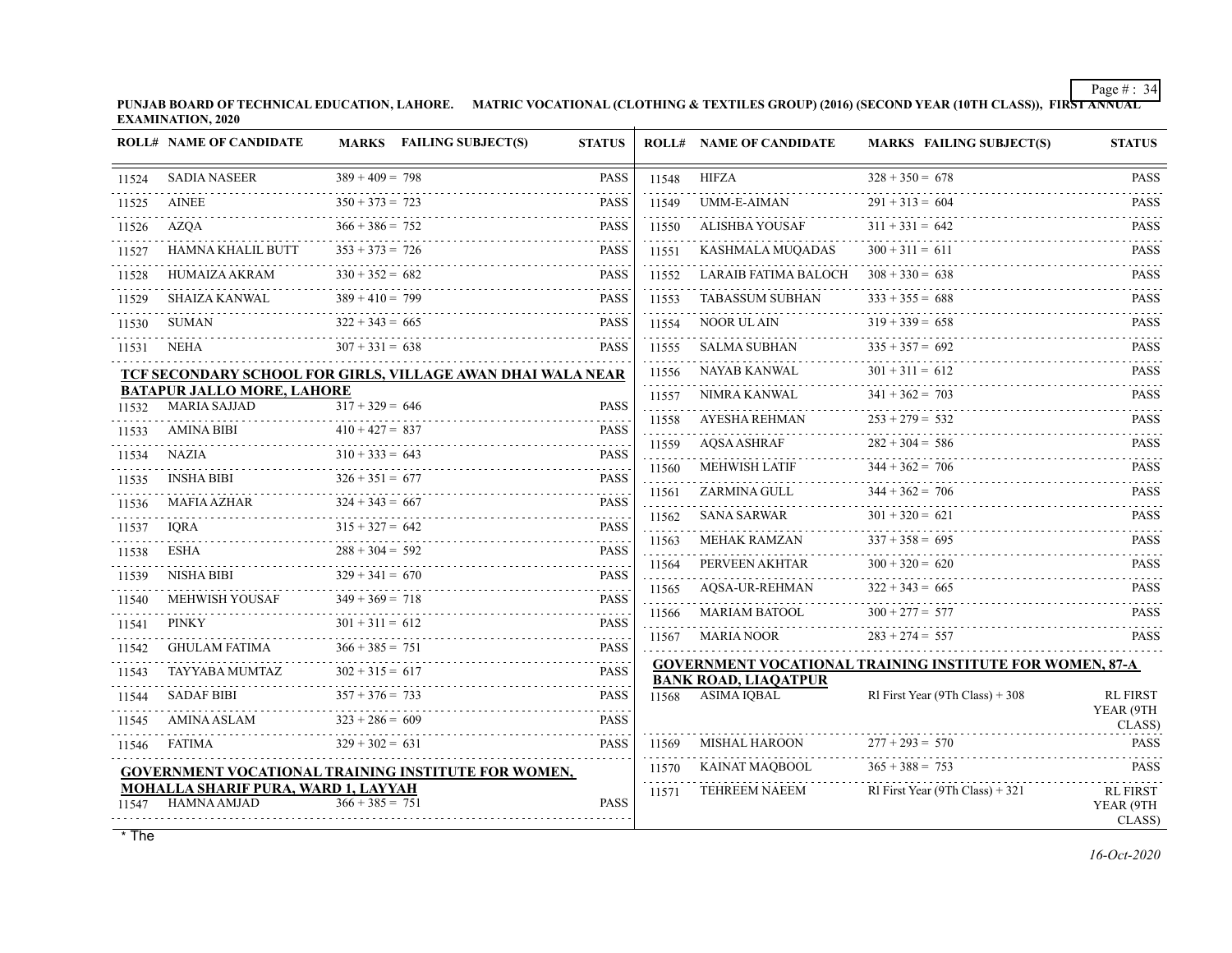**PUNJAB BOARD OF TECHNICAL EDUCATION, LAHORE. MATRIC VOCATIONAL (CLOTHING & TEXTILES GROUP) (2016) (SECOND YEAR (10TH CLASS)), FIRST ANNUAL EXAMINATION, 2020**

|       | <b>ROLL# NAME OF CANDIDATE</b>                            |                        | MARKS FAILING SUBJECT(S)                                    | <b>STATUS</b>              |            | <b>ROLL# NAME OF CANDIDATE</b>                   | <b>MARKS FAILING SUBJECT(S)</b>                                 | <b>STATUS</b>                          |
|-------|-----------------------------------------------------------|------------------------|-------------------------------------------------------------|----------------------------|------------|--------------------------------------------------|-----------------------------------------------------------------|----------------------------------------|
| 11524 | <b>SADIA NASEER</b>                                       | $389 + 409 = 798$      |                                                             | <b>PASS</b>                | 11548      | HIFZA                                            | $328 + 350 = 678$                                               | <b>PASS</b>                            |
| 11525 | AINEE                                                     | $350 + 373 = 723$      |                                                             | <b>PASS</b>                | 11549      | UMM-E-AIMAN                                      | $291 + 313 = 604$                                               | <b>PASS</b>                            |
| 11526 | <b>AZOA</b>                                               | $366 + 386 = 752$      |                                                             | <b>PASS</b>                | 11550      | ALISHBA YOUSAF                                   | $311 + 331 = 642$                                               | <b>PASS</b>                            |
| 11527 | HAMNA KHALIL BUTT                                         | $353 + 373 = 726$      |                                                             | <b>PASS</b>                | 11551      | KASHMALA MUQADAS                                 | $300 + 311 = 611$                                               | <b>PASS</b>                            |
| 11528 | HUMAIZA AKRAM                                             | $330 + 352 = 682$      |                                                             | <b>PASS</b>                | 11552      | LARAIB FATIMA BALOCH                             | $308 + 330 = 638$                                               | <b>PASS</b>                            |
| 11529 | <b>SHAIZA KANWAL</b><br>.                                 | $389 + 410 = 799$      |                                                             | <b>PASS</b>                | 11553      | <b>TABASSUM SUBHAN</b>                           | $333 + 355 = 688$                                               | 111111<br><b>PASS</b>                  |
| 11530 | SUMAN                                                     | $322 + 343 = 665$      |                                                             | <b>PASS</b>                | 11554      | NOOR UL AIN<br>.                                 | $319 + 339 = 658$                                               | <b>PASS</b><br>.                       |
| 11531 | NEHA                                                      | $307 + 331 = 638$      |                                                             | <b>PASS</b>                | 11555      | SALMA SUBHAN                                     | $335 + 357 = 692$                                               | <b>PASS</b>                            |
|       |                                                           |                        | TCF SECONDARY SCHOOL FOR GIRLS, VILLAGE AWAN DHAI WALA NEAR |                            | 11556      | NAYAB KANWAL                                     | $301 + 311 = 612$                                               | <b>PASS</b>                            |
| 11532 | <b>BATAPUR JALLO MORE, LAHORE</b><br><b>MARIA SAJJAD</b>  | $317 + 329 = 646$      |                                                             | <b>PASS</b>                | 11557      | NIMRA KANWAL                                     | $341 + 362 = 703$                                               | <b>PASS</b>                            |
| 11533 | <b>AMINA BIBI</b>                                         | $410 + 427 = 837$      |                                                             | <b>PASS</b>                | 11558      | AYESHA REHMAN                                    | $253 + 279 = 532$                                               | <b>PASS</b>                            |
| 11534 | NAZIA                                                     | $310 + 333 = 643$      |                                                             | i i i i i i<br><b>PASS</b> | 11559<br>. | <b>AQSA ASHRAF</b>                               | $282 + 304 = 586$                                               | <b>PASS</b><br>.                       |
| 11535 | INSHA BIBI                                                | $326 + 351 = 677$      |                                                             | <b>PASS</b>                | 11560      | <b>MEHWISH LATIF</b>                             | $344 + 362 = 706$                                               | <b>PASS</b>                            |
| 11536 | <b>MAFIA AZHAR</b>                                        | $324 + 343 = 667$      |                                                             | <b>PASS</b>                | 11561      | ZARMINA GULL                                     | $344 + 362 = 706$                                               | <b>PASS</b>                            |
| 11537 | <b>IORA</b>                                               | $315 + 327 = 642$      |                                                             | .<br><b>PASS</b>           | 11562<br>. | SANA SARWAR                                      | $301 + 320 = 621$                                               | <b>PASS</b>                            |
| 11538 | ESHA                                                      | $288 + 304 = 592$      |                                                             | <b>PASS</b>                | 11563      | <b>MEHAK RAMZAN</b>                              | $337 + 358 = 695$                                               | <b>PASS</b>                            |
| 11539 | NISHA BIBI                                                | .<br>$329 + 341 = 670$ |                                                             | المتمامين<br><b>PASS</b>   | 11564<br>. | PERVEEN AKHTAR                                   | $300 + 320 = 620$                                               | <b>PASS</b>                            |
| 11540 | MEHWISH YOUSAF                                            | $349 + 369 = 718$      |                                                             | 2.2.2.2.2<br><b>PASS</b>   | 11565      | <b>AOSA-UR-REHMAN</b>                            | $322 + 343 = 665$                                               | <b>PASS</b>                            |
| 11541 | <b>PINKY</b>                                              | $301 + 311 = 612$      |                                                             | .<br><b>PASS</b>           | 11566      | MARIAM BATOOL                                    | $300 + 277 = 577$                                               | <b>PASS</b>                            |
| 11542 | GHULAM FATIMA                                             | $366 + 385 = 751$      |                                                             | <b>PASS</b>                | 11567      | <b>MARIA NOOR</b>                                | $283 + 274 = 557$                                               | <b>PASS</b>                            |
| 11543 | <b>TAYYABA MUMTAZ</b>                                     | $302 + 315 = 617$      |                                                             | <b>PASS</b>                |            |                                                  | <b>GOVERNMENT VOCATIONAL TRAINING INSTITUTE FOR WOMEN, 87-A</b> |                                        |
| 11544 | <b>SADAF BIBI</b>                                         | $357 + 376 = 733$      |                                                             | .<br><b>PASS</b>           |            | <b>BANK ROAD, LIAOATPUR</b><br>11568 ASIMA IQBAL | RI First Year (9Th Class) $+308$                                | <b>RL FIRST</b>                        |
| 11545 | AMINA ASLAM                                               | $323 + 286 = 609$      |                                                             | <b>PASS</b>                |            |                                                  |                                                                 | YEAR (9TH                              |
| 11546 | FATIMA                                                    | $329 + 302 = 631$      |                                                             | <b>PASS</b>                | 11569      | MISHAL HAROON                                    | $277 + 293 = 570$                                               | CLASS)<br><b>PASS</b>                  |
|       |                                                           |                        | GOVERNMENT VOCATIONAL TRAINING INSTITUTE FOR WOMEN,         |                            | 11570      | <b>KAINAT MAOBOOL</b>                            | $365 + 388 = 753$                                               | <b>PASS</b>                            |
| 11547 | MOHALLA SHARIF PURA, WARD 1, LAYYAH<br><b>HAMNA AMJAD</b> | $366 + 385 = 751$      |                                                             | <b>PASS</b>                | 11571      | <b>TEHREEM NAEEM</b>                             | RI First Year (9Th Class) + 321                                 | <b>RL FIRST</b><br>YEAR (9TH<br>CLASS) |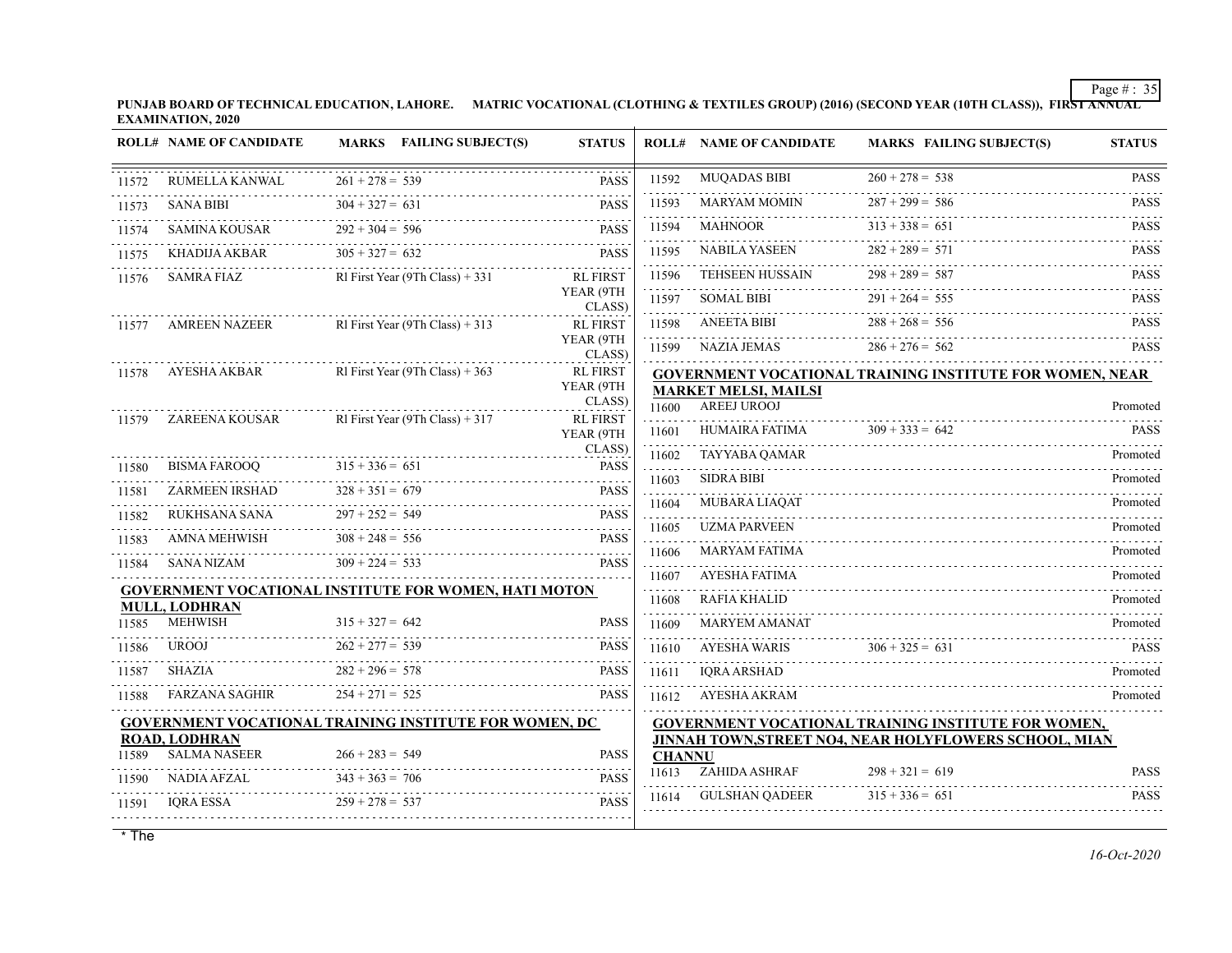**PUNJAB BOARD OF TECHNICAL EDUCATION, LAHORE. MATRIC VOCATIONAL (CLOTHING & TEXTILES GROUP) (2016) (SECOND YEAR (10TH CLASS)), FIRST ANNUAL EXAMINATION, 2020**

|       | <b>ROLL# NAME OF CANDIDATE</b>         | MARKS FAILING SUBJECT(S)                                      | <b>STATUS</b>       |               | <b>ROLL# NAME OF CANDIDATE</b>             | <b>MARKS FAILING SUBJECT(S)</b>                                                                                      | <b>STATUS</b> |
|-------|----------------------------------------|---------------------------------------------------------------|---------------------|---------------|--------------------------------------------|----------------------------------------------------------------------------------------------------------------------|---------------|
| 11572 | RUMELLA KANWAL                         | $261 + 278 = 539$                                             | <b>PASS</b>         | 11592         | <b>MUQADAS BIBI</b>                        | $260 + 278 = 538$                                                                                                    | <b>PASS</b>   |
| 11573 | <b>SANA BIBI</b>                       | $304 + 327 = 631$                                             | <b>PASS</b>         | 11593         | <b>MARYAM MOMIN</b>                        | $287 + 299 = 586$                                                                                                    | <b>PASS</b>   |
| 11574 | SAMINA KOUSAR                          | $292 + 304 = 596$                                             | <b>PASS</b>         | 11594         | MAHNOOR                                    | $313 + 338 = 651$                                                                                                    | <b>PASS</b>   |
| 11575 | KHADIJA AKBAR                          | $305 + 327 = 632$                                             | <b>PASS</b>         | 11595         | NABILA YASEEN                              | $282 + 289 = 571$                                                                                                    | <b>PASS</b>   |
| 11576 | SAMRA FIAZ                             | RI First Year (9Th Class) + 331                               | <b>RL FIRST</b>     | 11596         | TEHSEEN HUSSAIN<br>.                       | $298 + 289 = 587$                                                                                                    | <b>PASS</b>   |
|       |                                        |                                                               | YEAR (9TH<br>CLASS) | 11597         | <b>SOMAL BIBI</b>                          | $291 + 264 = 555$                                                                                                    | <b>PASS</b>   |
| 11577 | AMREEN NAZEER                          | RI First Year (9Th Class) + 313                               | <b>RL FIRST</b>     | 11598         | ANEETA BIBI                                | $288 + 268 = 556$                                                                                                    | <b>PASS</b>   |
|       |                                        |                                                               | YEAR (9TH<br>CLASS) | 11599         | NAZIA JEMAS                                | $286 + 276 = 562$                                                                                                    | <b>PASS</b>   |
| 11578 | AYESHA AKBAR                           | RI First Year (9Th Class) $+363$                              | <b>RL FIRST</b>     |               |                                            | <b>GOVERNMENT VOCATIONAL TRAINING INSTITUTE FOR WOMEN, NEAR</b>                                                      |               |
|       |                                        |                                                               | YEAR (9TH<br>CLASS) | 11600         | <b>MARKET MELSI, MAILSI</b><br>AREEJ UROOJ |                                                                                                                      | Promoted      |
| 11579 | ZAREENA KOUSAR                         | RI First Year (9Th Class) $+317$                              | <b>RL FIRST</b>     |               | 11601 HUMAIRA FATIMA                       | $309 + 333 = 642$                                                                                                    | <b>PASS</b>   |
|       |                                        |                                                               | YEAR (9TH<br>CLASS) | 11602         | TAYYABA QAMAR                              |                                                                                                                      | Promoted      |
| 11580 | BISMA FAROOQ                           | $315 + 336 = 651$                                             | <b>PASS</b>         | 11603         | <b>SIDRA BIBI</b>                          |                                                                                                                      | Promoted      |
| 11581 | ZARMEEN IRSHAD                         | $328 + 351 = 679$                                             | <b>PASS</b>         | 11604         | MUBARA LIAQAT                              |                                                                                                                      | Promoted      |
| 11582 | RUKHSANA SANA                          | $297 + 252 = 549$                                             | <b>PASS</b>         | 11605         | <b>UZMA PARVEEN</b>                        |                                                                                                                      | Promoted      |
| 11583 | AMNA MEHWISH                           | $308 + 248 = 556$                                             | <b>PASS</b>         |               | <b>MARYAM FATIMA</b>                       |                                                                                                                      | Promoted      |
| 11584 | SANA NIZAM                             | $309 + 224 = 533$                                             | <b>PASS</b>         | 11606         | AYESHA FATIMA                              |                                                                                                                      |               |
|       |                                        | <b>GOVERNMENT VOCATIONAL INSTITUTE FOR WOMEN, HATI MOTON</b>  |                     | 11607<br>.    |                                            |                                                                                                                      | Promoted      |
|       | <b>MULL, LODHRAN</b><br><b>MEHWISH</b> | $315 + 327 = 642$                                             | <b>PASS</b>         | 11608         | RAFIA KHALID<br><b>MARYEM AMANAT</b>       |                                                                                                                      | Promoted      |
| 11585 | UROOJ                                  | $262 + 277 = 539$                                             | <b>PASS</b>         | 11609         |                                            |                                                                                                                      | Promoted      |
| 11586 | <b>SHAZIA</b>                          | $282 + 296 = 578$                                             | <b>PASS</b>         | 11610         | <b>AYESHA WARIS</b>                        | $306 + 325 = 631$                                                                                                    | <b>PASS</b>   |
| 11587 |                                        |                                                               |                     | 11611         | <b>IORA ARSHAD</b>                         |                                                                                                                      | Promoted      |
| 11588 | FARZANA SAGHIR                         | $254 + 271 = 525$                                             | <b>PASS</b>         | 11612         | AYESHA AKRAM                               |                                                                                                                      | Promoted      |
|       | <b>ROAD, LODHRAN</b>                   | <b>GOVERNMENT VOCATIONAL TRAINING INSTITUTE FOR WOMEN, DC</b> |                     |               |                                            | <b>GOVERNMENT VOCATIONAL TRAINING INSTITUTE FOR WOMEN,</b><br>JINNAH TOWN, STREET NO4, NEAR HOLYFLOWERS SCHOOL, MIAN |               |
| 11589 | <b>SALMA NASEER</b>                    | $266 + 283 = 549$                                             | <b>PASS</b>         | <b>CHANNU</b> |                                            |                                                                                                                      |               |
| 11590 | NADIA AFZAL                            | $343 + 363 = 706$                                             | <b>PASS</b>         | 11613         | ZAHIDA ASHRAF                              | $298 + 321 = 619$                                                                                                    | <b>PASS</b>   |
| 11591 | IQRA ESSA                              | $259 + 278 = 537$                                             | PASS                |               | 11614 GULSHAN QADEER                       | $315 + 336 = 651$                                                                                                    | <b>PASS</b>   |
|       |                                        |                                                               |                     |               |                                            |                                                                                                                      |               |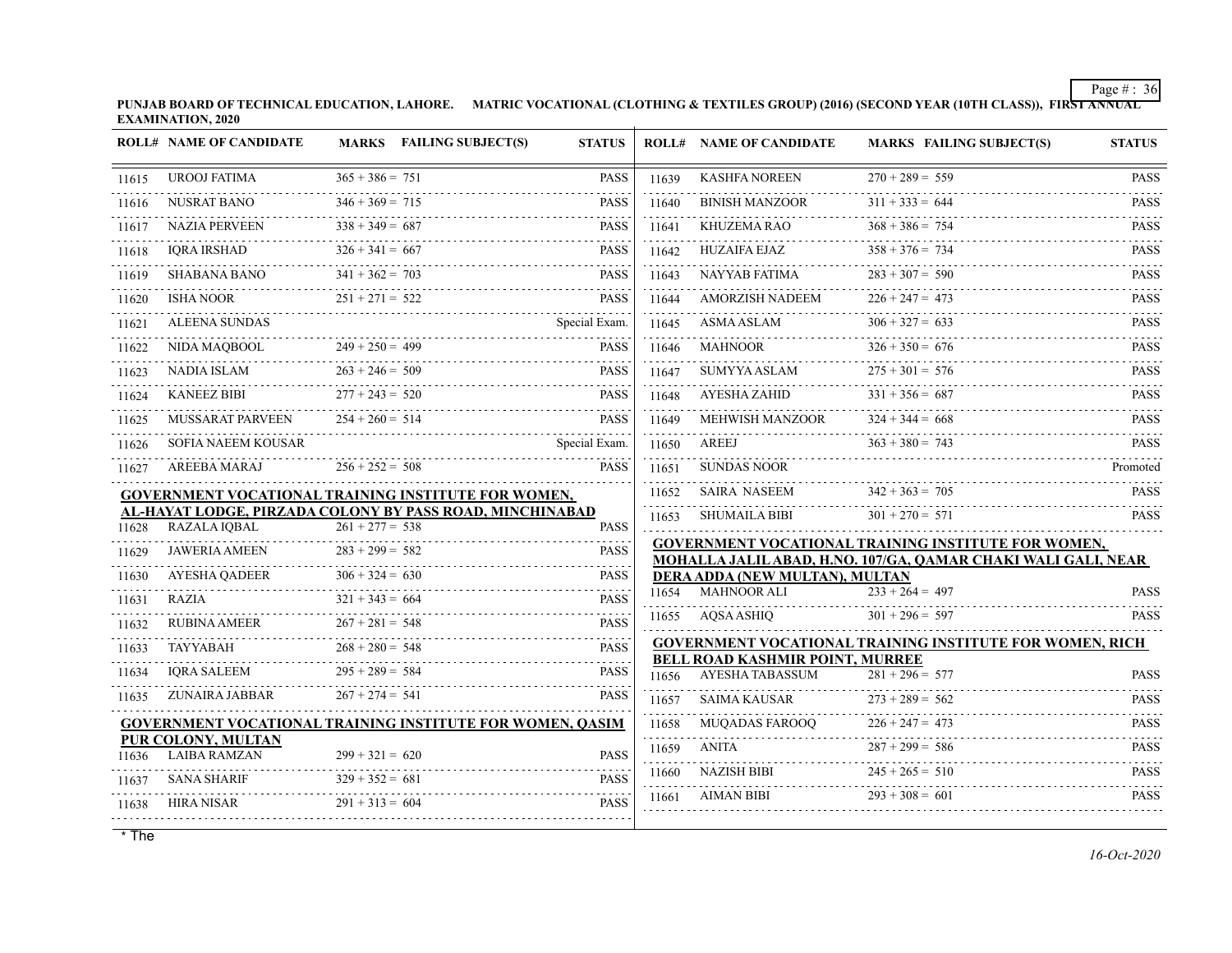**PUNJAB BOARD OF TECHNICAL EDUCATION, LAHORE. MATRIC VOCATIONAL (CLOTHING & TEXTILES GROUP) (2016) (SECOND YEAR (10TH CLASS)), FIRST ANNUAL EXAMINATION, 2020**

|       | <b>ROLL# NAME OF CANDIDATE</b>                                                  |                   | MARKS FAILING SUBJECT(S) | <b>STATUS</b> |            | <b>ROLL# NAME OF CANDIDATE</b>                       | <b>MARKS FAILING SUBJECT(S)</b>                                 | <b>STATUS</b>              |
|-------|---------------------------------------------------------------------------------|-------------------|--------------------------|---------------|------------|------------------------------------------------------|-----------------------------------------------------------------|----------------------------|
| 11615 | <b>UROOJ FATIMA</b>                                                             | $365 + 386 = 751$ |                          | <b>PASS</b>   | 11639      | <b>KASHFA NOREEN</b>                                 | $270 + 289 = 559$                                               | <b>PASS</b>                |
| 11616 | <b>NUSRAT BANO</b>                                                              | $346 + 369 = 715$ |                          | <b>PASS</b>   | 11640      | <b>BINISH MANZOOR</b>                                | $311 + 333 = 644$                                               | <b>PASS</b>                |
| 11617 | <b>NAZIA PERVEEN</b>                                                            | $338 + 349 = 687$ |                          | <b>PASS</b>   | 11641      | KHUZEMA RAO                                          | $368 + 386 = 754$                                               | <b>PASS</b>                |
| 11618 | <b>IORA IRSHAD</b>                                                              | $326 + 341 = 667$ |                          | <b>PASS</b>   | 11642      | HUZAIFA EJAZ                                         | $358 + 376 = 734$                                               | <b>PASS</b>                |
| 11619 | SHABANA BANO                                                                    | $341 + 362 = 703$ |                          | <b>PASS</b>   | 11643      | NAYYAB FATIMA                                        | $283 + 307 = 590$                                               | <b>PASS</b>                |
| 11620 | <b>ISHA NOOR</b>                                                                | $251 + 271 = 522$ |                          | <b>PASS</b>   | 11644      | AMORZISH NADEEM                                      | $226 + 247 = 473$                                               | <b>PASS</b>                |
| 11621 | <b>ALEENA SUNDAS</b>                                                            |                   |                          | Special Exam. | 11645      | ASMA ASLAM                                           | $306 + 327 = 633$                                               | dia a a a a<br><b>PASS</b> |
| 11622 | NIDA MAQBOOL                                                                    | $249 + 250 = 499$ |                          | <b>PASS</b>   | 11646      | MAHNOOR                                              | $326 + 350 = 676$                                               | <b>PASS</b>                |
| 11623 | <b>NADIA ISLAM</b>                                                              | $263 + 246 = 509$ |                          | <b>PASS</b>   | 11647      | SUMYYA ASLAM                                         | $275 + 301 = 576$                                               | <b>PASS</b>                |
| 11624 | <b>KANEEZ BIBI</b>                                                              | $277 + 243 = 520$ |                          | <b>PASS</b>   | 11648      | AYESHA ZAHID                                         | $331 + 356 = 687$                                               | <b>PASS</b>                |
| 11625 | <b>MUSSARAT PARVEEN</b>                                                         | $254 + 260 = 514$ |                          | <b>PASS</b>   | 11649      | MEHWISH MANZOOR                                      | $324 + 344 = 668$                                               | <b>PASS</b>                |
| 11626 | SOFIA NAEEM KOUSAR                                                              |                   |                          | Special Exam. | 11650      | AREEJ                                                | $363 + 380 = 743$                                               | <b>PASS</b>                |
| 11627 | AREEBA MARAJ                                                                    | $256 + 252 = 508$ |                          | <b>PASS</b>   | 11651      | <b>SUNDAS NOOR</b>                                   |                                                                 | Promoted                   |
|       | <b>GOVERNMENT VOCATIONAL TRAINING INSTITUTE FOR WOMEN,</b>                      |                   |                          |               | 11652      | <b>SAIRA NASEEM</b>                                  | $342 + 363 = 705$                                               | <b>PASS</b>                |
| 11628 | <u>AL-HAYAT LODGE, PIRZADA COLONY BY PASS ROAD, MINCHINABAD</u><br>RAZALA IQBAL | $261 + 277 = 538$ |                          | <b>PASS</b>   | 11653      | SHUMAILA BIBI                                        | $301 + 270 = 571$                                               | <b>PASS</b>                |
|       |                                                                                 | $283 + 299 = 582$ |                          | <b>PASS</b>   |            |                                                      | GOVERNMENT VOCATIONAL TRAINING INSTITUTE FOR WOMEN,             |                            |
| 11629 | <b>JAWERIA AMEEN</b>                                                            |                   |                          |               |            |                                                      | MOHALLA JALIL ABAD, H.NO. 107/GA, QAMAR CHAKI WALI GALI, NEAR   |                            |
| 11630 | <b>AYESHA QADEER</b>                                                            | $306 + 324 = 630$ |                          | <b>PASS</b>   | 11654      | DERA ADDA (NEW MULTAN), MULTAN<br><b>MAHNOOR ALI</b> | $233 + 264 = 497$                                               | <b>PASS</b>                |
| 11631 | RAZIA                                                                           | $321 + 343 = 664$ |                          | <b>PASS</b>   |            |                                                      |                                                                 |                            |
| 11632 | <b>RUBINA AMEER</b>                                                             | $267 + 281 = 548$ |                          | <b>PASS</b>   | 11655      | AQSA ASHIQ                                           | $301 + 296 = 597$                                               | <b>PASS</b>                |
| 11633 | TAYYABAH                                                                        | $268 + 280 = 548$ |                          | <b>PASS</b>   |            | <b>BELL ROAD KASHMIR POINT, MURREE</b>               | <b>GOVERNMENT VOCATIONAL TRAINING INSTITUTE FOR WOMEN, RICH</b> |                            |
| 11634 | <b>IORA SALEEM</b>                                                              | $295 + 289 = 584$ |                          | <b>PASS</b>   | 11656      | AYESHA TABASSUM                                      | $281 + 296 = 577$                                               | <b>PASS</b>                |
| 11635 | ZUNAIRA JABBAR                                                                  | $267 + 274 = 541$ |                          | <b>PASS</b>   | 11657      | SAIMA KAUSAR                                         | $273 + 289 = 562$                                               | <b>PASS</b>                |
|       | <b>GOVERNMENT VOCATIONAL TRAINING INSTITUTE FOR WOMEN, OASIM</b>                |                   |                          |               |            | 11658 MUQADAS FAROOQ                                 | $226 + 247 = 473$                                               | <b>PASS</b>                |
| 11636 | PUR COLONY, MULTAN<br><b>LAIBA RAMZAN</b>                                       | $299 + 321 = 620$ |                          | <b>PASS</b>   | .          | 11659 ANITA                                          | $287 + 299 = 586$                                               | <b>PASS</b>                |
| 11637 | <b>SANA SHARIF</b>                                                              | $329 + 352 = 681$ |                          | <b>PASS</b>   | .<br>11660 | NAZISH BIBI                                          | $245 + 265 = 510$                                               | <b>PASS</b>                |
|       | HIRA NISAR                                                                      | $291 + 313 = 604$ |                          | <b>PASS</b>   | 11661      | AIMAN BIBI                                           | $293 + 308 = 601$                                               | <b>PASS</b>                |
| 11638 |                                                                                 |                   |                          |               |            |                                                      |                                                                 |                            |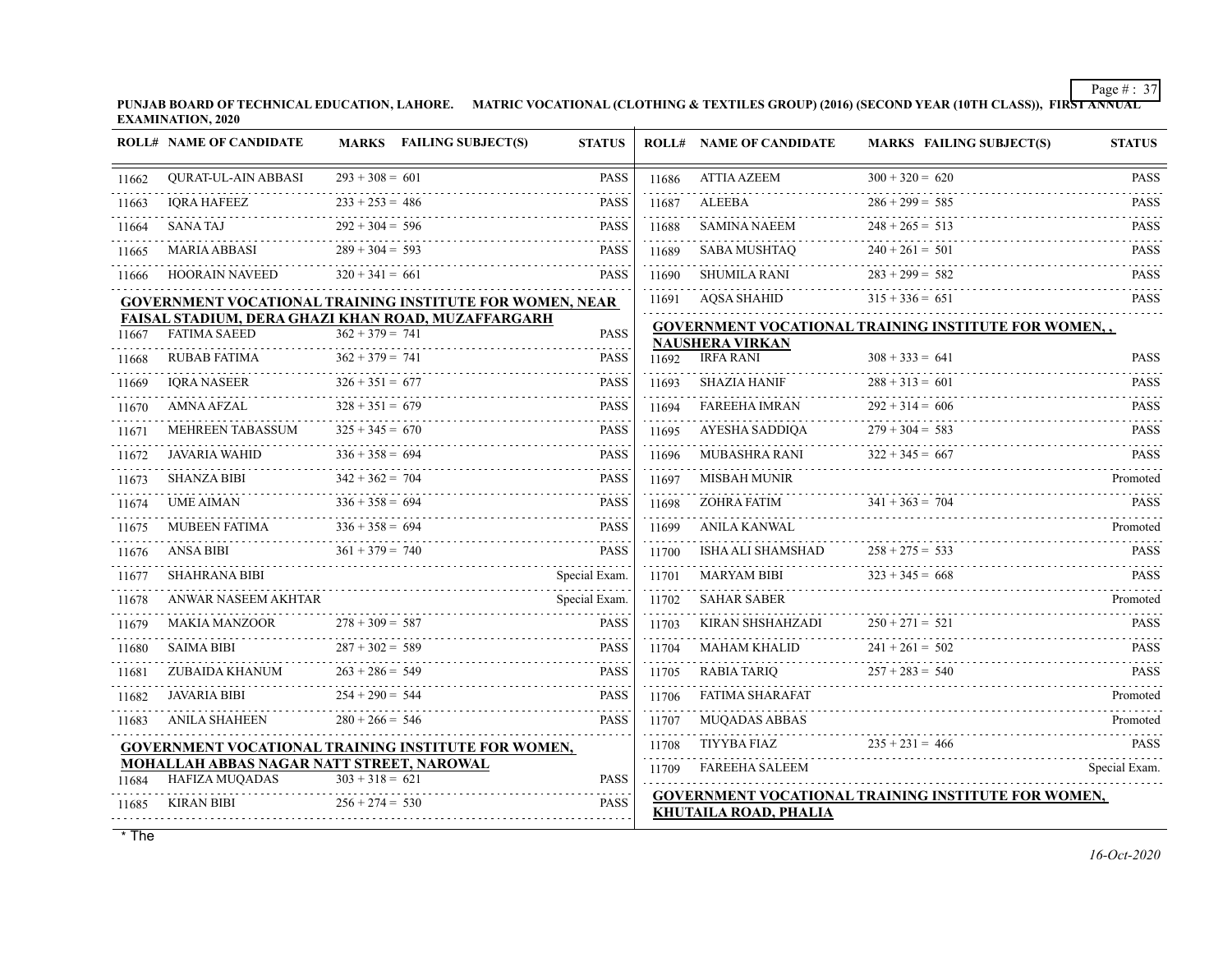**PUNJAB BOARD OF TECHNICAL EDUCATION, LAHORE. MATRIC VOCATIONAL (CLOTHING & TEXTILES GROUP) (2016) (SECOND YEAR (10TH CLASS)), FIRST ANNUAL EXAMINATION, 2020**

|       | <b>ROLL# NAME OF CANDIDATE</b>                                            |                   | MARKS FAILING SUBJECT(S) | <b>STATUS</b> |            | <b>ROLL# NAME OF CANDIDATE</b>             | <b>MARKS FAILING SUBJECT(S)</b>                      | <b>STATUS</b> |
|-------|---------------------------------------------------------------------------|-------------------|--------------------------|---------------|------------|--------------------------------------------|------------------------------------------------------|---------------|
| 11662 | <b>OURAT-UL-AIN ABBASI</b>                                                | $293 + 308 = 601$ |                          | <b>PASS</b>   | 11686      | ATTIA AZEEM                                | $300 + 320 = 620$                                    | <b>PASS</b>   |
| 11663 | <b>IORA HAFEEZ</b>                                                        | $233 + 253 = 486$ |                          | <b>PASS</b>   | 11687      | ALEEBA                                     | $286 + 299 = 585$                                    | <b>PASS</b>   |
| 11664 | <b>SANATAJ</b>                                                            | $292 + 304 = 596$ |                          | <b>PASS</b>   | 11688      | SAMINA NAEEM                               | $248 + 265 = 513$                                    | <b>PASS</b>   |
| 11665 | MARIA ABBASI                                                              | $289 + 304 = 593$ |                          | <b>PASS</b>   | 11689      | SABA MUSHTAO                               | $240 + 261 = 501$                                    | <b>PASS</b>   |
| 11666 | <b>HOORAIN NAVEED</b>                                                     | $320 + 341 = 661$ |                          | <b>PASS</b>   | 11690      | SHUMILA RANI                               | $283 + 299 = 582$                                    | <b>PASS</b>   |
|       | <b>GOVERNMENT VOCATIONAL TRAINING INSTITUTE FOR WOMEN, NEAR</b>           |                   |                          |               |            | 11691 AOSA SHAHID                          | $315 + 336 = 651$                                    | <b>PASS</b>   |
| 11667 | FAISAL STADIUM, DERA GHAZI KHAN ROAD, MUZAFFARGARH<br><b>FATIMA SAEED</b> | $362 + 379 = 741$ |                          | <b>PASS</b>   |            |                                            | GOVERNMENT VOCATIONAL TRAINING INSTITUTE FOR WOMEN,, |               |
| 11668 | RUBAB FATIMA                                                              | $362 + 379 = 741$ |                          | <b>PASS</b>   | 11692      | <b>NAUSHERA VIRKAN</b><br><b>IRFA RANI</b> | $308 + 333 = 641$                                    | <b>PASS</b>   |
| 11669 | <b>IORA NASEER</b>                                                        | $326 + 351 = 677$ |                          | <b>PASS</b>   | 11693      | SHAZIA HANIF                               | $288 + 313 = 601$                                    | <b>PASS</b>   |
| 11670 | AMNA AFZAL                                                                | $328 + 351 = 679$ |                          | <b>PASS</b>   | 11694      | <b>FAREEHA IMRAN</b>                       | $292 + 314 = 606$                                    | <b>PASS</b>   |
| 11671 | MEHREEN TABASSUM                                                          | $325 + 345 = 670$ |                          | <b>PASS</b>   | 11695      | AYESHA SADDIQA                             | $279 + 304 = 583$                                    | <b>PASS</b>   |
| 11672 | JAVARIA WAHID                                                             | $336 + 358 = 694$ |                          | <b>PASS</b>   | 11696      | MUBASHRA RANI                              | $322 + 345 = 667$                                    | <b>PASS</b>   |
| 11673 | <b>SHANZA BIBI</b>                                                        | $342 + 362 = 704$ |                          | <b>PASS</b>   | 11697      | MISBAH MUNIR                               |                                                      | Promoted      |
| 11674 | <b>UME AIMAN</b>                                                          | $336 + 358 = 694$ |                          | <b>PASS</b>   | .<br>11698 | <b>ZOHRA FATIM</b>                         | $341 + 363 = 704$                                    | <b>PASS</b>   |
| 11675 | MUBEEN FATIMA                                                             | $336 + 358 = 694$ |                          | <b>PASS</b>   | 11699      | ANILA KANWAL                               |                                                      | Promoted      |
| 11676 | <b>ANSA BIBI</b>                                                          | $361 + 379 = 740$ |                          | <b>PASS</b>   | 11700      | ISHA ALI SHAMSHAD                          | $258 + 275 = 533$                                    | <b>PASS</b>   |
| 11677 | SHAHRANA BIBI                                                             |                   |                          | Special Exam. | 11701      | <b>MARYAM BIBI</b>                         | $323 + 345 = 668$                                    | <b>PASS</b>   |
| 11678 | ANWAR NASEEM AKHTAR                                                       |                   |                          | Special Exam. | 11702      | <b>SAHAR SABER</b>                         |                                                      | Promoted      |
| 11679 | <b>MAKIA MANZOOR</b>                                                      | $278 + 309 = 587$ |                          | <b>PASS</b>   | 11703      | KIRAN SHSHAHZADI                           | $250 + 271 = 521$                                    | <b>PASS</b>   |
| 11680 | <b>SAIMA BIBI</b>                                                         | $287 + 302 = 589$ |                          | <b>PASS</b>   | 11704      | MAHAM KHALID                               | $241 + 261 = 502$                                    | <b>PASS</b>   |
| 11681 | ZUBAIDA KHANUM                                                            | $263 + 286 = 549$ |                          | <b>PASS</b>   | 11705      | <b>RABIA TARIO</b>                         | $257 + 283 = 540$                                    | <b>PASS</b>   |
| 11682 | JAVARIA BIBI                                                              | $254 + 290 = 544$ |                          | <b>PASS</b>   | 11706      | FATIMA SHARAFAT                            |                                                      | Promoted      |
| 11683 | <b>ANILA SHAHEEN</b>                                                      | $280 + 266 = 546$ |                          | <b>PASS</b>   | 11707      | <b>MUQADAS ABBAS</b>                       |                                                      | Promoted      |
|       | GOVERNMENT VOCATIONAL TRAINING INSTITUTE FOR WOMEN,                       |                   |                          |               | 11708      | <b>TIYYBA FIAZ</b>                         | $235 + 231 = 466$                                    | <b>PASS</b>   |
| 11684 | MOHALLAH ABBAS NAGAR NATT STREET, NAROWAL<br>HAFIZA MUQADAS               | $303 + 318 = 621$ |                          | <b>PASS</b>   | 11709      | FAREEHA SALEEM                             |                                                      | Special Exam. |
| 11685 | KIRAN BIBI                                                                | $256 + 274 = 530$ |                          | <b>PASS</b>   |            | <b>KHUTAILA ROAD, PHALIA</b>               | GOVERNMENT VOCATIONAL TRAINING INSTITUTE FOR WOMEN,  |               |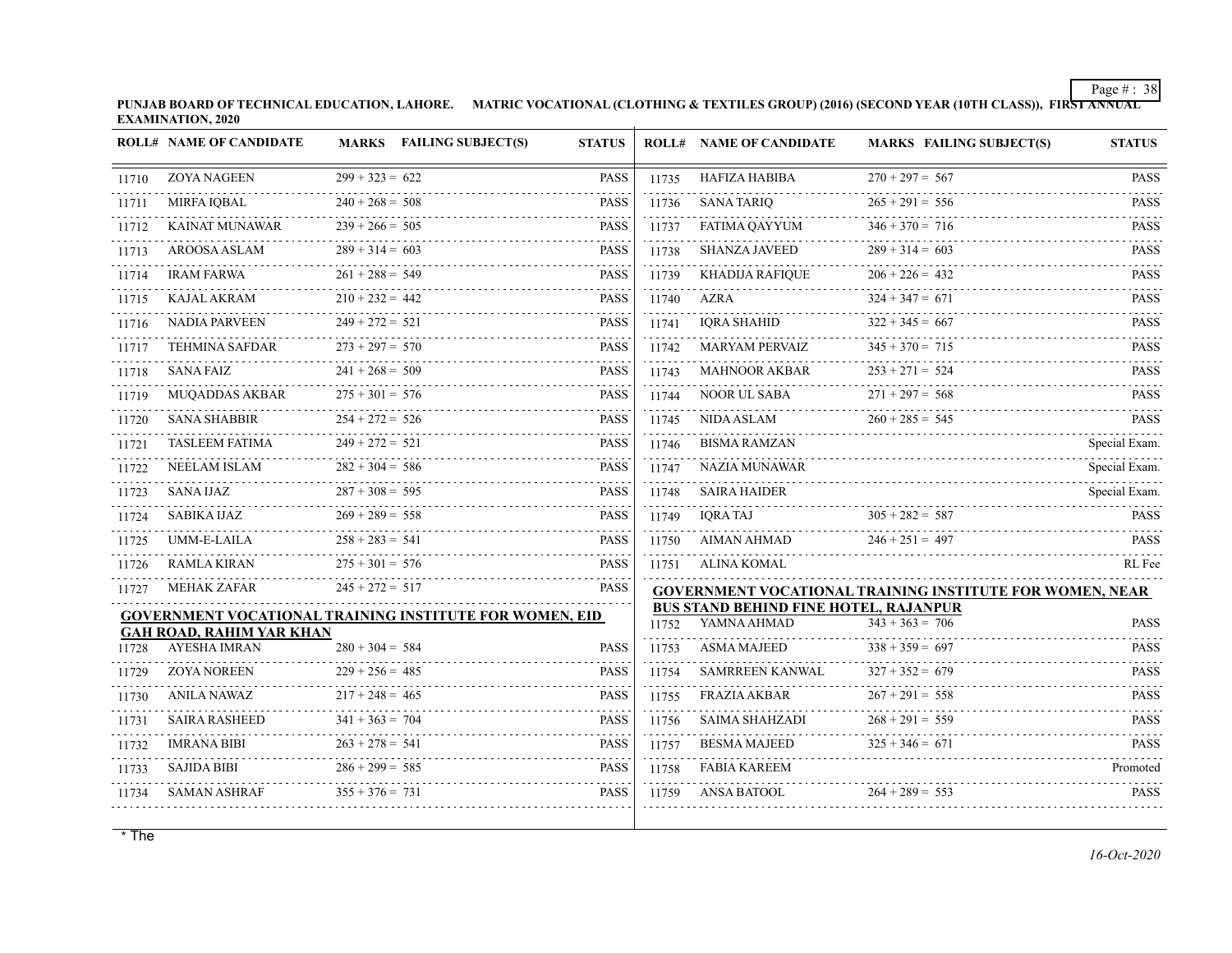**PUNJAB BOARD OF TECHNICAL EDUCATION, LAHORE. MATRIC VOCATIONAL (CLOTHING & TEXTILES GROUP) (2016) (SECOND YEAR (10TH CLASS)), FIRST ANNUAL EXAMINATION, 2020**  $\mathcal{L}^{\mathcal{A}}$ 

|       | <b>ROLL# NAME OF CANDIDATE</b>                          |                        | <b>MARKS</b> FAILING SUBJECT(S) | <b>STATUS</b> |            | <b>ROLL# NAME OF CANDIDATE</b>                                    | <b>MARKS FAILING SUBJECT(S)</b>                                 | <b>STATUS</b>      |
|-------|---------------------------------------------------------|------------------------|---------------------------------|---------------|------------|-------------------------------------------------------------------|-----------------------------------------------------------------|--------------------|
| 11710 | <b>ZOYA NAGEEN</b>                                      | $299 + 323 = 622$      |                                 | <b>PASS</b>   | 11735      | <b>HAFIZA HABIBA</b>                                              | $270 + 297 = 567$                                               | <b>PASS</b>        |
| 11711 | MIRFA IQBAL                                             | $240 + 268 = 508$      |                                 | <b>PASS</b>   | 11736      | <b>SANA TARIQ</b>                                                 | $265 + 291 = 556$                                               | <b>PASS</b>        |
| 11712 | <b>KAINAT MUNAWAR</b>                                   | $239 + 266 = 505$      |                                 | <b>PASS</b>   | 11737      | FATIMA QAYYUM                                                     | $346 + 370 = 716$                                               | .<br><b>PASS</b>   |
| 11713 | <b>AROOSA ASLAM</b>                                     | $289 + 314 = 603$      |                                 | <b>PASS</b>   | 11738      | SHANZA JAVEED                                                     | $289 + 314 = 603$                                               | <b>PASS</b>        |
| 11714 | <b>IRAM FARWA</b>                                       | $261 + 288 = 549$      |                                 | <b>PASS</b>   | 11739      | <b>KHADIJA RAFIQUE</b>                                            | $206 + 226 = 432$                                               | .<br><b>PASS</b>   |
| 11715 | <b>KAJAL AKRAM</b>                                      | $210 + 232 = 442$      |                                 | <b>PASS</b>   | .<br>11740 | <b>AZRA</b>                                                       | $324 + 347 = 671$                                               | .<br><b>PASS</b>   |
| 11716 | <b>NADIA PARVEEN</b>                                    | $249 + 272 = 521$      |                                 | <b>PASS</b>   | 11741      | IQRA SHAHID                                                       | $322 + 345 = 667$                                               | <b>PASS</b>        |
| 11717 | TEHMINA SAFDAR                                          | $273 + 297 = 570$      |                                 | <b>PASS</b>   | 11742      | MARYAM PERVAIZ                                                    | $345 + 370 = 715$                                               | <b>PASS</b>        |
| 11718 | <b>SANA FAIZ</b>                                        | $241 + 268 = 509$      |                                 | <b>PASS</b>   | 11743      | <b>MAHNOOR AKBAR</b>                                              | $253 + 271 = 524$                                               | <b>PASS</b>        |
| 11719 | <b>MUOADDAS AKBAR</b>                                   | $275 + 301 = 576$      |                                 | <b>PASS</b>   | 11744      | NOOR UL SABA                                                      | $271 + 297 = 568$                                               | <b>PASS</b>        |
| 11720 | <b>SANA SHABBIR</b>                                     | $254 + 272 = 526$      |                                 | <b>PASS</b>   | 11745      | NIDA ASLAM                                                        | $260 + 285 = 545$                                               | <b>PASS</b>        |
| 11721 | <b>TASLEEM FATIMA</b>                                   | $249 + 272 = 521$      |                                 | <b>PASS</b>   | 11746      | <b>BISMA RAMZAN</b>                                               |                                                                 | Special Exam.      |
| 11722 | <b>NEELAM ISLAM</b>                                     | $282 + 304 = 586$      |                                 | <b>PASS</b>   | 11747      | NAZIA MUNAWAR                                                     |                                                                 | Special Exam.<br>. |
| 11723 | SANA IJAZ                                               | $287 + 308 = 595$      |                                 | <b>PASS</b>   | 11748      | <b>SAIRA HAIDER</b>                                               |                                                                 | Special Exam.      |
| 11724 | <b>SABIKA IJAZ</b>                                      | $269 + 289 = 558$      |                                 | <b>PASS</b>   | 11749      | <b>IORA TAJ</b>                                                   | $305 + 282 = 587$                                               | <b>PASS</b>        |
| 11725 | UMM-E-LAILA                                             | $258 + 283 = 541$      |                                 | <b>PASS</b>   | 11750      | AIMAN AHMAD                                                       | $246 + 251 = 497$                                               | <b>PASS</b>        |
| 11726 | <b>RAMLA KIRAN</b>                                      | $275 + 301 = 576$      |                                 | <b>PASS</b>   | 11751      | ALINA KOMAL                                                       |                                                                 | RL Fee             |
| 11727 | <b>MEHAK ZAFAR</b>                                      | $245 + 272 = 517$      |                                 | <b>PASS</b>   |            |                                                                   | <b>GOVERNMENT VOCATIONAL TRAINING INSTITUTE FOR WOMEN, NEAR</b> |                    |
|       | GOVERNMENT VOCATIONAL TRAINING INSTITUTE FOR WOMEN, EID |                        |                                 |               |            | <b>BUS STAND BEHIND FINE HOTEL, RAJANPUR</b><br>11752 YAMNA AHMAD | $343 + 363 = 706$                                               | <b>PASS</b>        |
| 11728 | <b>GAH ROAD, RAHIM YAR KHAN</b><br><b>AYESHA IMRAN</b>  | $280 + 304 = 584$      |                                 | <b>PASS</b>   | .<br>11753 | <b>ASMA MAJEED</b>                                                | $338 + 359 = 697$                                               | <b>PASS</b>        |
| 11729 | <b>ZOYA NOREEN</b>                                      | $229 + 256 = 485$      |                                 | <b>PASS</b>   | 11754      | SAMRREEN KANWAL                                                   | $327 + 352 = 679$                                               | .<br><b>PASS</b>   |
| 11730 | <b>ANILA NAWAZ</b>                                      | $217 + 248 = 465$      |                                 | <b>PASS</b>   | 11755      | <b>FRAZIA AKBAR</b>                                               | $267 + 291 = 558$                                               | .<br><b>PASS</b>   |
| 11731 | <b>SAIRA RASHEED</b>                                    | $341 + 363 = 704$      |                                 | <b>PASS</b>   | 11756      | <b>SAIMA SHAHZADI</b>                                             | $268 + 291 = 559$                                               | <b>PASS</b>        |
| 11732 | <b>IMRANA BIBI</b>                                      | $263 + 278 = 541$      |                                 | <b>PASS</b>   | 11757      | <b>BESMA MAJEED</b>                                               | $325 + 346 = 671$                                               | <b>PASS</b>        |
| 11733 | <b>SAJIDA BIBI</b>                                      | $286 + 299 = 585$      |                                 | <b>PASS</b>   | .<br>11758 | <b>FABIA KAREEM</b>                                               |                                                                 | Promoted           |
| 11734 | <b>SAMAN ASHRAF</b>                                     | .<br>$355 + 376 = 731$ |                                 | <b>PASS</b>   | 11759      | <b>ANSA BATOOL</b>                                                | $264 + 289 = 553$                                               | <b>PASS</b>        |
|       |                                                         |                        |                                 |               |            |                                                                   |                                                                 |                    |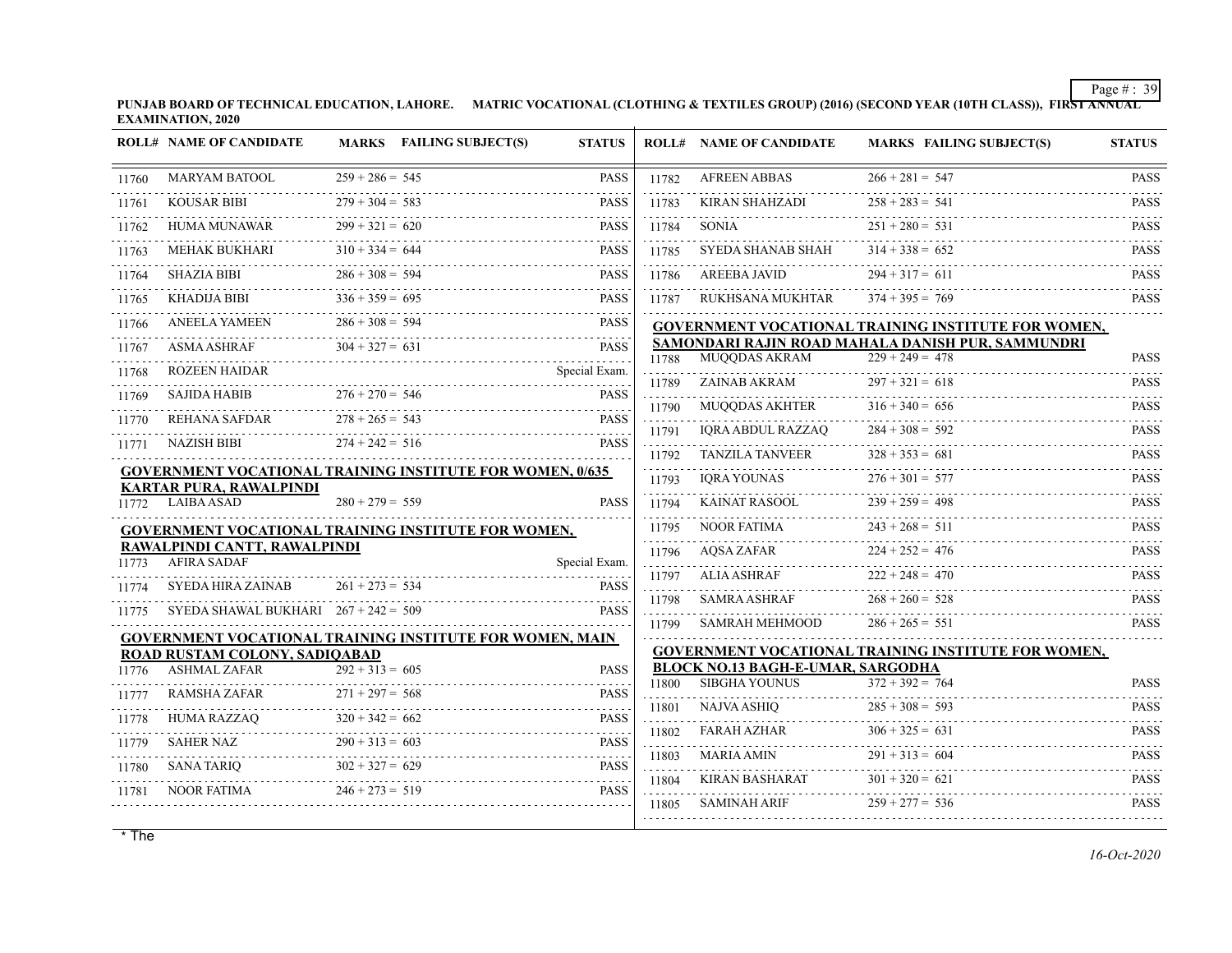**PUNJAB BOARD OF TECHNICAL EDUCATION, LAHORE. MATRIC VOCATIONAL (CLOTHING & TEXTILES GROUP) (2016) (SECOND YEAR (10TH CLASS)), FIRST ANNUAL EXAMINATION, 2020**

|       | <b>ROLL# NAME OF CANDIDATE</b>         |                                        | <b>MARKS</b> FAILING SUBJECT(S)<br><b>STATUS</b>                                                                     |            | <b>ROLL# NAME OF CANDIDATE</b>                                   | <b>MARKS FAILING SUBJECT(S)</b>                     | <b>STATUS</b>              |
|-------|----------------------------------------|----------------------------------------|----------------------------------------------------------------------------------------------------------------------|------------|------------------------------------------------------------------|-----------------------------------------------------|----------------------------|
| 11760 | <b>MARYAM BATOOL</b>                   | $259 + 286 = 545$                      | <b>PASS</b>                                                                                                          | 11782      | <b>AFREEN ABBAS</b>                                              | $266 + 281 = 547$                                   | <b>PASS</b>                |
| 11761 | <b>KOUSAR BIBI</b>                     | $279 + 304 = 583$                      | <b>PASS</b>                                                                                                          | 11783      | KIRAN SHAHZADI                                                   | $258 + 283 = 541$                                   | <b>PASS</b>                |
| 11762 | <b>HUMA MUNAWAR</b>                    | $299 + 321 = 620$                      | <b>PASS</b>                                                                                                          | 11784      | <b>SONIA</b>                                                     | $251 + 280 = 531$                                   | <b>PASS</b>                |
| 11763 | <b>MEHAK BUKHARI</b>                   | $310 + 334 = 644$                      | <b>PASS</b>                                                                                                          | 11785      | SYEDA SHANAB SHAH                                                | $314 + 338 = 652$                                   | dia a a a a<br><b>PASS</b> |
| 11764 | <b>SHAZIA BIBI</b>                     | $286 + 308 = 594$                      | <b>PASS</b>                                                                                                          | 11786      | AREEBA JAVID                                                     | $294 + 317 = 611$                                   | .<br><b>PASS</b>           |
| 11765 | <b>KHADIJA BIBI</b>                    | $336 + 359 = 695$                      | <b>PASS</b>                                                                                                          | 11787      | RUKHSANA MUKHTAR                                                 | $374 + 395 = 769$                                   | .<br><b>PASS</b>           |
| 11766 | <b>ANEELA YAMEEN</b>                   | $286 + 308 = 594$                      | 2.2.2.2.2.<br><b>PASS</b>                                                                                            |            |                                                                  | GOVERNMENT VOCATIONAL TRAINING INSTITUTE FOR WOMEN, |                            |
| 11767 | <b>ASMA ASHRAF</b>                     | $304 + 327 = 631$                      | <b>PASS</b>                                                                                                          |            |                                                                  | SAMONDARI RAJIN ROAD MAHALA DANISH PUR, SAMMUNDRI   |                            |
|       | <b>ROZEEN HAIDAR</b>                   |                                        | .<br>Special Exam.                                                                                                   | 11788      | <b>MUOODAS AKRAM</b>                                             | $229 + 249 = 478$                                   | <b>PASS</b>                |
| 11768 |                                        |                                        |                                                                                                                      | 11789      | ZAINAB AKRAM                                                     | $297 + 321 = 618$                                   | <b>PASS</b>                |
| 11769 | <b>SAJIDA HABIB</b>                    | $276 + 270 = 546$<br>$278 + 265 = 543$ | <b>PASS</b>                                                                                                          | .<br>11790 | MUQQDAS AKHTER                                                   | $316 + 340 = 656$                                   | dia a dia a<br><b>PASS</b> |
| 11770 | REHANA SAFDAR<br>.                     |                                        | <b>PASS</b>                                                                                                          | 11791      | IORA ABDUL RAZZAO                                                | $284 + 308 = 592$                                   | <b>PASS</b>                |
| 11771 | NAZISH BIBI                            | $274 + 242 = 516$                      | <b>PASS</b>                                                                                                          | .<br>11792 | <b>TANZILA TANVEER</b>                                           | $328 + 353 = 681$                                   | <b>PASS</b>                |
|       | <b>KARTAR PURA, RAWALPINDI</b>         |                                        | <b>GOVERNMENT VOCATIONAL TRAINING INSTITUTE FOR WOMEN, 0/635</b>                                                     | 11793      | IORA YOUNAS                                                      | $276 + 301 = 577$                                   | <b>PASS</b>                |
| 11772 | <b>LAIBA ASAD</b>                      | $280 + 279 = 559$                      | <b>PASS</b>                                                                                                          | .<br>11794 | KAINAT RASOOL                                                    | $239 + 259 = 498$                                   | <b>PASS</b>                |
|       |                                        |                                        | <b>GOVERNMENT VOCATIONAL TRAINING INSTITUTE FOR WOMEN,</b>                                                           | 11795      | NOOR FATIMA                                                      | $243 + 268 = 511$                                   | <b>PASS</b>                |
|       | RAWALPINDI CANTT, RAWALPINDI           |                                        |                                                                                                                      | 11796      | AQSA ZAFAR                                                       | $224 + 252 = 476$                                   | <b>PASS</b>                |
| 11773 | <b>AFIRA SADAF</b>                     |                                        | Special Exam.                                                                                                        | 11797      | <b>ALIA ASHRAF</b>                                               | $222 + 248 = 470$                                   | <b>PASS</b>                |
| 11774 | <b>SYEDA HIRA ZAINAB</b>               | $261 + 273 = 534$                      | <b>PASS</b>                                                                                                          | 11798      | <b>SAMRA ASHRAF</b>                                              | $268 + 260 = 528$                                   | <b>PASS</b>                |
| 11775 | SYEDA SHAWAL BUKHARI $267 + 242 = 509$ |                                        | <b>PASS</b>                                                                                                          | 11799      | SAMRAH MEHMOOD                                                   | $286 + 265 = 551$                                   | <b>PASS</b>                |
|       |                                        |                                        | <b>GOVERNMENT VOCATIONAL TRAINING INSTITUTE FOR WOMEN, MAIN</b>                                                      |            |                                                                  |                                                     |                            |
|       | <b>ROAD RUSTAM COLONY, SADIOABAD</b>   |                                        |                                                                                                                      |            |                                                                  | GOVERNMENT VOCATIONAL TRAINING INSTITUTE FOR WOMEN, |                            |
| 11776 | <b>ASHMAL ZAFAR</b>                    | $292 + 313 = 605$                      | <b>PASS</b>                                                                                                          | 11800      | <b>BLOCK NO.13 BAGH-E-UMAR, SARGODHA</b><br><b>SIBGHA YOUNUS</b> | $372 + 392 = 764$                                   | <b>PASS</b>                |
| 11777 | <b>RAMSHA ZAFAR</b>                    | $271 + 297 = 568$                      | <b>PASS</b>                                                                                                          |            |                                                                  |                                                     |                            |
| 11778 | HUMA RAZZAQ                            | $320 + 342 = 662$                      | <b>PASS</b>                                                                                                          | 11801      | NAJVA ASHIO                                                      | $285 + 308 = 593$                                   | <b>PASS</b>                |
| 11779 | <b>SAHER NAZ</b>                       | $290 + 313 = 603$                      | <b>PASS</b>                                                                                                          | 11802      | FARAH AZHAR                                                      | $306 + 325 = 631$                                   | <b>PASS</b><br>.           |
| 11780 | SANA TARIO                             | $302 + 327 = 629$                      | <b>PASS</b>                                                                                                          | 11803<br>. | MARIA AMIN                                                       | $291 + 313 = 604$                                   | <b>PASS</b>                |
| 11781 | <b>NOOR FATIMA</b>                     | $246 + 273 = 519$                      | PASS                                                                                                                 | 11804      | <b>KIRAN BASHARAT</b>                                            | $301 + 320 = 621$                                   | <b>PASS</b>                |
|       |                                        |                                        | <u> 1990 - Paris Alexander III, president eta artera eta artera eta artera eta artera eta artera eta artera eta </u> | 11805      | SAMINAH ARIF                                                     | $259 + 277 = 536$                                   | <b>PASS</b>                |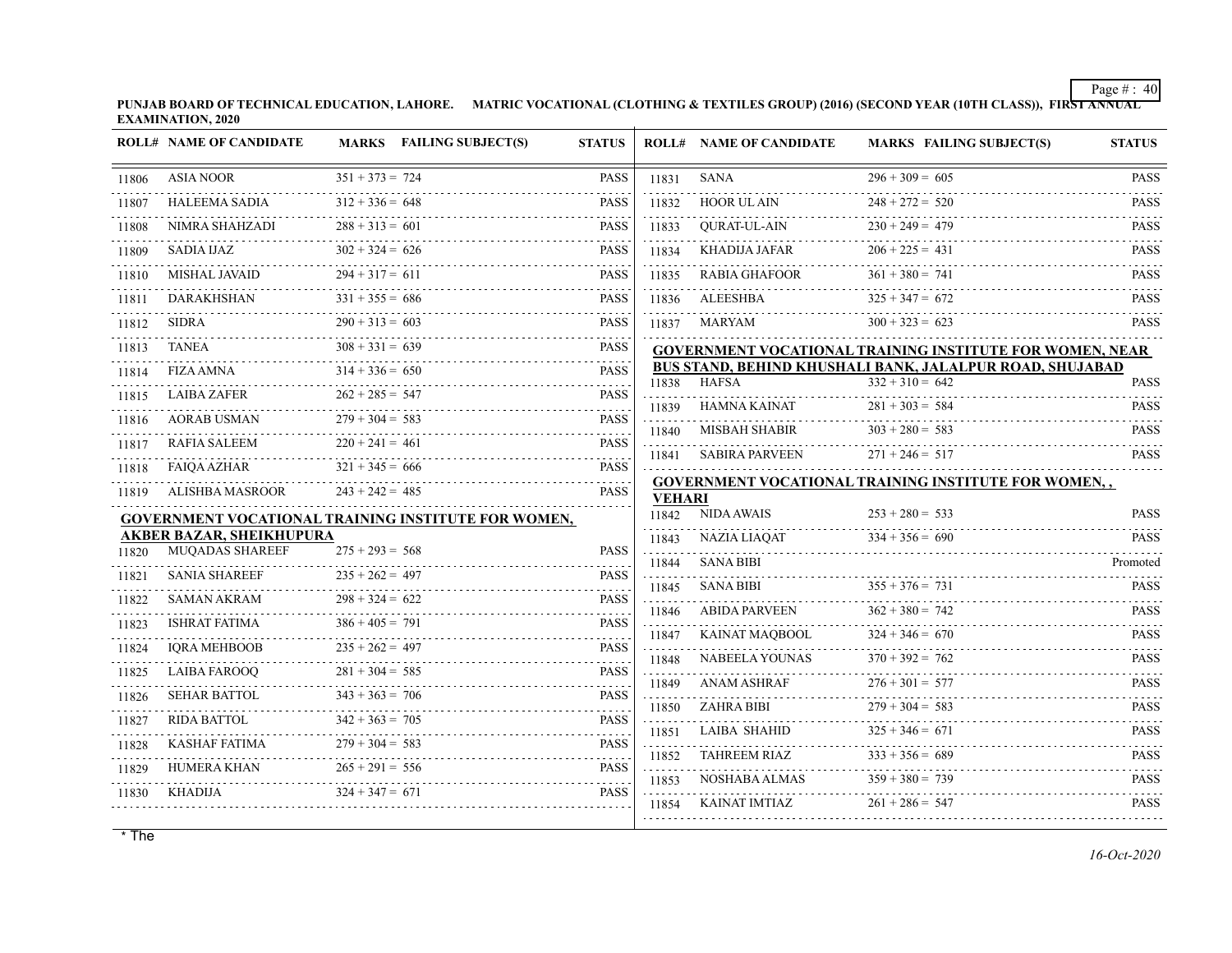**PUNJAB BOARD OF TECHNICAL EDUCATION, LAHORE. MATRIC VOCATIONAL (CLOTHING & TEXTILES GROUP) (2016) (SECOND YEAR (10TH CLASS)), FIRST ANNUAL EXAMINATION, 2020**

|       | <b>ROLL# NAME OF CANDIDATE</b>  |                        | MARKS FAILING SUBJECT(S)                                   | <b>STATUS</b>                                                                |               | <b>ROLL# NAME OF CANDIDATE</b> | <b>MARKS FAILING SUBJECT(S)</b>                                 | <b>STATUS</b>                                                                                                    |
|-------|---------------------------------|------------------------|------------------------------------------------------------|------------------------------------------------------------------------------|---------------|--------------------------------|-----------------------------------------------------------------|------------------------------------------------------------------------------------------------------------------|
| 11806 | <b>ASIA NOOR</b>                | $351 + 373 = 724$      |                                                            | <b>PASS</b>                                                                  | 11831         | <b>SANA</b>                    | $296 + 309 = 605$                                               | <b>PASS</b>                                                                                                      |
| 11807 | <b>HALEEMA SADIA</b>            | $312 + 336 = 648$      |                                                            | <b>PASS</b>                                                                  | 11832         | <b>HOOR UL AIN</b>             | $248 + 272 = 520$                                               | .<br><b>PASS</b>                                                                                                 |
| 11808 | NIMRA SHAHZADI                  | $288 + 313 = 601$      |                                                            | <b>PASS</b>                                                                  | 11833         | <b>OURAT-UL-AIN</b>            | $230 + 249 = 479$                                               | <b>PASS</b>                                                                                                      |
| 11809 | SADIA IJAZ                      | $302 + 324 = 626$      |                                                            | <b>PASS</b>                                                                  | 11834         | KHADIJA JAFAR                  | $206 + 225 = 431$                                               | <b>PASS</b>                                                                                                      |
| 11810 | <b>MISHAL JAVAID</b>            | $294 + 317 = 611$      |                                                            | 2.2.2.2.2<br><b>PASS</b>                                                     | 11835         | RABIA GHAFOOR                  | $361 + 380 = 741$                                               | .<br><b>PASS</b>                                                                                                 |
| 11811 | <b>DARAKHSHAN</b>               | $331 + 355 = 686$      |                                                            | <b>PASS</b>                                                                  | 11836         | <b>ALEESHBA</b>                | $325 + 347 = 672$                                               | <b>PASS</b>                                                                                                      |
| 11812 | <b>SIDRA</b>                    | $290 + 313 = 603$      |                                                            | <b>PASS</b>                                                                  | 11837         | MARYAM                         | $300 + 323 = 623$                                               | <b>PASS</b>                                                                                                      |
| 11813 | TANEA                           | $308 + 331 = 639$      |                                                            | <b>PASS</b>                                                                  |               |                                | <b>GOVERNMENT VOCATIONAL TRAINING INSTITUTE FOR WOMEN, NEAR</b> |                                                                                                                  |
| 11814 | <b>FIZA AMNA</b>                | $314 + 336 = 650$      |                                                            | <b>PASS</b>                                                                  |               |                                | BUS STAND, BEHIND KHUSHALI BANK, JALALPUR ROAD, SHUJABAD        |                                                                                                                  |
| 11815 | <b>LAIBA ZAFER</b>              | .<br>$262 + 285 = 547$ |                                                            | <b>PASS</b>                                                                  | 11838         | <b>HAFSA</b>                   | $332 + 310 = 642$                                               | <b>PASS</b><br>.                                                                                                 |
| 11816 | <b>AORAB USMAN</b>              | $279 + 304 = 583$      |                                                            | <b>PASS</b>                                                                  | 11839         | HAMNA KAINAT                   | $281 + 303 = 584$                                               | <b>PASS</b>                                                                                                      |
| 11817 | RAFIA SALEEM                    | $220 + 241 = 461$      |                                                            | 2.2.2.2.2<br><b>PASS</b>                                                     | 11840         | <b>MISBAH SHABIR</b>           | $303 + 280 = 583$                                               | <b>PASS</b>                                                                                                      |
| 11818 | <b>FAIQA AZHAR</b>              | $321 + 345 = 666$      |                                                            | <b>PASS</b>                                                                  | 11841         | <b>SABIRA PARVEEN</b>          | $271 + 246 = 517$                                               | <b>PASS</b>                                                                                                      |
| 11819 | <b>ALISHBA MASROOR</b>          | $243 + 242 = 485$      |                                                            | <b>PASS</b>                                                                  | <b>VEHARI</b> |                                | <b>GOVERNMENT VOCATIONAL TRAINING INSTITUTE FOR WOMEN,,</b>     |                                                                                                                  |
|       |                                 |                        | <b>GOVERNMENT VOCATIONAL TRAINING INSTITUTE FOR WOMEN,</b> |                                                                              | 11842         | <b>NIDA AWAIS</b>              | $253 + 280 = 533$                                               | <b>PASS</b>                                                                                                      |
|       | <b>AKBER BAZAR, SHEIKHUPURA</b> |                        |                                                            | <b>PASS</b>                                                                  | 11843         | <b>NAZIA LIAOAT</b>            | $334 + 356 = 690$                                               | <b>PASS</b>                                                                                                      |
| 11820 | MUQADAS SHAREEF                 | $275 + 293 = 568$      |                                                            |                                                                              | 11844         | <b>SANA BIBI</b>               |                                                                 | Promoted                                                                                                         |
| 11821 | <b>SANIA SHAREEF</b>            | $235 + 262 = 497$      |                                                            | <b>PASS</b>                                                                  | 11845         | <b>SANA BIBI</b>               | $355 + 376 = 731$                                               | <b>PASS</b>                                                                                                      |
| 11822 | SAMAN AKRAM<br>.                | $298 + 324 = 622$      |                                                            | <b>PASS</b><br>$\omega$ is a set of                                          | 11846         | <b>ABIDA PARVEEN</b>           | $362 + 380 = 742$                                               | .<br><b>PASS</b>                                                                                                 |
| 11823 | <b>ISHRAT FATIMA</b>            | $386 + 405 = 791$      |                                                            | <b>PASS</b><br>$\frac{1}{2}$ , $\frac{1}{2}$ , $\frac{1}{2}$ , $\frac{1}{2}$ | 11847         | KAINAT MAQBOOL                 | $324 + 346 = 670$                                               | <b>PASS</b>                                                                                                      |
| 11824 | <b>IORA MEHBOOB</b>             | $235 + 262 = 497$      |                                                            | <b>PASS</b>                                                                  | 11848         | <b>NABEELA YOUNAS</b>          | $370 + 392 = 762$                                               | <b>PASS</b>                                                                                                      |
| 11825 | <b>LAIBA FAROOO</b>             | $281 + 304 = 585$      |                                                            | <b>PASS</b>                                                                  | .<br>11849    | <b>ANAM ASHRAF</b>             | $276 + 301 = 577$                                               | .<br><b>PASS</b>                                                                                                 |
| 11826 | <b>SEHAR BATTOL</b>             | $343 + 363 = 706$      |                                                            | <b>PASS</b><br>.                                                             | 11850         | <b>ZAHRA BIBI</b>              | $279 + 304 = 583$                                               | <b>PASS</b>                                                                                                      |
| 11827 | <b>RIDA BATTOL</b>              | $342 + 363 = 705$      |                                                            | <b>PASS</b><br>.                                                             | 11851         | <b>LAIBA SHAHID</b>            | $325 + 346 = 671$                                               | <b>PASS</b>                                                                                                      |
| 11828 | <b>KASHAF FATIMA</b>            | $279 + 304 = 583$      |                                                            | <b>PASS</b>                                                                  | 11852         | <b>TAHREEM RIAZ</b>            | $333 + 356 = 689$                                               | .<br><b>PASS</b>                                                                                                 |
| 11829 | HUMERA KHAN                     | $265 + 291 = 556$      |                                                            | <b>PASS</b>                                                                  | 11853         | NOSHABA ALMAS                  | $359 + 380 = 739$                                               | <b>PASS</b>                                                                                                      |
| 11830 | <b>KHADIJA</b>                  | $324 + 347 = 671$      |                                                            | <b>PASS</b>                                                                  | 11854         | KAINAT IMTIAZ                  | $261 + 286 = 547$                                               | $\begin{array}{cccccccccccccc} \bot & \bot & \bot & \bot & \bot & \bot & \bot & \bot \end{array}$<br><b>PASS</b> |
|       |                                 |                        |                                                            |                                                                              |               |                                |                                                                 |                                                                                                                  |